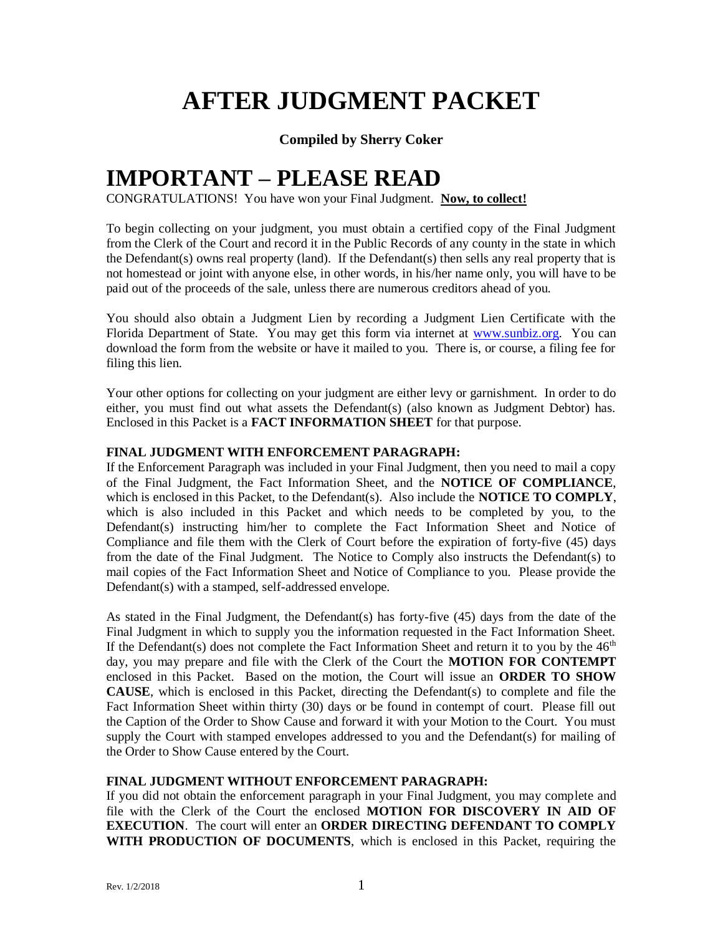# **AFTER JUDGMENT PACKET**

## **Compiled by Sherry Coker**

## **IMPORTANT – PLEASE READ**

CONGRATULATIONS! You have won your Final Judgment. **Now, to collect!**

To begin collecting on your judgment, you must obtain a certified copy of the Final Judgment from the Clerk of the Court and record it in the Public Records of any county in the state in which the Defendant(s) owns real property (land). If the Defendant(s) then sells any real property that is not homestead or joint with anyone else, in other words, in his/her name only, you will have to be paid out of the proceeds of the sale, unless there are numerous creditors ahead of you.

You should also obtain a Judgment Lien by recording a Judgment Lien Certificate with the Florida Department of State. You may get this form via internet at [www.sunbiz.org.](http://www.sunbiz.org/) You can download the form from the website or have it mailed to you. There is, or course, a filing fee for filing this lien.

Your other options for collecting on your judgment are either levy or garnishment. In order to do either, you must find out what assets the Defendant(s) (also known as Judgment Debtor) has. Enclosed in this Packet is a **FACT INFORMATION SHEET** for that purpose.

#### **FINAL JUDGMENT WITH ENFORCEMENT PARAGRAPH:**

If the Enforcement Paragraph was included in your Final Judgment, then you need to mail a copy of the Final Judgment, the Fact Information Sheet, and the **NOTICE OF COMPLIANCE**, which is enclosed in this Packet, to the Defendant(s). Also include the **NOTICE TO COMPLY**, which is also included in this Packet and which needs to be completed by you, to the Defendant(s) instructing him/her to complete the Fact Information Sheet and Notice of Compliance and file them with the Clerk of Court before the expiration of forty-five (45) days from the date of the Final Judgment. The Notice to Comply also instructs the Defendant(s) to mail copies of the Fact Information Sheet and Notice of Compliance to you. Please provide the Defendant(s) with a stamped, self-addressed envelope.

As stated in the Final Judgment, the Defendant(s) has forty-five (45) days from the date of the Final Judgment in which to supply you the information requested in the Fact Information Sheet. If the Defendant(s) does not complete the Fact Information Sheet and return it to you by the  $46<sup>th</sup>$ day, you may prepare and file with the Clerk of the Court the **MOTION FOR CONTEMPT** enclosed in this Packet. Based on the motion, the Court will issue an **ORDER TO SHOW CAUSE**, which is enclosed in this Packet, directing the Defendant(s) to complete and file the Fact Information Sheet within thirty (30) days or be found in contempt of court. Please fill out the Caption of the Order to Show Cause and forward it with your Motion to the Court. You must supply the Court with stamped envelopes addressed to you and the Defendant(s) for mailing of the Order to Show Cause entered by the Court.

## **FINAL JUDGMENT WITHOUT ENFORCEMENT PARAGRAPH:**

If you did not obtain the enforcement paragraph in your Final Judgment, you may complete and file with the Clerk of the Court the enclosed **MOTION FOR DISCOVERY IN AID OF EXECUTION**. The court will enter an **ORDER DIRECTING DEFENDANT TO COMPLY WITH PRODUCTION OF DOCUMENTS**, which is enclosed in this Packet, requiring the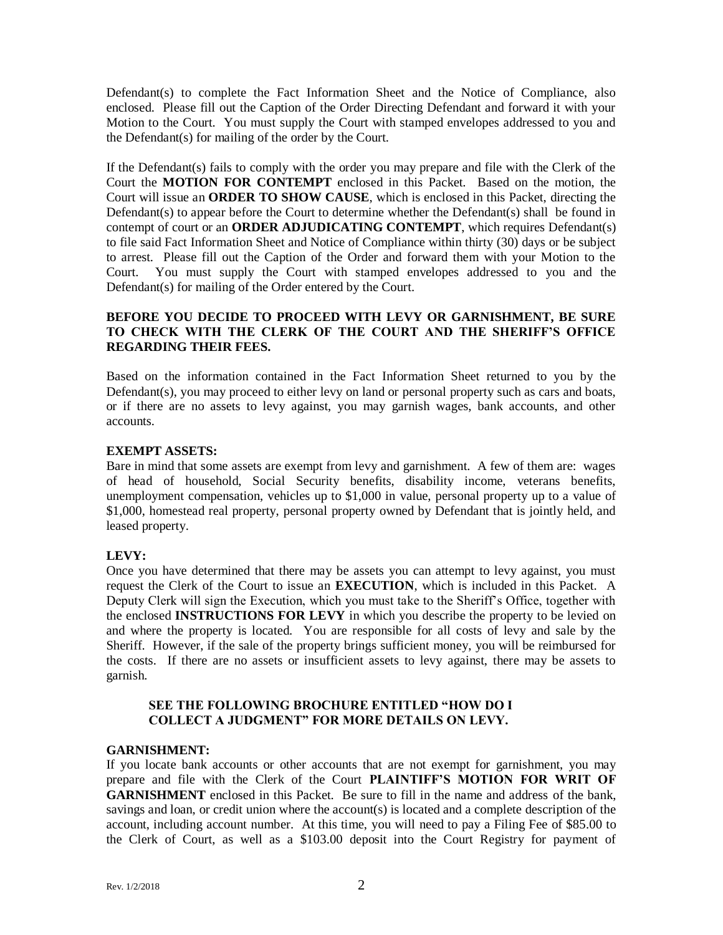Defendant(s) to complete the Fact Information Sheet and the Notice of Compliance, also enclosed. Please fill out the Caption of the Order Directing Defendant and forward it with your Motion to the Court. You must supply the Court with stamped envelopes addressed to you and the Defendant(s) for mailing of the order by the Court.

If the Defendant(s) fails to comply with the order you may prepare and file with the Clerk of the Court the **MOTION FOR CONTEMPT** enclosed in this Packet. Based on the motion, the Court will issue an **ORDER TO SHOW CAUSE**, which is enclosed in this Packet, directing the Defendant(s) to appear before the Court to determine whether the Defendant(s) shall be found in contempt of court or an **ORDER ADJUDICATING CONTEMPT**, which requires Defendant(s) to file said Fact Information Sheet and Notice of Compliance within thirty (30) days or be subject to arrest. Please fill out the Caption of the Order and forward them with your Motion to the Court. You must supply the Court with stamped envelopes addressed to you and the Defendant(s) for mailing of the Order entered by the Court.

#### **BEFORE YOU DECIDE TO PROCEED WITH LEVY OR GARNISHMENT, BE SURE TO CHECK WITH THE CLERK OF THE COURT AND THE SHERIFF'S OFFICE REGARDING THEIR FEES.**

Based on the information contained in the Fact Information Sheet returned to you by the Defendant(s), you may proceed to either levy on land or personal property such as cars and boats, or if there are no assets to levy against, you may garnish wages, bank accounts, and other accounts.

#### **EXEMPT ASSETS:**

Bare in mind that some assets are exempt from levy and garnishment. A few of them are: wages of head of household, Social Security benefits, disability income, veterans benefits, unemployment compensation, vehicles up to \$1,000 in value, personal property up to a value of \$1,000, homestead real property, personal property owned by Defendant that is jointly held, and leased property.

## **LEVY:**

Once you have determined that there may be assets you can attempt to levy against, you must request the Clerk of the Court to issue an **EXECUTION**, which is included in this Packet. A Deputy Clerk will sign the Execution, which you must take to the Sheriff's Office, together with the enclosed **INSTRUCTIONS FOR LEVY** in which you describe the property to be levied on and where the property is located. You are responsible for all costs of levy and sale by the Sheriff. However, if the sale of the property brings sufficient money, you will be reimbursed for the costs. If there are no assets or insufficient assets to levy against, there may be assets to garnish.

#### **SEE THE FOLLOWING BROCHURE ENTITLED "HOW DO I COLLECT A JUDGMENT" FOR MORE DETAILS ON LEVY.**

## **GARNISHMENT:**

If you locate bank accounts or other accounts that are not exempt for garnishment, you may prepare and file with the Clerk of the Court **PLAINTIFF'S MOTION FOR WRIT OF GARNISHMENT** enclosed in this Packet. Be sure to fill in the name and address of the bank, savings and loan, or credit union where the account(s) is located and a complete description of the account, including account number. At this time, you will need to pay a Filing Fee of \$85.00 to the Clerk of Court, as well as a \$103.00 deposit into the Court Registry for payment of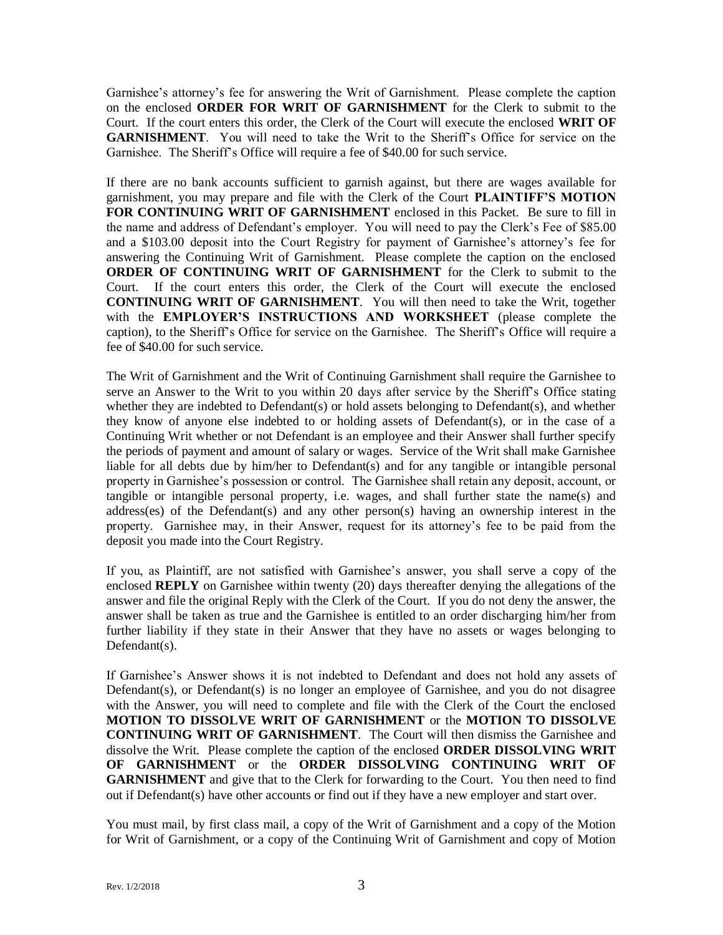Garnishee's attorney's fee for answering the Writ of Garnishment. Please complete the caption on the enclosed **ORDER FOR WRIT OF GARNISHMENT** for the Clerk to submit to the Court. If the court enters this order, the Clerk of the Court will execute the enclosed **WRIT OF GARNISHMENT**. You will need to take the Writ to the Sheriff's Office for service on the Garnishee. The Sheriff's Office will require a fee of \$40.00 for such service.

If there are no bank accounts sufficient to garnish against, but there are wages available for garnishment, you may prepare and file with the Clerk of the Court **PLAINTIFF'S MOTION FOR CONTINUING WRIT OF GARNISHMENT** enclosed in this Packet. Be sure to fill in the name and address of Defendant's employer. You will need to pay the Clerk's Fee of \$85.00 and a \$103.00 deposit into the Court Registry for payment of Garnishee's attorney's fee for answering the Continuing Writ of Garnishment. Please complete the caption on the enclosed **ORDER OF CONTINUING WRIT OF GARNISHMENT** for the Clerk to submit to the Court. If the court enters this order, the Clerk of the Court will execute the enclosed **CONTINUING WRIT OF GARNISHMENT**. You will then need to take the Writ, together with the **EMPLOYER'S INSTRUCTIONS AND WORKSHEET** (please complete the caption), to the Sheriff's Office for service on the Garnishee. The Sheriff's Office will require a fee of \$40.00 for such service.

The Writ of Garnishment and the Writ of Continuing Garnishment shall require the Garnishee to serve an Answer to the Writ to you within 20 days after service by the Sheriff's Office stating whether they are indebted to Defendant(s) or hold assets belonging to Defendant(s), and whether they know of anyone else indebted to or holding assets of Defendant(s), or in the case of a Continuing Writ whether or not Defendant is an employee and their Answer shall further specify the periods of payment and amount of salary or wages. Service of the Writ shall make Garnishee liable for all debts due by him/her to Defendant(s) and for any tangible or intangible personal property in Garnishee's possession or control. The Garnishee shall retain any deposit, account, or tangible or intangible personal property, i.e. wages, and shall further state the name(s) and address(es) of the Defendant(s) and any other person(s) having an ownership interest in the property. Garnishee may, in their Answer, request for its attorney's fee to be paid from the deposit you made into the Court Registry.

If you, as Plaintiff, are not satisfied with Garnishee's answer, you shall serve a copy of the enclosed **REPLY** on Garnishee within twenty (20) days thereafter denying the allegations of the answer and file the original Reply with the Clerk of the Court. If you do not deny the answer, the answer shall be taken as true and the Garnishee is entitled to an order discharging him/her from further liability if they state in their Answer that they have no assets or wages belonging to Defendant(s).

If Garnishee's Answer shows it is not indebted to Defendant and does not hold any assets of Defendant(s), or Defendant(s) is no longer an employee of Garnishee, and you do not disagree with the Answer, you will need to complete and file with the Clerk of the Court the enclosed **MOTION TO DISSOLVE WRIT OF GARNISHMENT** or the **MOTION TO DISSOLVE CONTINUING WRIT OF GARNISHMENT**. The Court will then dismiss the Garnishee and dissolve the Writ. Please complete the caption of the enclosed **ORDER DISSOLVING WRIT OF GARNISHMENT** or the **ORDER DISSOLVING CONTINUING WRIT OF GARNISHMENT** and give that to the Clerk for forwarding to the Court. You then need to find out if Defendant(s) have other accounts or find out if they have a new employer and start over.

You must mail, by first class mail, a copy of the Writ of Garnishment and a copy of the Motion for Writ of Garnishment, or a copy of the Continuing Writ of Garnishment and copy of Motion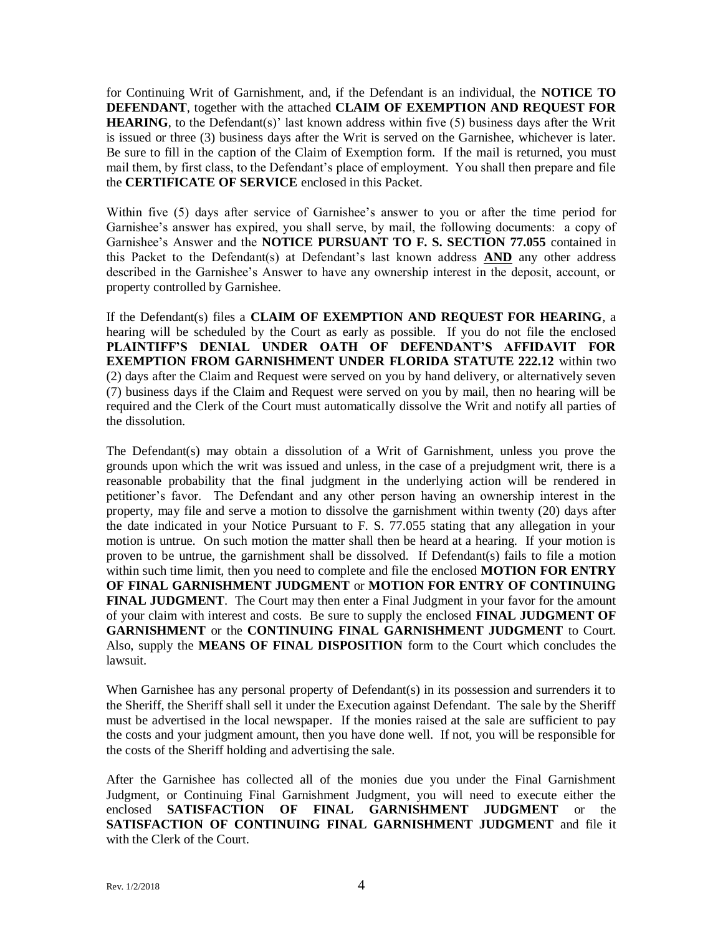for Continuing Writ of Garnishment, and, if the Defendant is an individual, the **NOTICE TO DEFENDANT**, together with the attached **CLAIM OF EXEMPTION AND REQUEST FOR HEARING**, to the Defendant(s)' last known address within five (5) business days after the Writ is issued or three (3) business days after the Writ is served on the Garnishee, whichever is later. Be sure to fill in the caption of the Claim of Exemption form. If the mail is returned, you must mail them, by first class, to the Defendant's place of employment. You shall then prepare and file the **CERTIFICATE OF SERVICE** enclosed in this Packet.

Within five (5) days after service of Garnishee's answer to you or after the time period for Garnishee's answer has expired, you shall serve, by mail, the following documents: a copy of Garnishee's Answer and the **NOTICE PURSUANT TO F. S. SECTION 77.055** contained in this Packet to the Defendant(s) at Defendant's last known address  $AND$  any other address described in the Garnishee's Answer to have any ownership interest in the deposit, account, or property controlled by Garnishee.

If the Defendant(s) files a **CLAIM OF EXEMPTION AND REQUEST FOR HEARING**, a hearing will be scheduled by the Court as early as possible. If you do not file the enclosed **PLAINTIFF'S DENIAL UNDER OATH OF DEFENDANT'S AFFIDAVIT FOR EXEMPTION FROM GARNISHMENT UNDER FLORIDA STATUTE 222.12** within two (2) days after the Claim and Request were served on you by hand delivery, or alternatively seven (7) business days if the Claim and Request were served on you by mail, then no hearing will be required and the Clerk of the Court must automatically dissolve the Writ and notify all parties of the dissolution.

The Defendant(s) may obtain a dissolution of a Writ of Garnishment, unless you prove the grounds upon which the writ was issued and unless, in the case of a prejudgment writ, there is a reasonable probability that the final judgment in the underlying action will be rendered in petitioner's favor. The Defendant and any other person having an ownership interest in the property, may file and serve a motion to dissolve the garnishment within twenty (20) days after the date indicated in your Notice Pursuant to F. S. 77.055 stating that any allegation in your motion is untrue. On such motion the matter shall then be heard at a hearing. If your motion is proven to be untrue, the garnishment shall be dissolved. If Defendant(s) fails to file a motion within such time limit, then you need to complete and file the enclosed **MOTION FOR ENTRY OF FINAL GARNISHMENT JUDGMENT** or **MOTION FOR ENTRY OF CONTINUING FINAL JUDGMENT**. The Court may then enter a Final Judgment in your favor for the amount of your claim with interest and costs. Be sure to supply the enclosed **FINAL JUDGMENT OF GARNISHMENT** or the **CONTINUING FINAL GARNISHMENT JUDGMENT** to Court. Also, supply the **MEANS OF FINAL DISPOSITION** form to the Court which concludes the lawsuit.

When Garnishee has any personal property of Defendant(s) in its possession and surrenders it to the Sheriff, the Sheriff shall sell it under the Execution against Defendant. The sale by the Sheriff must be advertised in the local newspaper. If the monies raised at the sale are sufficient to pay the costs and your judgment amount, then you have done well. If not, you will be responsible for the costs of the Sheriff holding and advertising the sale.

After the Garnishee has collected all of the monies due you under the Final Garnishment Judgment, or Continuing Final Garnishment Judgment, you will need to execute either the enclosed **SATISFACTION OF FINAL GARNISHMENT JUDGMENT** or the **SATISFACTION OF CONTINUING FINAL GARNISHMENT JUDGMENT** and file it with the Clerk of the Court.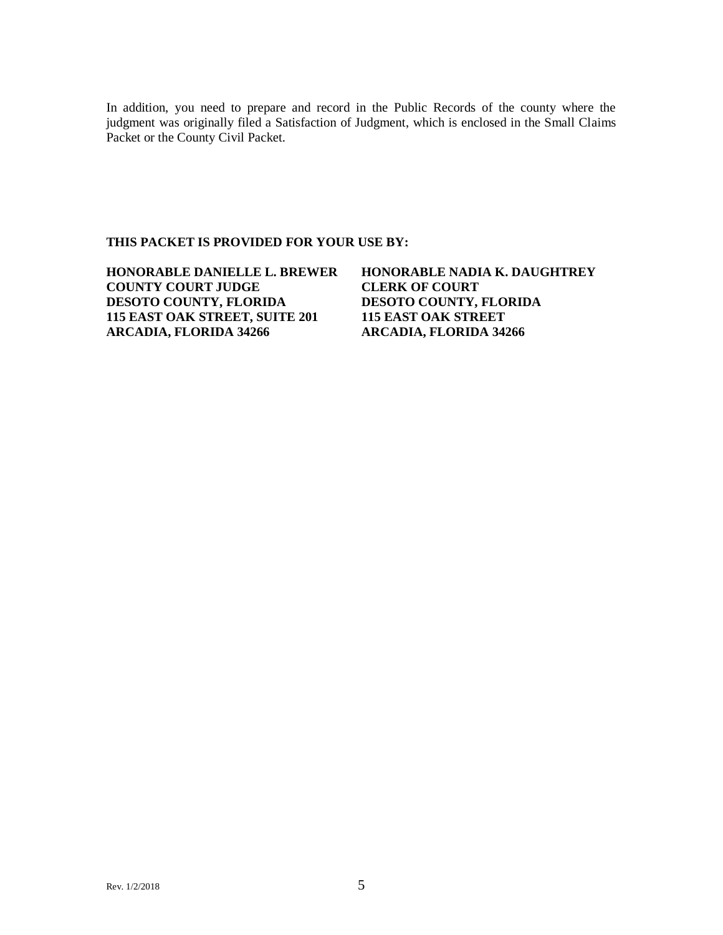In addition, you need to prepare and record in the Public Records of the county where the judgment was originally filed a Satisfaction of Judgment, which is enclosed in the Small Claims Packet or the County Civil Packet.

#### **THIS PACKET IS PROVIDED FOR YOUR USE BY:**

| <b>HONORABLE DANIELLE L. BREWER</b> | <b>HONORABLE NADIA K. DAUGHTREY</b> |
|-------------------------------------|-------------------------------------|
| <b>COUNTY COURT JUDGE</b>           | <b>CLERK OF COURT</b>               |
| <b>DESOTO COUNTY, FLORIDA</b>       | <b>DESOTO COUNTY, FLORIDA</b>       |
| 115 EAST OAK STREET, SUITE 201      | <b>115 EAST OAK STREET</b>          |
| <b>ARCADIA, FLORIDA 34266</b>       | <b>ARCADIA, FLORIDA 34266</b>       |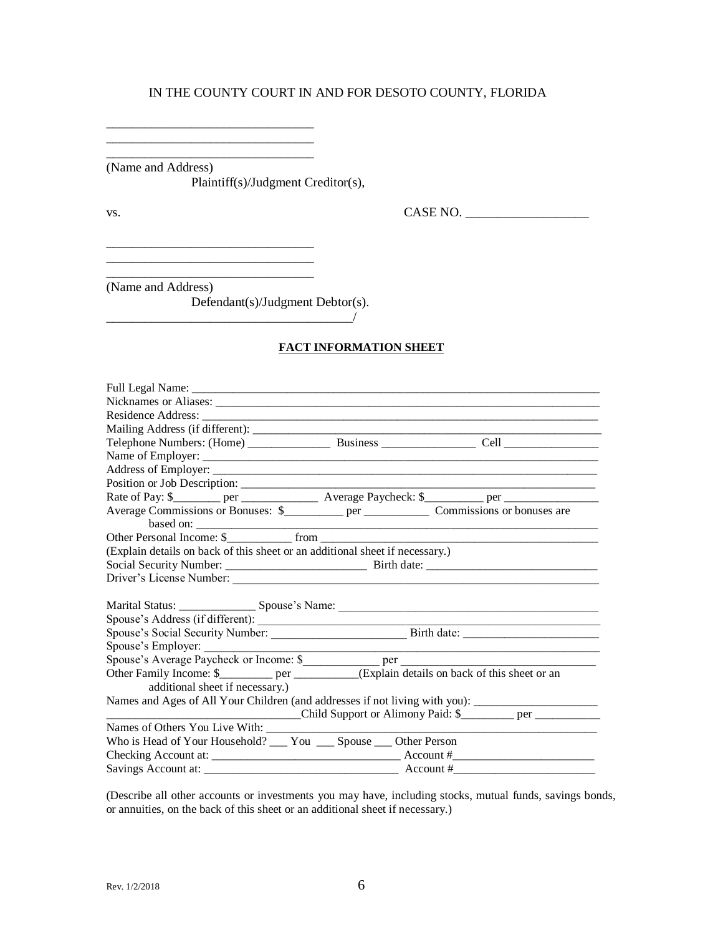\_\_\_\_\_\_\_\_\_\_\_\_\_\_\_\_\_\_\_\_\_\_\_\_\_\_\_\_\_\_\_\_ (Name and Address)

\_\_\_\_\_\_\_\_\_\_\_\_\_\_\_\_\_\_\_\_\_\_\_\_\_\_\_\_\_\_\_\_ \_\_\_\_\_\_\_\_\_\_\_\_\_\_\_\_\_\_\_\_\_\_\_\_\_\_\_\_\_\_\_\_

\_\_\_\_\_\_\_\_\_\_\_\_\_\_\_\_\_\_\_\_\_\_\_\_\_\_\_\_\_\_\_\_

\_\_\_\_\_\_\_\_\_\_\_\_\_\_\_\_\_\_\_\_\_\_\_\_\_\_\_\_\_\_\_\_

Plaintiff(s)/Judgment Creditor(s),

vs. CASE NO. \_\_\_\_\_\_\_\_\_\_\_\_\_\_\_\_\_\_\_

(Name and Address)

Defendant(s)/Judgment Debtor(s).

 $\overline{\phantom{a}}$ 

\_\_\_\_\_\_\_\_\_\_\_\_\_\_\_\_\_\_\_\_\_\_\_\_\_\_\_\_\_\_\_\_

#### **FACT INFORMATION SHEET**

| Residence Address:                                                                                  |                                   |
|-----------------------------------------------------------------------------------------------------|-----------------------------------|
|                                                                                                     |                                   |
| Telephone Numbers: (Home) Business Cell Cell                                                        |                                   |
|                                                                                                     |                                   |
|                                                                                                     |                                   |
|                                                                                                     |                                   |
|                                                                                                     |                                   |
|                                                                                                     | based on:                         |
|                                                                                                     |                                   |
| (Explain details on back of this sheet or an additional sheet if necessary.)                        |                                   |
|                                                                                                     |                                   |
|                                                                                                     |                                   |
|                                                                                                     |                                   |
|                                                                                                     |                                   |
|                                                                                                     |                                   |
|                                                                                                     |                                   |
| Spouse's Employer:                                                                                  |                                   |
|                                                                                                     |                                   |
| Other Family Income: \$____________ per ___________(Explain details on back of this sheet or an     |                                   |
| additional sheet if necessary.)                                                                     |                                   |
| Names and Ages of All Your Children (and addresses if not living with you): _______________________ |                                   |
|                                                                                                     | Child Support or Alimony Paid: \$ |
|                                                                                                     |                                   |
| Who is Head of Your Household? ___ You ___ Spouse ___ Other Person                                  |                                   |
|                                                                                                     |                                   |
|                                                                                                     |                                   |

(Describe all other accounts or investments you may have, including stocks, mutual funds, savings bonds, or annuities, on the back of this sheet or an additional sheet if necessary.)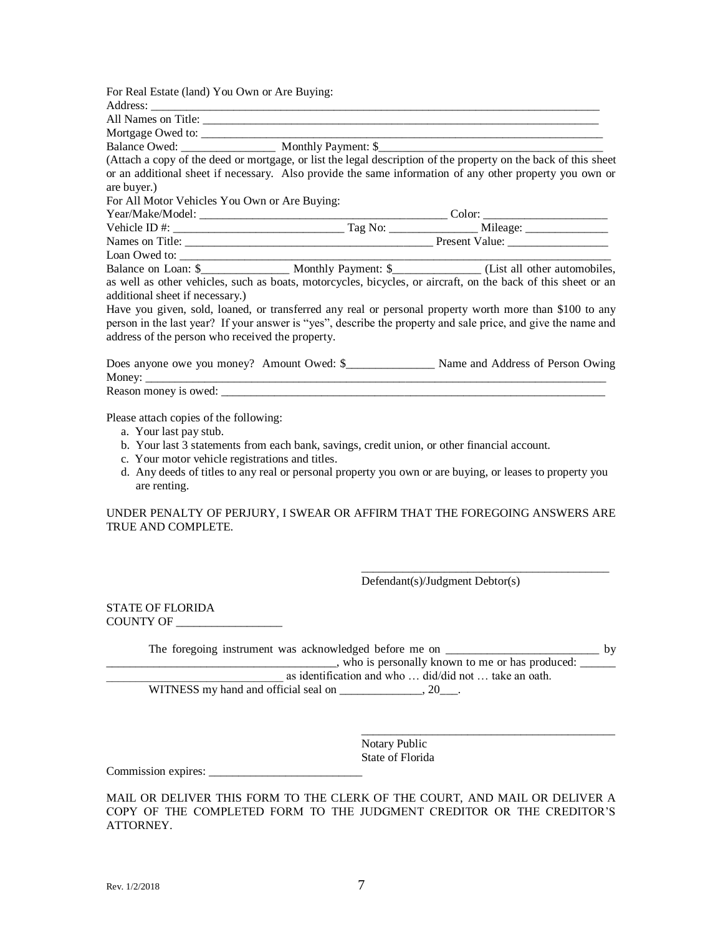| For Real Estate (land) You Own or Are Buying:    |                                                                                                                                                                                                                          |
|--------------------------------------------------|--------------------------------------------------------------------------------------------------------------------------------------------------------------------------------------------------------------------------|
|                                                  |                                                                                                                                                                                                                          |
|                                                  |                                                                                                                                                                                                                          |
|                                                  |                                                                                                                                                                                                                          |
| Balance Owed: Monthly Payment: \$                |                                                                                                                                                                                                                          |
|                                                  | (Attach a copy of the deed or mortgage, or list the legal description of the property on the back of this sheet                                                                                                          |
|                                                  | or an additional sheet if necessary. Also provide the same information of any other property you own or                                                                                                                  |
| are buyer.)                                      |                                                                                                                                                                                                                          |
| For All Motor Vehicles You Own or Are Buying:    |                                                                                                                                                                                                                          |
|                                                  |                                                                                                                                                                                                                          |
|                                                  |                                                                                                                                                                                                                          |
|                                                  |                                                                                                                                                                                                                          |
| Loan Owed to:                                    |                                                                                                                                                                                                                          |
|                                                  |                                                                                                                                                                                                                          |
|                                                  | as well as other vehicles, such as boats, motorcycles, bicycles, or aircraft, on the back of this sheet or an                                                                                                            |
| additional sheet if necessary.)                  |                                                                                                                                                                                                                          |
| address of the person who received the property. | Have you given, sold, loaned, or transferred any real or personal property worth more than \$100 to any<br>person in the last year? If your answer is "yes", describe the property and sale price, and give the name and |
|                                                  |                                                                                                                                                                                                                          |
|                                                  |                                                                                                                                                                                                                          |

Please attach copies of the following:

- a. Your last pay stub.
- b. Your last 3 statements from each bank, savings, credit union, or other financial account.
- c. Your motor vehicle registrations and titles.
- d. Any deeds of titles to any real or personal property you own or are buying, or leases to property you are renting.

UNDER PENALTY OF PERJURY, I SWEAR OR AFFIRM THAT THE FOREGOING ANSWERS ARE TRUE AND COMPLETE.

Defendant(s)/Judgment Debtor(s)

\_\_\_\_\_\_\_\_\_\_\_\_\_\_\_\_\_\_\_\_\_\_\_\_\_\_\_\_\_\_\_\_\_\_\_\_\_\_\_\_\_\_

\_\_\_\_\_\_\_\_\_\_\_\_\_\_\_\_\_\_\_\_\_\_\_\_\_\_\_\_\_\_\_\_\_\_\_\_\_\_\_\_\_\_\_

STATE OF FLORIDA COUNTY OF \_\_\_\_\_\_\_\_\_\_\_\_\_\_\_\_\_\_

| The foregoing instrument was acknowledged before me on ______ | hv |
|---------------------------------------------------------------|----|
| who is personally known to me or has produced:                |    |
| as identification and who  did/did not  take an oath.         |    |
| WITNESS my hand and official seal on                          |    |

Notary Public State of Florida

Commission expires: \_\_\_\_\_\_\_\_\_\_\_\_\_\_\_\_\_\_\_\_\_\_\_\_\_\_

MAIL OR DELIVER THIS FORM TO THE CLERK OF THE COURT, AND MAIL OR DELIVER A COPY OF THE COMPLETED FORM TO THE JUDGMENT CREDITOR OR THE CREDITOR'S ATTORNEY.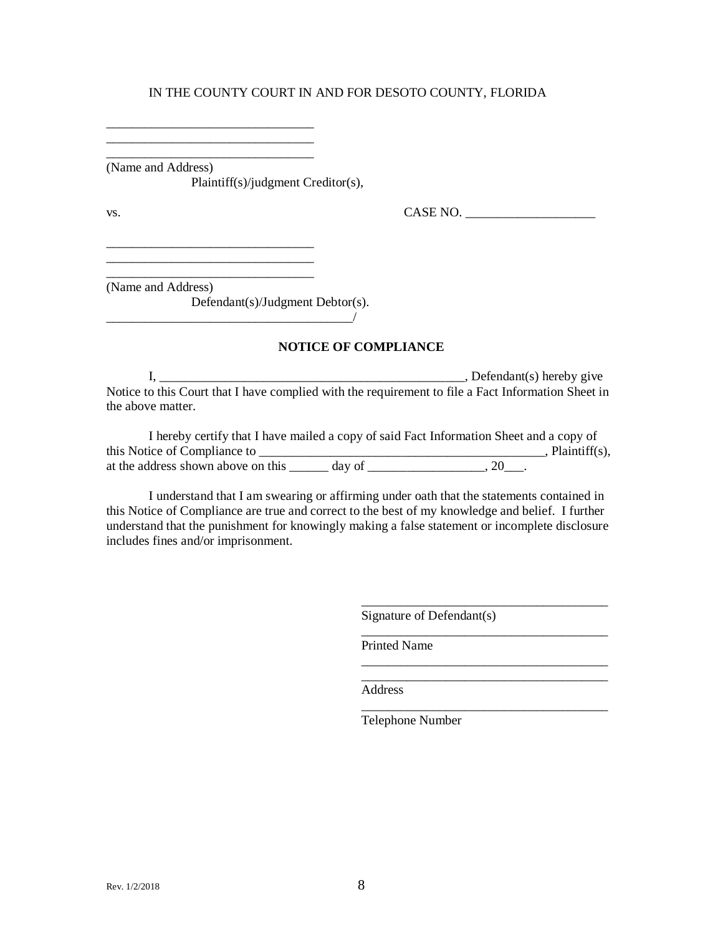\_\_\_\_\_\_\_\_\_\_\_\_\_\_\_\_\_\_\_\_\_\_\_\_\_\_\_\_\_\_\_\_ (Name and Address)

\_\_\_\_\_\_\_\_\_\_\_\_\_\_\_\_\_\_\_\_\_\_\_\_\_\_\_\_\_\_\_\_

\_\_\_\_\_\_\_\_\_\_\_\_\_\_\_\_\_\_\_\_\_\_\_\_\_\_\_\_\_\_\_\_ \_\_\_\_\_\_\_\_\_\_\_\_\_\_\_\_\_\_\_\_\_\_\_\_\_\_\_\_\_\_\_\_

Plaintiff(s)/judgment Creditor(s),

vs. CASE NO. \_\_\_\_\_\_\_\_\_\_\_\_\_\_\_\_\_\_\_\_

\_\_\_\_\_\_\_\_\_\_\_\_\_\_\_\_\_\_\_\_\_\_\_\_\_\_\_\_\_\_\_\_ (Name and Address)

Defendant(s)/Judgment Debtor(s).

 $\overline{\phantom{a}}$ 

#### **NOTICE OF COMPLIANCE**

I, \_\_\_\_\_\_\_\_\_\_\_\_\_\_\_\_\_\_\_\_\_\_\_\_\_\_\_\_\_\_\_\_\_\_\_\_\_\_\_\_\_\_\_\_\_\_\_, Defendant(s) hereby give Notice to this Court that I have complied with the requirement to file a Fact Information Sheet in the above matter.

| I hereby certify that I have mailed a copy of said Fact Information Sheet and a copy of |        |    |                     |
|-----------------------------------------------------------------------------------------|--------|----|---------------------|
| this Notice of Compliance to                                                            |        |    | , Plaintiff $(s)$ , |
| at the address shown above on this                                                      | day of | 20 |                     |

I understand that I am swearing or affirming under oath that the statements contained in this Notice of Compliance are true and correct to the best of my knowledge and belief. I further understand that the punishment for knowingly making a false statement or incomplete disclosure includes fines and/or imprisonment.

Signature of Defendant(s)

\_\_\_\_\_\_\_\_\_\_\_\_\_\_\_\_\_\_\_\_\_\_\_\_\_\_\_\_\_\_\_\_\_\_\_\_\_\_

\_\_\_\_\_\_\_\_\_\_\_\_\_\_\_\_\_\_\_\_\_\_\_\_\_\_\_\_\_\_\_\_\_\_\_\_\_\_

\_\_\_\_\_\_\_\_\_\_\_\_\_\_\_\_\_\_\_\_\_\_\_\_\_\_\_\_\_\_\_\_\_\_\_\_\_\_

\_\_\_\_\_\_\_\_\_\_\_\_\_\_\_\_\_\_\_\_\_\_\_\_\_\_\_\_\_\_\_\_\_\_\_\_\_\_

Printed Name

Address

Telephone Number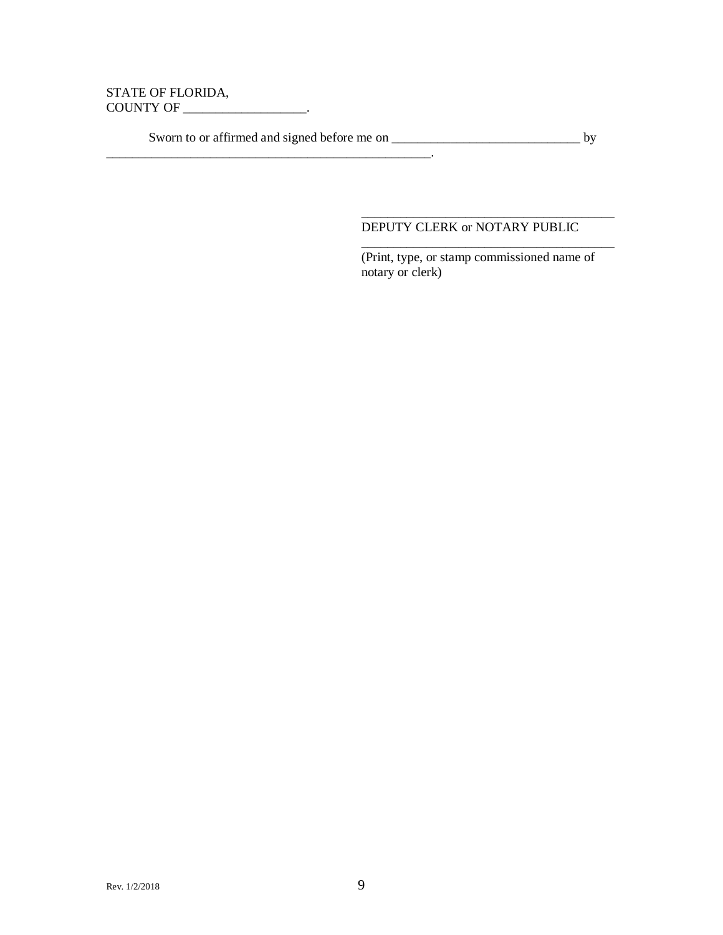#### STATE OF FLORIDA, COUNTY OF \_\_\_\_\_\_\_\_\_\_\_\_\_\_\_\_\_\_\_.

Sworn to or affirmed and signed before me on \_\_\_\_\_\_\_\_\_\_\_\_\_\_\_\_\_\_\_\_\_\_\_\_\_\_\_\_\_ by

\_\_\_\_\_\_\_\_\_\_\_\_\_\_\_\_\_\_\_\_\_\_\_\_\_\_\_\_\_\_\_\_\_\_\_\_\_\_\_\_\_\_\_\_\_\_\_\_\_\_.

#### \_\_\_\_\_\_\_\_\_\_\_\_\_\_\_\_\_\_\_\_\_\_\_\_\_\_\_\_\_\_\_\_\_\_\_\_\_\_\_ DEPUTY CLERK or NOTARY PUBLIC

(Print, type, or stamp commissioned name of notary or clerk)

\_\_\_\_\_\_\_\_\_\_\_\_\_\_\_\_\_\_\_\_\_\_\_\_\_\_\_\_\_\_\_\_\_\_\_\_\_\_\_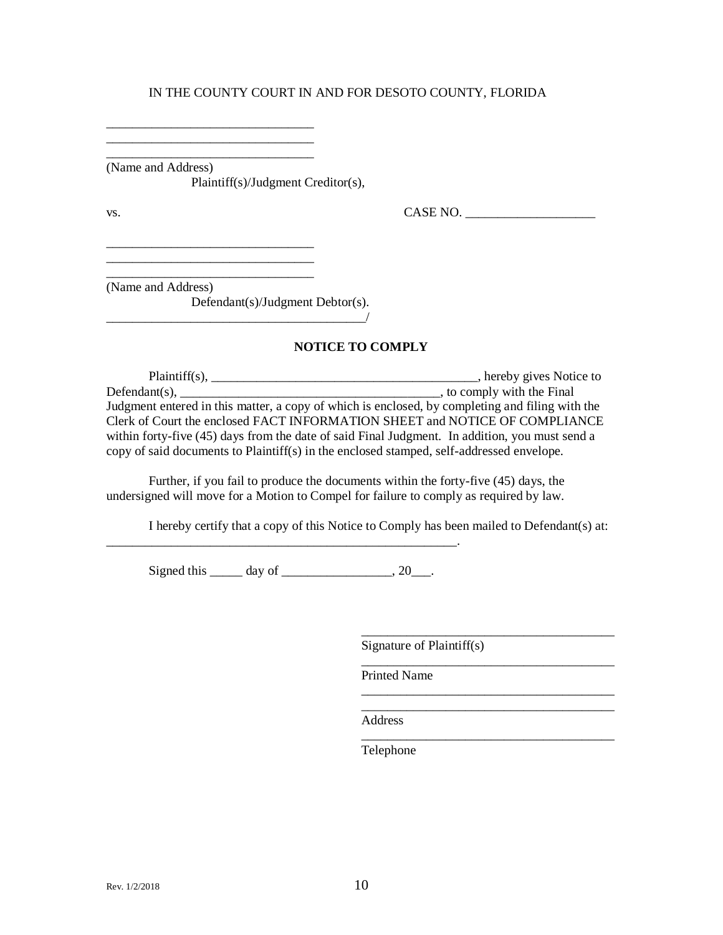\_\_\_\_\_\_\_\_\_\_\_\_\_\_\_\_\_\_\_\_\_\_\_\_\_\_\_\_\_\_\_\_ (Name and Address)

\_\_\_\_\_\_\_\_\_\_\_\_\_\_\_\_\_\_\_\_\_\_\_\_\_\_\_\_\_\_\_\_ \_\_\_\_\_\_\_\_\_\_\_\_\_\_\_\_\_\_\_\_\_\_\_\_\_\_\_\_\_\_\_\_

\_\_\_\_\_\_\_\_\_\_\_\_\_\_\_\_\_\_\_\_\_\_\_\_\_\_\_\_\_\_\_\_ \_\_\_\_\_\_\_\_\_\_\_\_\_\_\_\_\_\_\_\_\_\_\_\_\_\_\_\_\_\_\_\_

Plaintiff(s)/Judgment Creditor(s),

vs. CASE NO. \_\_\_\_\_\_\_\_\_\_\_\_\_\_\_\_\_\_\_\_

\_\_\_\_\_\_\_\_\_\_\_\_\_\_\_\_\_\_\_\_\_\_\_\_\_\_\_\_\_\_\_\_ (Name and Address)

Defendant(s)/Judgment Debtor(s).

 $\overline{\phantom{a}}$ 

#### **NOTICE TO COMPLY**

Plaintiff(s), \_\_\_\_\_\_\_\_\_\_\_\_\_\_\_\_\_\_\_\_\_\_\_\_\_\_\_\_\_\_\_\_\_\_\_\_\_\_\_\_\_, hereby gives Notice to Defendant(s),  $\frac{1}{\sqrt{1-\frac{1}{n}}}\left\{ \frac{1}{n} \frac{1}{n} \frac{1}{n} \frac{1}{n} \frac{1}{n} \frac{1}{n} \frac{1}{n} \frac{1}{n} \frac{1}{n} \frac{1}{n} \frac{1}{n} \frac{1}{n} \frac{1}{n} \frac{1}{n} \frac{1}{n} \frac{1}{n} \frac{1}{n} \frac{1}{n} \frac{1}{n} \frac{1}{n} \frac{1}{n} \frac{1}{n} \frac{1}{n} \frac{1}{n} \frac{1}{n} \frac{1}{n} \frac{1$ Judgment entered in this matter, a copy of which is enclosed, by completing and filing with the Clerk of Court the enclosed FACT INFORMATION SHEET and NOTICE OF COMPLIANCE within forty-five (45) days from the date of said Final Judgment. In addition, you must send a copy of said documents to Plaintiff(s) in the enclosed stamped, self-addressed envelope.

Further, if you fail to produce the documents within the forty-five (45) days, the undersigned will move for a Motion to Compel for failure to comply as required by law.

I hereby certify that a copy of this Notice to Comply has been mailed to Defendant(s) at:

Signed this  $\_\_\_\_$  day of  $\_\_\_\_\_\_$ , 20 $\_\_\_\_\.\$ 

\_\_\_\_\_\_\_\_\_\_\_\_\_\_\_\_\_\_\_\_\_\_\_\_\_\_\_\_\_\_\_\_\_\_\_\_\_\_\_\_\_\_\_\_\_\_\_\_\_\_\_\_\_\_.

Signature of Plaintiff(s)

\_\_\_\_\_\_\_\_\_\_\_\_\_\_\_\_\_\_\_\_\_\_\_\_\_\_\_\_\_\_\_\_\_\_\_\_\_\_\_

\_\_\_\_\_\_\_\_\_\_\_\_\_\_\_\_\_\_\_\_\_\_\_\_\_\_\_\_\_\_\_\_\_\_\_\_\_\_\_

\_\_\_\_\_\_\_\_\_\_\_\_\_\_\_\_\_\_\_\_\_\_\_\_\_\_\_\_\_\_\_\_\_\_\_\_\_\_\_

\_\_\_\_\_\_\_\_\_\_\_\_\_\_\_\_\_\_\_\_\_\_\_\_\_\_\_\_\_\_\_\_\_\_\_\_\_\_\_

Printed Name

\_\_\_\_\_\_\_\_\_\_\_\_\_\_\_\_\_\_\_\_\_\_\_\_\_\_\_\_\_\_\_\_\_\_\_\_\_\_\_ Address

Telephone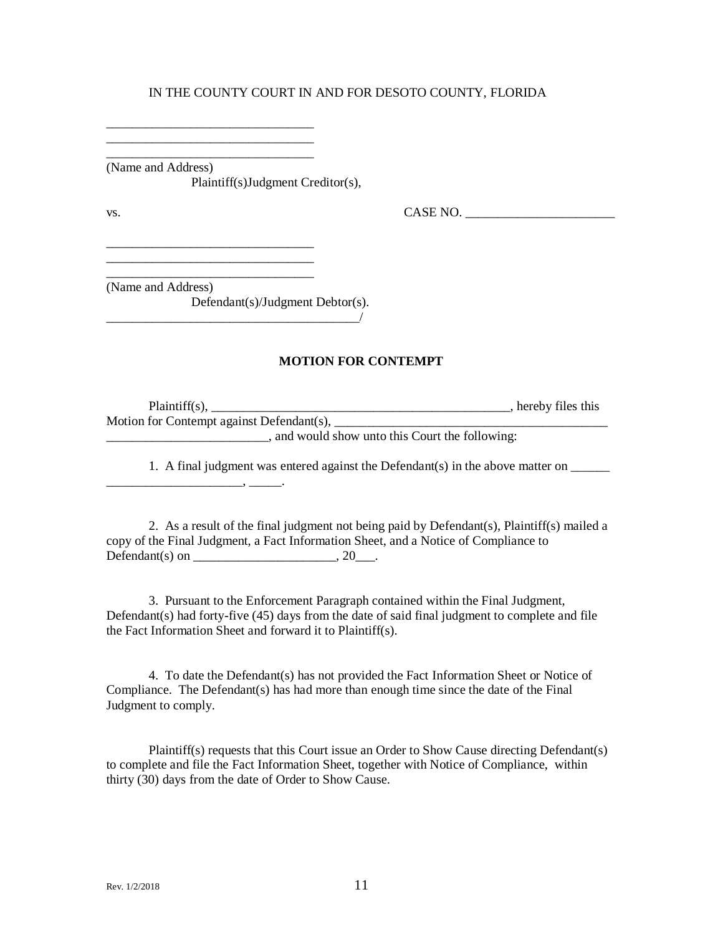\_\_\_\_\_\_\_\_\_\_\_\_\_\_\_\_\_\_\_\_\_\_\_\_\_\_\_\_\_\_\_\_ (Name and Address) Plaintiff(s)Judgment Creditor(s),

\_\_\_\_\_\_\_\_\_\_\_\_\_\_\_\_\_\_\_\_\_\_\_\_\_\_\_\_\_\_\_\_ \_\_\_\_\_\_\_\_\_\_\_\_\_\_\_\_\_\_\_\_\_\_\_\_\_\_\_\_\_\_\_\_

\_\_\_\_\_\_\_\_\_\_\_\_\_\_\_\_\_\_\_\_\_\_\_\_\_\_\_\_\_\_\_\_

\_\_\_\_\_\_\_\_\_\_\_\_\_\_\_\_\_\_\_\_\_\_\_\_\_\_\_\_\_\_\_\_

vs. CASE NO. \_\_\_\_\_\_\_\_\_\_\_\_\_\_\_\_\_\_\_\_\_\_\_

(Name and Address)

Defendant(s)/Judgment Debtor(s). \_\_\_\_\_\_\_\_\_\_\_\_\_\_\_\_\_\_\_\_\_\_\_\_\_\_\_\_\_\_\_\_\_\_\_\_\_\_\_/

#### **MOTION FOR CONTEMPT**

| $Plaintiff(s)$ ,                          | , hereby files this |
|-------------------------------------------|---------------------|
| Motion for Contempt against Defendant(s), |                     |
|                                           | 111                 |

\_\_\_\_\_\_\_\_\_\_\_\_\_\_\_\_\_\_\_\_\_\_\_\_\_, and would show unto this Court the following:

1. A final judgment was entered against the Defendant(s) in the above matter on \_\_\_\_\_\_  $\overline{\phantom{a}}$  ,  $\overline{\phantom{a}}$  ,  $\overline{\phantom{a}}$  ,  $\overline{\phantom{a}}$  ,  $\overline{\phantom{a}}$  ,  $\overline{\phantom{a}}$  ,  $\overline{\phantom{a}}$  ,  $\overline{\phantom{a}}$  ,  $\overline{\phantom{a}}$  ,  $\overline{\phantom{a}}$  ,  $\overline{\phantom{a}}$  ,  $\overline{\phantom{a}}$  ,  $\overline{\phantom{a}}$  ,  $\overline{\phantom{a}}$  ,  $\overline{\phantom{a}}$  ,  $\overline{\phantom{a}}$ 

2. As a result of the final judgment not being paid by Defendant(s), Plaintiff(s) mailed a copy of the Final Judgment, a Fact Information Sheet, and a Notice of Compliance to Defendant(s) on \_\_\_\_\_\_\_\_\_\_\_\_\_\_\_\_\_\_\_\_\_\_\_\_\_\_, 20\_\_\_.

3. Pursuant to the Enforcement Paragraph contained within the Final Judgment, Defendant(s) had forty-five (45) days from the date of said final judgment to complete and file the Fact Information Sheet and forward it to Plaintiff(s).

4. To date the Defendant(s) has not provided the Fact Information Sheet or Notice of Compliance. The Defendant(s) has had more than enough time since the date of the Final Judgment to comply.

Plaintiff(s) requests that this Court issue an Order to Show Cause directing Defendant(s) to complete and file the Fact Information Sheet, together with Notice of Compliance, within thirty (30) days from the date of Order to Show Cause.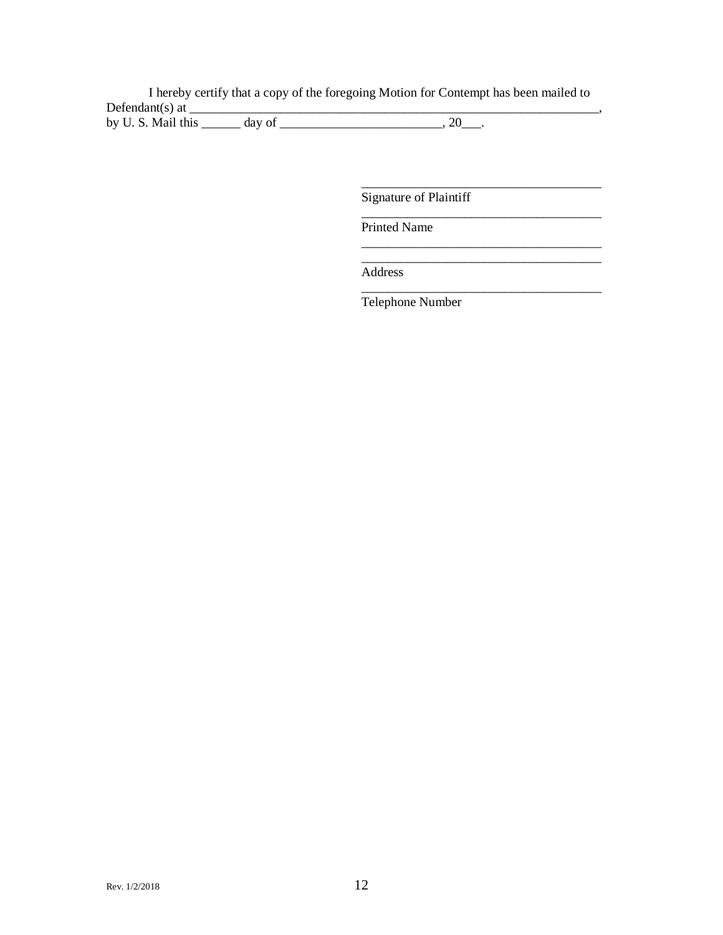I hereby certify that a copy of the foregoing Motion for Contempt has been mailed to Defendant(s) at  $\frac{1}{\sqrt{2}}$ 

by U. S. Mail this \_\_\_\_\_\_\_ day of \_\_\_\_\_\_\_\_\_\_\_\_\_\_\_\_\_\_\_\_\_\_\_\_\_\_\_\_, 20\_\_\_.

\_\_\_\_\_\_\_\_\_\_\_\_\_\_\_\_\_\_\_\_\_\_\_\_\_\_\_\_\_\_\_\_\_\_\_\_\_

\_\_\_\_\_\_\_\_\_\_\_\_\_\_\_\_\_\_\_\_\_\_\_\_\_\_\_\_\_\_\_\_\_\_\_\_\_

\_\_\_\_\_\_\_\_\_\_\_\_\_\_\_\_\_\_\_\_\_\_\_\_\_\_\_\_\_\_\_\_\_\_\_\_\_ \_\_\_\_\_\_\_\_\_\_\_\_\_\_\_\_\_\_\_\_\_\_\_\_\_\_\_\_\_\_\_\_\_\_\_\_\_

\_\_\_\_\_\_\_\_\_\_\_\_\_\_\_\_\_\_\_\_\_\_\_\_\_\_\_\_\_\_\_\_\_\_\_\_\_

Signature of Plaintiff

Printed Name

Address

Telephone Number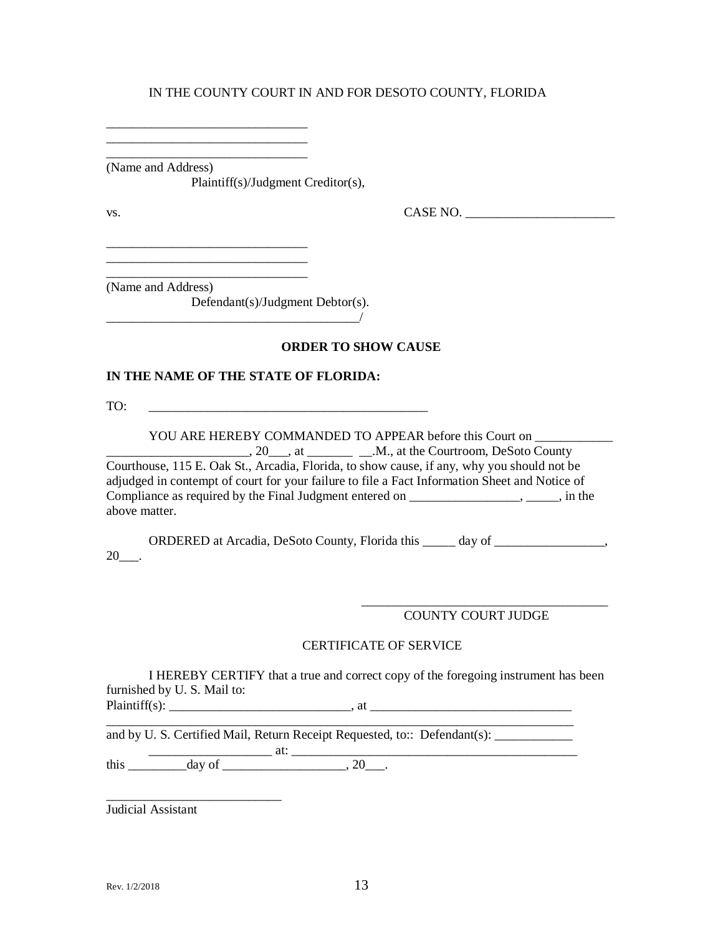\_\_\_\_\_\_\_\_\_\_\_\_\_\_\_\_\_\_\_\_\_\_\_\_\_\_\_\_\_\_\_ (Name and Address)

\_\_\_\_\_\_\_\_\_\_\_\_\_\_\_\_\_\_\_\_\_\_\_\_\_\_\_\_\_\_\_ \_\_\_\_\_\_\_\_\_\_\_\_\_\_\_\_\_\_\_\_\_\_\_\_\_\_\_\_\_\_\_

\_\_\_\_\_\_\_\_\_\_\_\_\_\_\_\_\_\_\_\_\_\_\_\_\_\_\_\_\_\_\_ \_\_\_\_\_\_\_\_\_\_\_\_\_\_\_\_\_\_\_\_\_\_\_\_\_\_\_\_\_\_\_

Plaintiff(s)/Judgment Creditor(s),

 $\text{Vs.}}$  CASE NO.  $\overline{\phantom{0}}$ 

\_\_\_\_\_\_\_\_\_\_\_\_\_\_\_\_\_\_\_\_\_\_\_\_\_\_\_\_\_\_\_ (Name and Address)

Defendant(s)/Judgment Debtor(s).

#### **ORDER TO SHOW CAUSE**

#### **IN THE NAME OF THE STATE OF FLORIDA:**

 $\overline{\phantom{a}}$ 

TO: \_\_\_\_\_\_\_\_\_\_\_\_\_\_\_\_\_\_\_\_\_\_\_\_\_\_\_\_\_\_\_\_\_\_\_\_\_\_\_\_\_\_\_

YOU ARE HEREBY COMMANDED TO APPEAR before this Court on \_\_\_\_\_\_\_\_\_\_\_\_\_\_\_\_\_\_\_\_\_\_, 20\_\_\_, at \_\_\_\_\_\_\_ \_\_.M., at the Courtroom, DeSoto County Courthouse, 115 E. Oak St., Arcadia, Florida, to show cause, if any, why you should not be adjudged in contempt of court for your failure to file a Fact Information Sheet and Notice of Compliance as required by the Final Judgment entered on \_\_\_\_\_\_\_\_\_\_\_\_\_\_\_\_\_, \_\_\_\_\_, in the above matter.

ORDERED at Arcadia, DeSoto County, Florida this \_\_\_\_\_ day of \_\_\_\_\_\_\_\_\_\_\_\_\_\_\_\_\_,  $20$ .

> \_\_\_\_\_\_\_\_\_\_\_\_\_\_\_\_\_\_\_\_\_\_\_\_\_\_\_\_\_\_\_\_\_\_\_\_\_\_ COUNTY COURT JUDGE

#### CERTIFICATE OF SERVICE

I HEREBY CERTIFY that a true and correct copy of the foregoing instrument has been furnished by U. S. Mail to:

 $\text{Plaintiff}(s):$  and  $\text{Plaintiff}(s):$ \_\_\_\_\_\_\_\_\_\_\_\_\_\_\_\_\_\_\_\_\_\_\_\_\_\_\_\_\_\_\_\_\_\_\_\_\_\_\_\_\_\_\_\_\_\_\_\_\_\_\_\_\_\_\_\_\_\_\_\_\_\_\_\_\_\_\_\_\_\_\_\_

and by U. S. Certified Mail, Return Receipt Requested, to:: Defendant(s):

\_\_\_\_\_\_\_\_\_\_\_\_\_\_\_\_\_\_\_ at: \_\_\_\_\_\_\_\_\_\_\_\_\_\_\_\_\_\_\_\_\_\_\_\_\_\_\_\_\_\_\_\_\_\_\_\_\_\_\_\_\_\_\_\_ this \_\_\_\_\_\_\_\_\_day of \_\_\_\_\_\_\_\_\_\_\_\_\_\_\_\_\_\_\_, 20\_\_\_.

\_\_\_\_\_\_\_\_\_\_\_\_\_\_\_\_\_\_\_\_\_\_\_\_\_\_\_ Judicial Assistant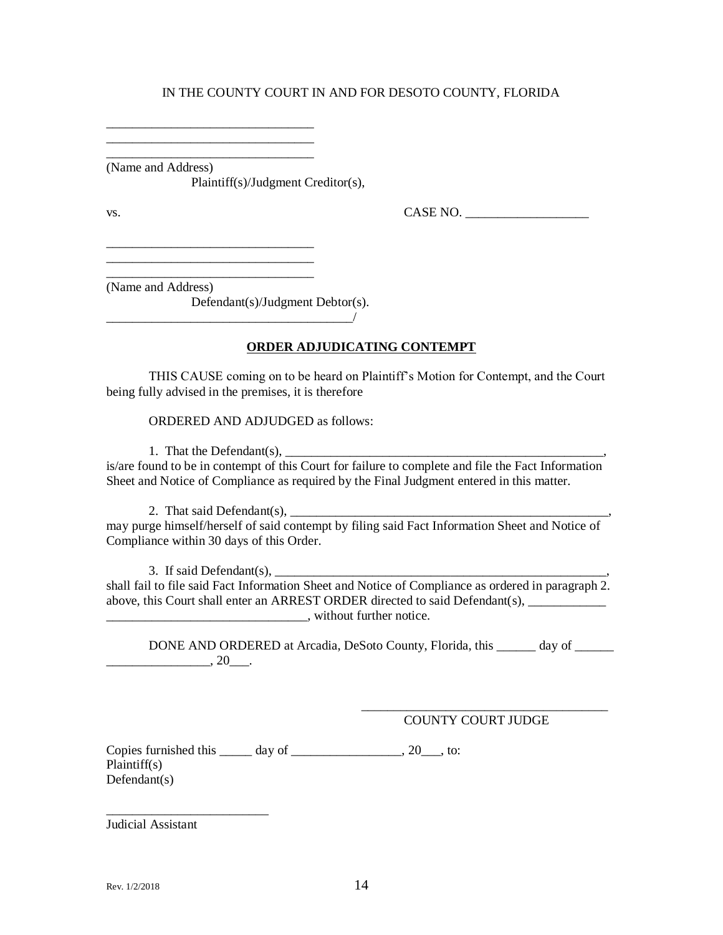\_\_\_\_\_\_\_\_\_\_\_\_\_\_\_\_\_\_\_\_\_\_\_\_\_\_\_\_\_\_\_\_ (Name and Address)

\_\_\_\_\_\_\_\_\_\_\_\_\_\_\_\_\_\_\_\_\_\_\_\_\_\_\_\_\_\_\_\_ \_\_\_\_\_\_\_\_\_\_\_\_\_\_\_\_\_\_\_\_\_\_\_\_\_\_\_\_\_\_\_\_

\_\_\_\_\_\_\_\_\_\_\_\_\_\_\_\_\_\_\_\_\_\_\_\_\_\_\_\_\_\_\_\_ \_\_\_\_\_\_\_\_\_\_\_\_\_\_\_\_\_\_\_\_\_\_\_\_\_\_\_\_\_\_\_\_

Plaintiff(s)/Judgment Creditor(s),

 $\text{Vs.}}$  CASE NO.  $\overline{\phantom{0}}$ 

\_\_\_\_\_\_\_\_\_\_\_\_\_\_\_\_\_\_\_\_\_\_\_\_\_\_\_\_\_\_\_\_ (Name and Address)

Defendant(s)/Judgment Debtor(s).

\_\_\_\_\_\_\_\_\_\_\_\_\_\_\_\_\_\_\_\_\_\_\_\_\_\_\_\_\_\_\_\_\_\_\_\_\_\_/

## **ORDER ADJUDICATING CONTEMPT**

THIS CAUSE coming on to be heard on Plaintiff's Motion for Contempt, and the Court being fully advised in the premises, it is therefore

ORDERED AND ADJUDGED as follows:

1. That the Defendant $(s)$ ,

is/are found to be in contempt of this Court for failure to complete and file the Fact Information Sheet and Notice of Compliance as required by the Final Judgment entered in this matter.

2. That said Defendant(s),  $\frac{1}{\sqrt{2}}$ 

may purge himself/herself of said contempt by filing said Fact Information Sheet and Notice of Compliance within 30 days of this Order.

3. If said Defendant(s), \_\_\_\_\_\_\_\_\_\_\_\_\_\_\_\_\_\_\_\_\_\_\_\_\_\_\_\_\_\_\_\_\_\_\_\_\_\_\_\_\_\_\_\_\_\_\_\_\_\_\_, shall fail to file said Fact Information Sheet and Notice of Compliance as ordered in paragraph 2. above, this Court shall enter an ARREST ORDER directed to said Defendant(s), \_\_\_\_\_\_\_\_\_\_\_\_\_\_\_\_\_\_\_\_\_\_\_\_\_\_\_\_\_\_\_, without further notice.

DONE AND ORDERED at Arcadia, DeSoto County, Florida, this \_\_\_\_\_ day of  $\frac{1}{20}$ ,  $20$ 

> \_\_\_\_\_\_\_\_\_\_\_\_\_\_\_\_\_\_\_\_\_\_\_\_\_\_\_\_\_\_\_\_\_\_\_\_\_\_ COUNTY COURT JUDGE

Copies furnished this  $\_\_\_\_\$  day of  $\_\_\_\_\_\_\_\_\_\_\_$ , 20 $\_\_\_\_\$ , to: Plaintiff(s) Defendant(s)

Judicial Assistant

\_\_\_\_\_\_\_\_\_\_\_\_\_\_\_\_\_\_\_\_\_\_\_\_\_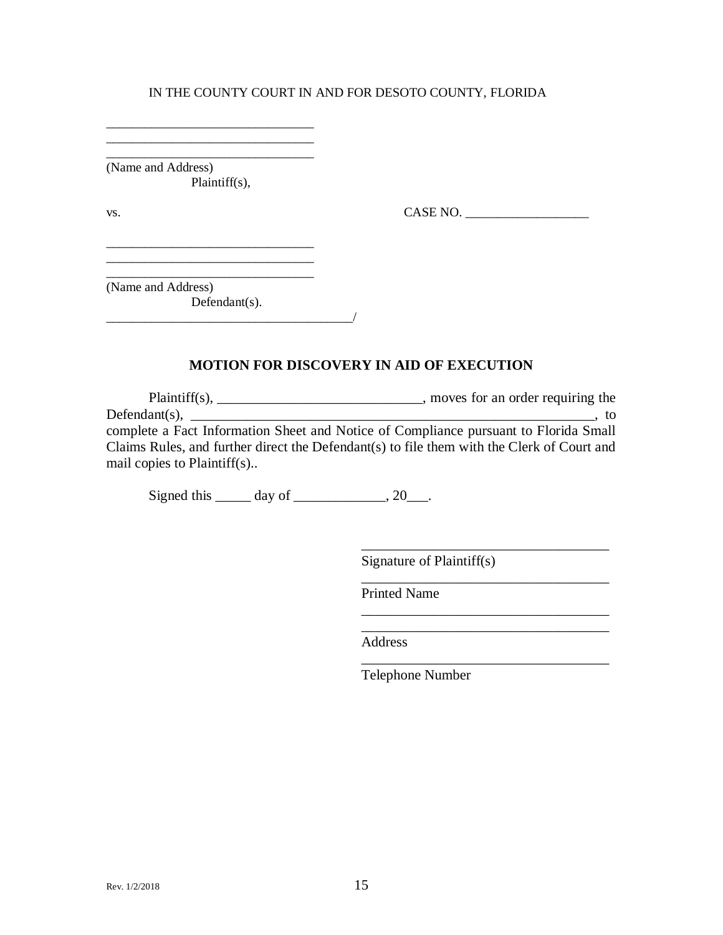\_\_\_\_\_\_\_\_\_\_\_\_\_\_\_\_\_\_\_\_\_\_\_\_\_\_\_\_\_\_\_\_ (Name and Address) Plaintiff(s),

\_\_\_\_\_\_\_\_\_\_\_\_\_\_\_\_\_\_\_\_\_\_\_\_\_\_\_\_\_\_\_\_ \_\_\_\_\_\_\_\_\_\_\_\_\_\_\_\_\_\_\_\_\_\_\_\_\_\_\_\_\_\_\_\_

vs. CASE NO. \_\_\_\_\_\_\_\_\_\_\_\_\_\_\_\_\_\_\_

(Name and Address) Defendant(s).

\_\_\_\_\_\_\_\_\_\_\_\_\_\_\_\_\_\_\_\_\_\_\_\_\_\_\_\_\_\_\_\_

 $\overline{\phantom{a}}$ 

#### **MOTION FOR DISCOVERY IN AID OF EXECUTION**

Plaintiff(s), \_\_\_\_\_\_\_\_\_\_\_\_\_\_\_\_\_\_\_\_\_\_\_\_\_\_\_, moves for an order requiring the  $Definition(s),$   $\qquad \qquad$   $\qquad \qquad$   $\qquad$   $\qquad$   $\qquad$   $\qquad$   $\qquad$   $\qquad$   $\qquad$   $\qquad$   $\qquad$   $\qquad$   $\qquad$   $\qquad$   $\qquad$   $\qquad$   $\qquad$   $\qquad$   $\qquad$   $\qquad$   $\qquad$   $\qquad$   $\qquad$   $\qquad$   $\qquad$   $\qquad$   $\qquad$   $\qquad$   $\qquad$   $\qquad$   $\qquad$   $\qquad$   $\qquad$   $\qquad$   $\qquad$ complete a Fact Information Sheet and Notice of Compliance pursuant to Florida Small Claims Rules, and further direct the Defendant(s) to file them with the Clerk of Court and mail copies to Plaintiff(s)..

Signed this  $\_\_\_\_\$  day of  $\_\_\_\_\_\$ , 20 $\_\_\_\$ .

Signature of Plaintiff(s)

\_\_\_\_\_\_\_\_\_\_\_\_\_\_\_\_\_\_\_\_\_\_\_\_\_\_\_\_\_\_\_\_\_\_\_

\_\_\_\_\_\_\_\_\_\_\_\_\_\_\_\_\_\_\_\_\_\_\_\_\_\_\_\_\_\_\_\_\_\_\_

\_\_\_\_\_\_\_\_\_\_\_\_\_\_\_\_\_\_\_\_\_\_\_\_\_\_\_\_\_\_\_\_\_\_\_

\_\_\_\_\_\_\_\_\_\_\_\_\_\_\_\_\_\_\_\_\_\_\_\_\_\_\_\_\_\_\_\_\_\_\_

Printed Name

Address

Telephone Number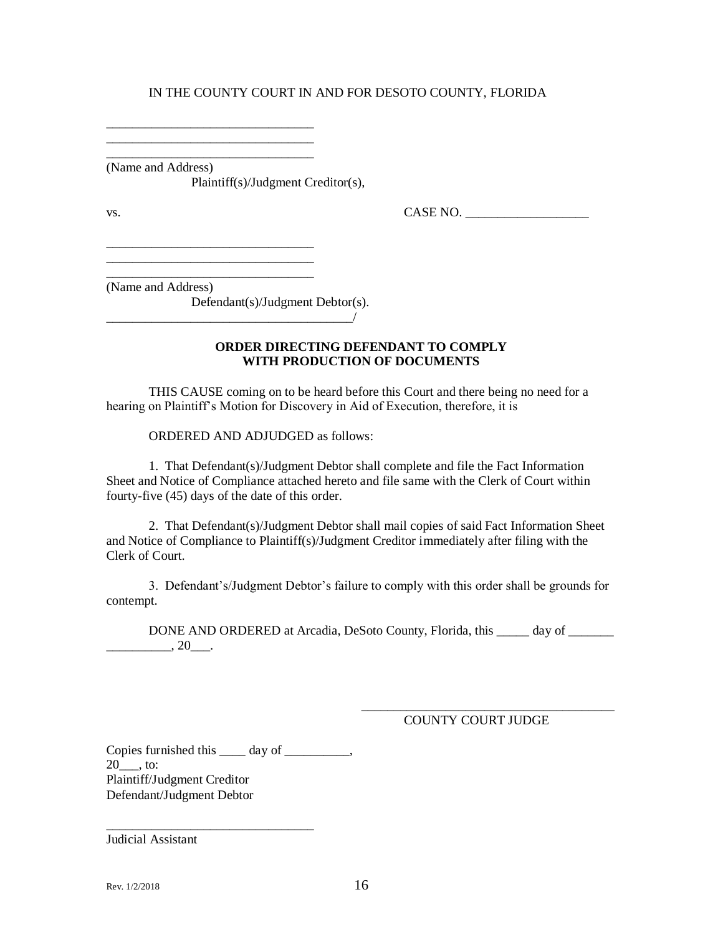\_\_\_\_\_\_\_\_\_\_\_\_\_\_\_\_\_\_\_\_\_\_\_\_\_\_\_\_\_\_\_\_ (Name and Address)

\_\_\_\_\_\_\_\_\_\_\_\_\_\_\_\_\_\_\_\_\_\_\_\_\_\_\_\_\_\_\_\_ \_\_\_\_\_\_\_\_\_\_\_\_\_\_\_\_\_\_\_\_\_\_\_\_\_\_\_\_\_\_\_\_

\_\_\_\_\_\_\_\_\_\_\_\_\_\_\_\_\_\_\_\_\_\_\_\_\_\_\_\_\_\_\_\_ \_\_\_\_\_\_\_\_\_\_\_\_\_\_\_\_\_\_\_\_\_\_\_\_\_\_\_\_\_\_\_\_

Plaintiff(s)/Judgment Creditor(s),

 $\text{Vs.}}$  CASE NO.  $\overline{\phantom{0}}$ 

\_\_\_\_\_\_\_\_\_\_\_\_\_\_\_\_\_\_\_\_\_\_\_\_\_\_\_\_\_\_\_\_ (Name and Address)

Defendant(s)/Judgment Debtor(s).

 $\overline{\phantom{a}}$ 

#### **ORDER DIRECTING DEFENDANT TO COMPLY WITH PRODUCTION OF DOCUMENTS**

THIS CAUSE coming on to be heard before this Court and there being no need for a hearing on Plaintiff's Motion for Discovery in Aid of Execution, therefore, it is

ORDERED AND ADJUDGED as follows:

1. That Defendant(s)/Judgment Debtor shall complete and file the Fact Information Sheet and Notice of Compliance attached hereto and file same with the Clerk of Court within fourty-five (45) days of the date of this order.

2. That Defendant(s)/Judgment Debtor shall mail copies of said Fact Information Sheet and Notice of Compliance to Plaintiff(s)/Judgment Creditor immediately after filing with the Clerk of Court.

3. Defendant's/Judgment Debtor's failure to comply with this order shall be grounds for contempt.

DONE AND ORDERED at Arcadia, DeSoto County, Florida, this \_\_\_\_\_ day of \_\_\_\_\_\_\_  $\overline{\phantom{20}}$ ,  $20\overline{\phantom{0}}$ .

COUNTY COURT JUDGE

\_\_\_\_\_\_\_\_\_\_\_\_\_\_\_\_\_\_\_\_\_\_\_\_\_\_\_\_\_\_\_\_\_\_\_\_\_\_\_

Copies furnished this \_\_\_\_\_ day of \_\_\_\_\_\_\_\_\_,  $20$ , to: Plaintiff/Judgment Creditor Defendant/Judgment Debtor

\_\_\_\_\_\_\_\_\_\_\_\_\_\_\_\_\_\_\_\_\_\_\_\_\_\_\_\_\_\_\_\_

Judicial Assistant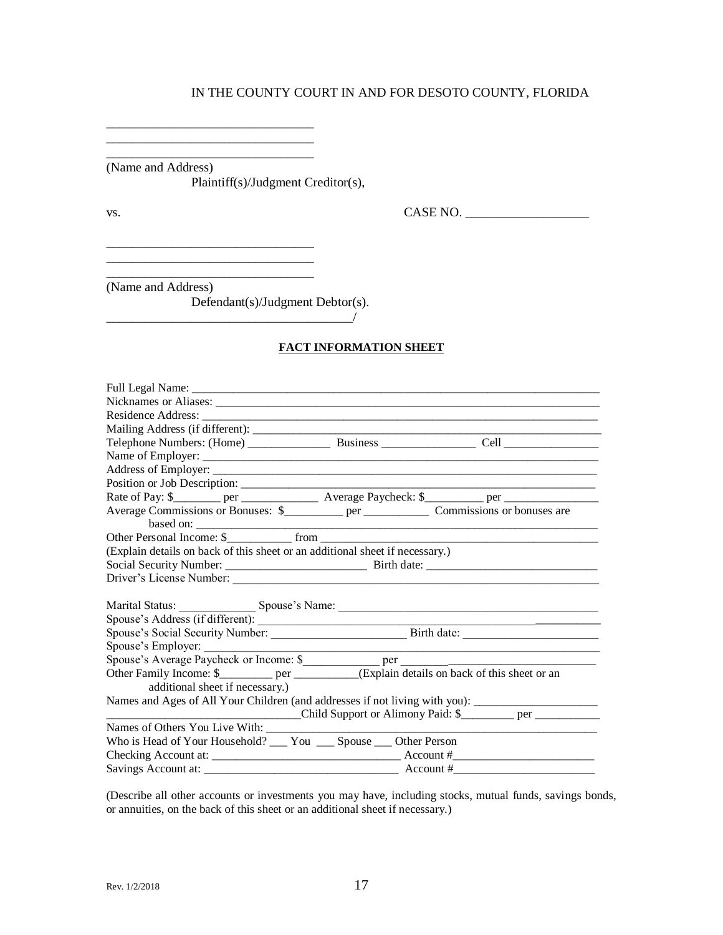\_\_\_\_\_\_\_\_\_\_\_\_\_\_\_\_\_\_\_\_\_\_\_\_\_\_\_\_\_\_\_\_ (Name and Address)

\_\_\_\_\_\_\_\_\_\_\_\_\_\_\_\_\_\_\_\_\_\_\_\_\_\_\_\_\_\_\_\_

\_\_\_\_\_\_\_\_\_\_\_\_\_\_\_\_\_\_\_\_\_\_\_\_\_\_\_\_\_\_\_\_

\_\_\_\_\_\_\_\_\_\_\_\_\_\_\_\_\_\_\_\_\_\_\_\_\_\_\_\_\_\_\_\_

\_\_\_\_\_\_\_\_\_\_\_\_\_\_\_\_\_\_\_\_\_\_\_\_\_\_\_\_\_\_\_\_

Plaintiff(s)/Judgment Creditor(s),

vs. CASE NO. \_\_\_\_\_\_\_\_\_\_\_\_\_\_\_\_\_\_\_

(Name and Address)

Defendant(s)/Judgment Debtor(s).

\_\_\_\_\_\_\_\_\_\_\_\_\_\_\_\_\_\_\_\_\_\_\_\_\_\_\_\_\_\_\_\_\_\_\_\_\_\_/

 $\_$ 

#### **FACT INFORMATION SHEET**

| Rate of Pay: \$________ per ________________________ Average Paycheck: \$__________ per ________________________ |                                                                                                                      |
|------------------------------------------------------------------------------------------------------------------|----------------------------------------------------------------------------------------------------------------------|
| based on:                                                                                                        |                                                                                                                      |
| Other Personal Income: \$                                                                                        |                                                                                                                      |
| (Explain details on back of this sheet or an additional sheet if necessary.)                                     |                                                                                                                      |
|                                                                                                                  |                                                                                                                      |
|                                                                                                                  |                                                                                                                      |
|                                                                                                                  |                                                                                                                      |
|                                                                                                                  |                                                                                                                      |
|                                                                                                                  |                                                                                                                      |
|                                                                                                                  |                                                                                                                      |
| Spouse's Employer:                                                                                               | <u> 1988 - Jan James James James James James James James James James James James James James James James James J</u> |
|                                                                                                                  |                                                                                                                      |
| Other Family Income: \$____________ per ___________(Explain details on back of this sheet or an                  |                                                                                                                      |
| additional sheet if necessary.)                                                                                  |                                                                                                                      |
| Names and Ages of All Your Children (and addresses if not living with you): _______________________              |                                                                                                                      |
| Child Support or Alimony Paid: \$                                                                                |                                                                                                                      |
|                                                                                                                  |                                                                                                                      |
| Who is Head of Your Household? ____ You ____ Spouse ____ Other Person                                            |                                                                                                                      |
|                                                                                                                  |                                                                                                                      |
| Savings Account at:<br>$\frac{1}{2}$ Account #                                                                   |                                                                                                                      |

(Describe all other accounts or investments you may have, including stocks, mutual funds, savings bonds, or annuities, on the back of this sheet or an additional sheet if necessary.)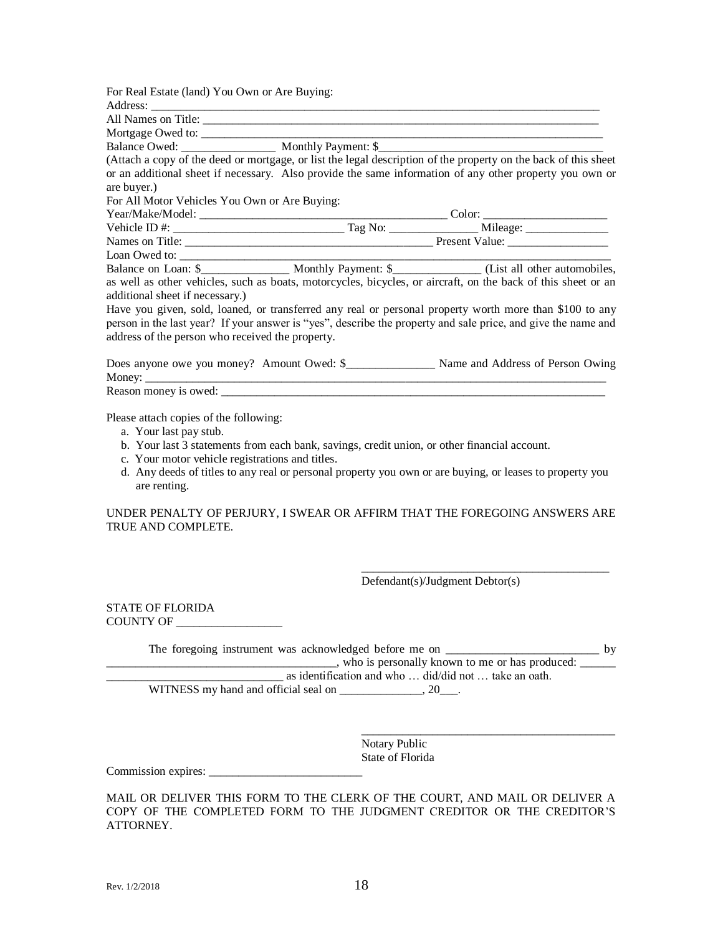| For Real Estate (land) You Own or Are Buying:    |                                                                                                                                                                                                                                                                                                                                                                                                                    |
|--------------------------------------------------|--------------------------------------------------------------------------------------------------------------------------------------------------------------------------------------------------------------------------------------------------------------------------------------------------------------------------------------------------------------------------------------------------------------------|
|                                                  |                                                                                                                                                                                                                                                                                                                                                                                                                    |
|                                                  |                                                                                                                                                                                                                                                                                                                                                                                                                    |
|                                                  |                                                                                                                                                                                                                                                                                                                                                                                                                    |
| Balance Owed: Monthly Payment: \$                |                                                                                                                                                                                                                                                                                                                                                                                                                    |
|                                                  | (Attach a copy of the deed or mortgage, or list the legal description of the property on the back of this sheet                                                                                                                                                                                                                                                                                                    |
| are buyer.)                                      | or an additional sheet if necessary. Also provide the same information of any other property you own or                                                                                                                                                                                                                                                                                                            |
| For All Motor Vehicles You Own or Are Buying:    |                                                                                                                                                                                                                                                                                                                                                                                                                    |
|                                                  |                                                                                                                                                                                                                                                                                                                                                                                                                    |
|                                                  | Vehicle ID #: $\frac{1}{\sqrt{1-\frac{1}{2}}}\frac{1}{\sqrt{1-\frac{1}{2}}}\frac{1}{\sqrt{1-\frac{1}{2}}}\frac{1}{\sqrt{1-\frac{1}{2}}}\frac{1}{\sqrt{1-\frac{1}{2}}}\frac{1}{\sqrt{1-\frac{1}{2}}}\frac{1}{\sqrt{1-\frac{1}{2}}}\frac{1}{\sqrt{1-\frac{1}{2}}}\frac{1}{\sqrt{1-\frac{1}{2}}}\frac{1}{\sqrt{1-\frac{1}{2}}}\frac{1}{\sqrt{1-\frac{1}{2}}}\frac{1}{\sqrt{1-\frac{1}{2}}}\frac{1}{\sqrt{1-\frac{1}{$ |
|                                                  |                                                                                                                                                                                                                                                                                                                                                                                                                    |
|                                                  |                                                                                                                                                                                                                                                                                                                                                                                                                    |
|                                                  |                                                                                                                                                                                                                                                                                                                                                                                                                    |
| additional sheet if necessary.)                  | as well as other vehicles, such as boats, motorcycles, bicycles, or aircraft, on the back of this sheet or an                                                                                                                                                                                                                                                                                                      |
| address of the person who received the property. | Have you given, sold, loaned, or transferred any real or personal property worth more than \$100 to any<br>person in the last year? If your answer is "yes", describe the property and sale price, and give the name and                                                                                                                                                                                           |
|                                                  |                                                                                                                                                                                                                                                                                                                                                                                                                    |
|                                                  |                                                                                                                                                                                                                                                                                                                                                                                                                    |

Please attach copies of the following:

- a. Your last pay stub.
- b. Your last 3 statements from each bank, savings, credit union, or other financial account.
- c. Your motor vehicle registrations and titles.
- d. Any deeds of titles to any real or personal property you own or are buying, or leases to property you are renting.

UNDER PENALTY OF PERJURY, I SWEAR OR AFFIRM THAT THE FOREGOING ANSWERS ARE TRUE AND COMPLETE.

Defendant(s)/Judgment Debtor(s)

\_\_\_\_\_\_\_\_\_\_\_\_\_\_\_\_\_\_\_\_\_\_\_\_\_\_\_\_\_\_\_\_\_\_\_\_\_\_\_\_\_\_

\_\_\_\_\_\_\_\_\_\_\_\_\_\_\_\_\_\_\_\_\_\_\_\_\_\_\_\_\_\_\_\_\_\_\_\_\_\_\_\_\_\_\_

STATE OF FLORIDA COUNTY OF \_\_\_\_\_\_\_\_\_\_\_\_\_\_\_\_\_\_

| The foregoing instrument was acknowledged before me on | hv |
|--------------------------------------------------------|----|
| who is personally known to me or has produced:         |    |
| as identification and who  did/did not  take an oath.  |    |
| WITNESS my hand and official seal on<br>20             |    |

Notary Public State of Florida

Commission expires: \_\_\_\_\_\_\_\_\_\_\_\_\_\_\_\_\_\_\_\_\_\_\_\_\_\_

MAIL OR DELIVER THIS FORM TO THE CLERK OF THE COURT, AND MAIL OR DELIVER A COPY OF THE COMPLETED FORM TO THE JUDGMENT CREDITOR OR THE CREDITOR'S ATTORNEY.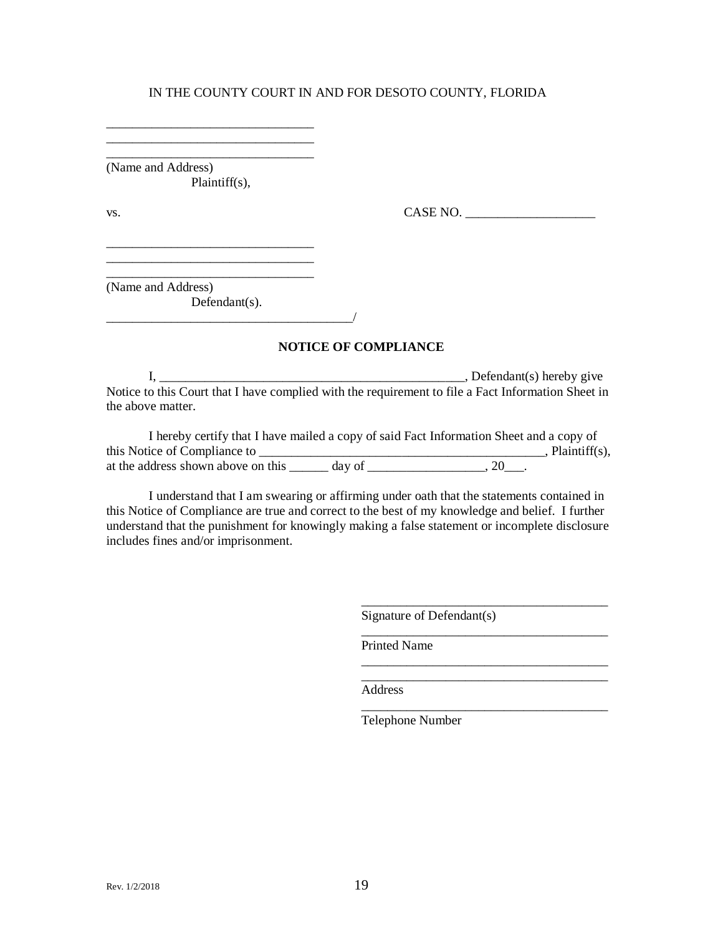\_\_\_\_\_\_\_\_\_\_\_\_\_\_\_\_\_\_\_\_\_\_\_\_\_\_\_\_\_\_\_\_ (Name and Address) Plaintiff(s),

\_\_\_\_\_\_\_\_\_\_\_\_\_\_\_\_\_\_\_\_\_\_\_\_\_\_\_\_\_\_\_\_ \_\_\_\_\_\_\_\_\_\_\_\_\_\_\_\_\_\_\_\_\_\_\_\_\_\_\_\_\_\_\_\_

\_\_\_\_\_\_\_\_\_\_\_\_\_\_\_\_\_\_\_\_\_\_\_\_\_\_\_\_\_\_\_\_

\_\_\_\_\_\_\_\_\_\_\_\_\_\_\_\_\_\_\_\_\_\_\_\_\_\_\_\_\_\_\_\_

vs. CASE NO.

(Name and Address) Defendant(s).  $\overline{\phantom{a}}$ 

**NOTICE OF COMPLIANCE**

I, \_\_\_\_\_\_\_\_\_\_\_\_\_\_\_\_\_\_\_\_\_\_\_\_\_\_\_\_\_\_\_\_\_\_\_\_\_\_\_\_\_\_\_\_\_\_\_, Defendant(s) hereby give Notice to this Court that I have complied with the requirement to file a Fact Information Sheet in the above matter.

|                                    |        | I hereby certify that I have mailed a copy of said Fact Information Sheet and a copy of |  |
|------------------------------------|--------|-----------------------------------------------------------------------------------------|--|
| this Notice of Compliance to       |        | , Plaintiff $(s)$ ,                                                                     |  |
| at the address shown above on this | day of | 20                                                                                      |  |

I understand that I am swearing or affirming under oath that the statements contained in this Notice of Compliance are true and correct to the best of my knowledge and belief. I further understand that the punishment for knowingly making a false statement or incomplete disclosure includes fines and/or imprisonment.

Signature of Defendant(s)

\_\_\_\_\_\_\_\_\_\_\_\_\_\_\_\_\_\_\_\_\_\_\_\_\_\_\_\_\_\_\_\_\_\_\_\_\_\_

\_\_\_\_\_\_\_\_\_\_\_\_\_\_\_\_\_\_\_\_\_\_\_\_\_\_\_\_\_\_\_\_\_\_\_\_\_\_

\_\_\_\_\_\_\_\_\_\_\_\_\_\_\_\_\_\_\_\_\_\_\_\_\_\_\_\_\_\_\_\_\_\_\_\_\_\_

\_\_\_\_\_\_\_\_\_\_\_\_\_\_\_\_\_\_\_\_\_\_\_\_\_\_\_\_\_\_\_\_\_\_\_\_\_\_

Printed Name

Address

Telephone Number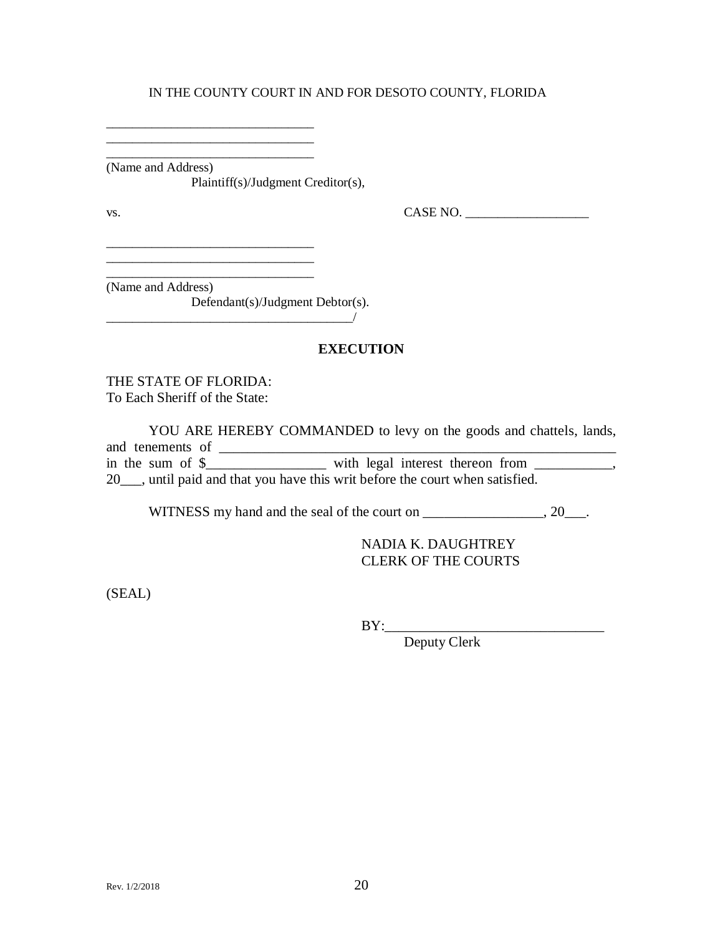\_\_\_\_\_\_\_\_\_\_\_\_\_\_\_\_\_\_\_\_\_\_\_\_\_\_\_\_\_\_\_\_ (Name and Address) Plaintiff(s)/Judgment Creditor(s),

\_\_\_\_\_\_\_\_\_\_\_\_\_\_\_\_\_\_\_\_\_\_\_\_\_\_\_\_\_\_\_\_ \_\_\_\_\_\_\_\_\_\_\_\_\_\_\_\_\_\_\_\_\_\_\_\_\_\_\_\_\_\_\_\_

vs. CASE NO. \_\_\_\_\_\_\_\_\_\_\_\_\_\_\_\_\_\_\_

\_\_\_\_\_\_\_\_\_\_\_\_\_\_\_\_\_\_\_\_\_\_\_\_\_\_\_\_\_\_\_\_ (Name and Address)

Defendant(s)/Judgment Debtor(s).

 $\overline{\phantom{a}}$ 

## **EXECUTION**

THE STATE OF FLORIDA: To Each Sheriff of the State:

YOU ARE HEREBY COMMANDED to levy on the goods and chattels, lands, and tenements of \_\_\_\_\_\_\_\_\_\_\_\_\_\_\_\_\_\_\_\_\_\_\_\_\_\_\_\_\_\_\_\_\_\_\_\_\_\_\_\_\_\_\_\_\_\_\_\_\_\_\_\_\_\_\_\_ in the sum of  $\frac{1}{2}$   $\frac{1}{2}$   $\frac{1}{2}$  with legal interest thereon from \_\_\_\_\_\_\_\_, 20\_\_\_, until paid and that you have this writ before the court when satisfied.

WITNESS my hand and the seal of the court on \_\_\_\_\_\_\_\_\_\_\_\_\_\_, 20\_\_\_.

NADIA K. DAUGHTREY CLERK OF THE COURTS

(SEAL)

BY:\_\_\_\_\_\_\_\_\_\_\_\_\_\_\_\_\_\_\_\_\_\_\_\_\_\_\_\_\_\_\_

Deputy Clerk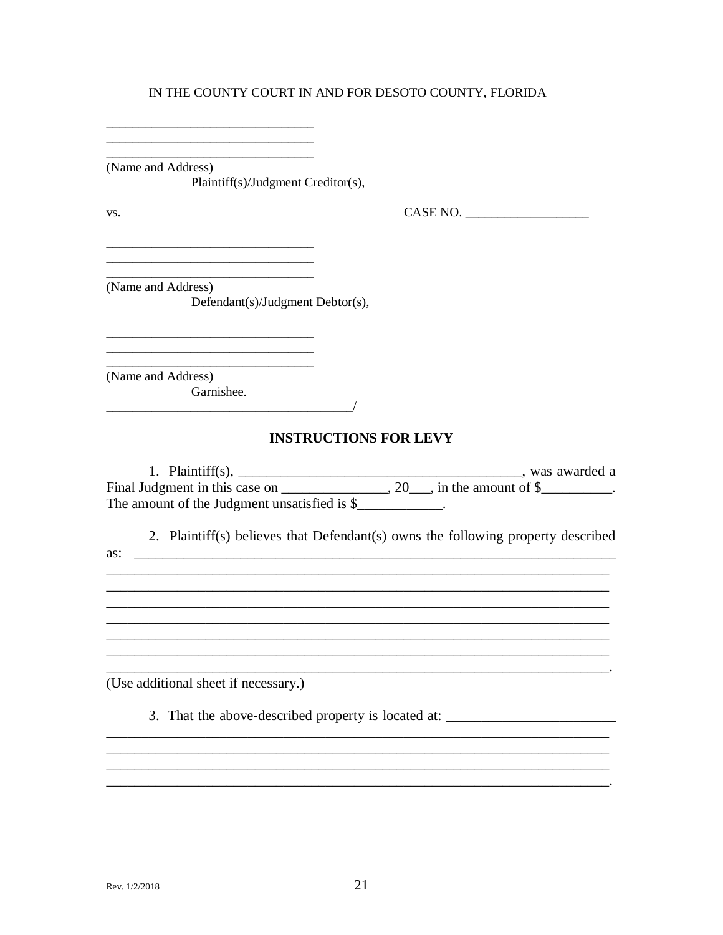(Name and Address) Plaintiff(s)/Judgment Creditor(s),

VS.

 $\mathbf{CASE\ NO.}\ \_\_\_$ 

(Name and Address) Defendant(s)/Judgment Debtor(s),

 $\overline{a}$  and  $\overline{a}$  and  $\overline{a}$  and  $\overline{a}$  and  $\overline{a}$  and  $\overline{a}$  and  $\overline{a}$  and  $\overline{a}$  and  $\overline{a}$  and  $\overline{a}$  and  $\overline{a}$  and  $\overline{a}$  and  $\overline{a}$  and  $\overline{a}$  and  $\overline{a}$  and  $\overline{a}$  and  $\overline{a}$  and

(Name and Address) Garnishee.

## **INSTRUCTIONS FOR LEVY**

| 1. Plaintiff $(s)$ ,                         |                                       | was awarded a |
|----------------------------------------------|---------------------------------------|---------------|
| Final Judgment in this case on               | $, 20 \quad$ , in the amount of $\$\$ |               |
| The amount of the Judgment unsatisfied is \$ |                                       |               |

2. Plaintiff(s) believes that Defendant(s) owns the following property described

(Use additional sheet if necessary.)

3. That the above-described property is located at: \_\_\_\_\_\_\_\_\_\_\_\_\_\_\_\_\_\_\_\_\_\_\_\_\_\_\_\_\_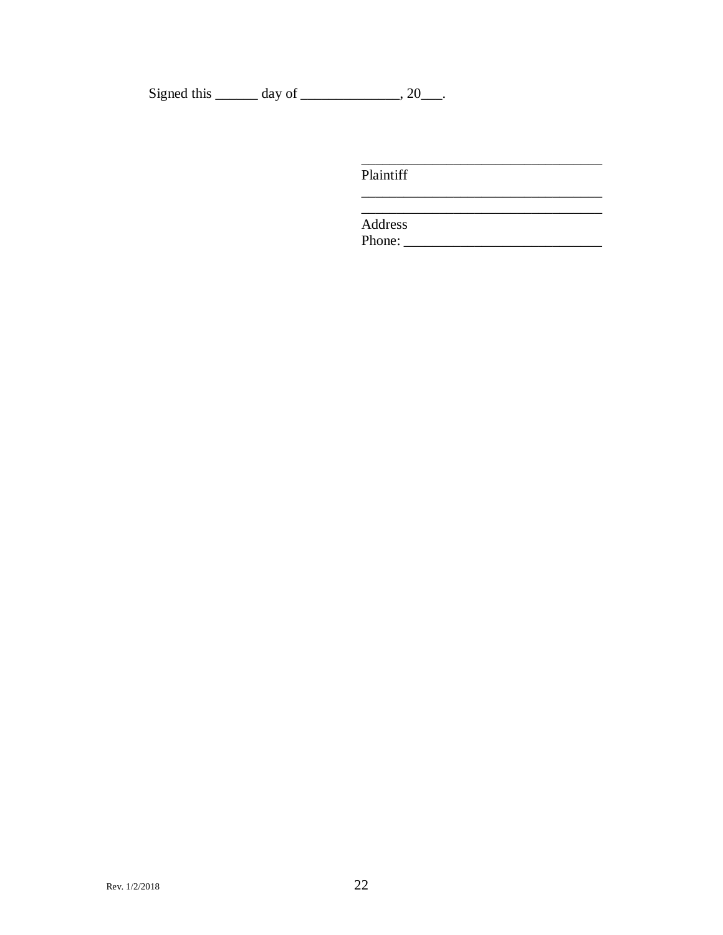Signed this  $\_\_\_\_$  day of  $\_\_\_\_\_$ , 20 $\_\_\_\_\$ .

Plaintiff

Address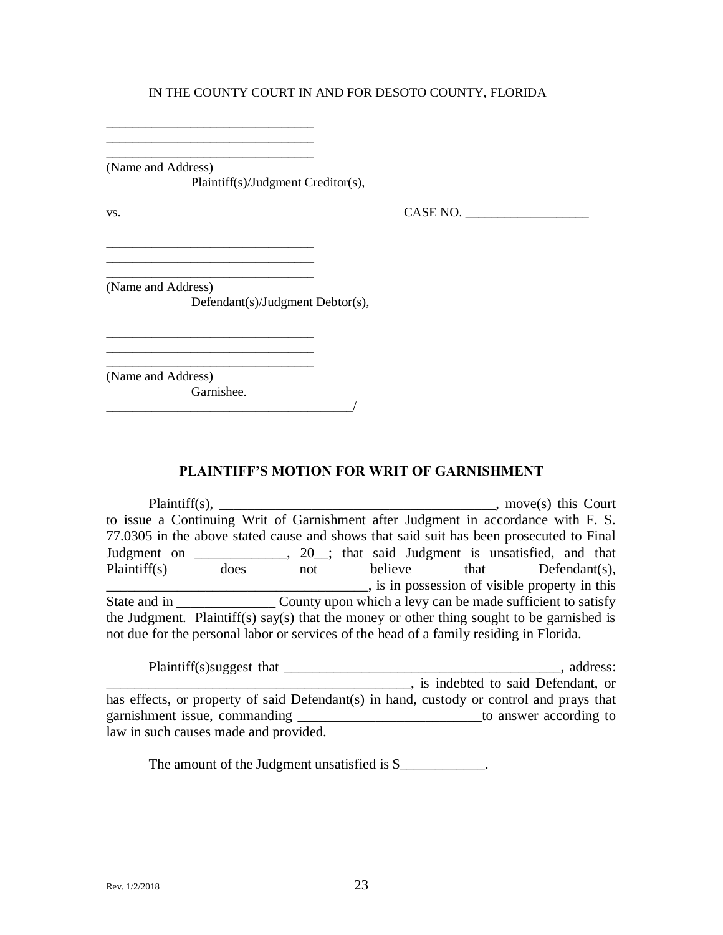\_\_\_\_\_\_\_\_\_\_\_\_\_\_\_\_\_\_\_\_\_\_\_\_\_\_\_\_\_\_\_\_ (Name and Address) Plaintiff(s)/Judgment Creditor(s),

\_\_\_\_\_\_\_\_\_\_\_\_\_\_\_\_\_\_\_\_\_\_\_\_\_\_\_\_\_\_\_\_ \_\_\_\_\_\_\_\_\_\_\_\_\_\_\_\_\_\_\_\_\_\_\_\_\_\_\_\_\_\_\_\_

\_\_\_\_\_\_\_\_\_\_\_\_\_\_\_\_\_\_\_\_\_\_\_\_\_\_\_\_\_\_\_\_

\_\_\_\_\_\_\_\_\_\_\_\_\_\_\_\_\_\_\_\_\_\_\_\_\_\_\_\_\_\_\_\_

\_\_\_\_\_\_\_\_\_\_\_\_\_\_\_\_\_\_\_\_\_\_\_\_\_\_\_\_\_\_\_\_\_\_\_\_\_\_/

 $\text{Vs.}}$  CASE NO.  $\overline{\phantom{0}}$ 

(Name and Address)

Defendant(s)/Judgment Debtor(s),

\_\_\_\_\_\_\_\_\_\_\_\_\_\_\_\_\_\_\_\_\_\_\_\_\_\_\_\_\_\_\_\_ (Name and Address) Garnishee.

**PLAINTIFF'S MOTION FOR WRIT OF GARNISHMENT**

Plaintiff(s), \_\_\_\_\_\_\_\_\_\_\_\_\_\_\_\_\_\_\_\_\_\_\_\_\_\_\_\_\_\_\_\_\_\_\_\_\_\_\_, move(s) this Court to issue a Continuing Writ of Garnishment after Judgment in accordance with F. S. 77.0305 in the above stated cause and shows that said suit has been prosecuted to Final Judgment on \_\_\_\_\_\_\_\_\_\_\_, 20\_; that said Judgment is unsatisfied, and that Plaintiff(s) does not believe that Defendant(s), **EXECUTE:** is in possession of visible property in this State and in \_\_\_\_\_\_\_\_\_\_\_\_\_\_ County upon which a levy can be made sufficient to satisfy the Judgment. Plaintiff(s) say(s) that the money or other thing sought to be garnished is not due for the personal labor or services of the head of a family residing in Florida.

| Plaintiff(s) suggest that                                                                | address:                            |
|------------------------------------------------------------------------------------------|-------------------------------------|
|                                                                                          | , is indebted to said Defendant, or |
| has effects, or property of said Defendant(s) in hand, custody or control and prays that |                                     |
| garnishment issue, commanding                                                            | to answer according to              |
| law in such causes made and provided.                                                    |                                     |

The amount of the Judgment unsatisfied is \$\_\_\_\_\_\_\_\_\_\_\_\_.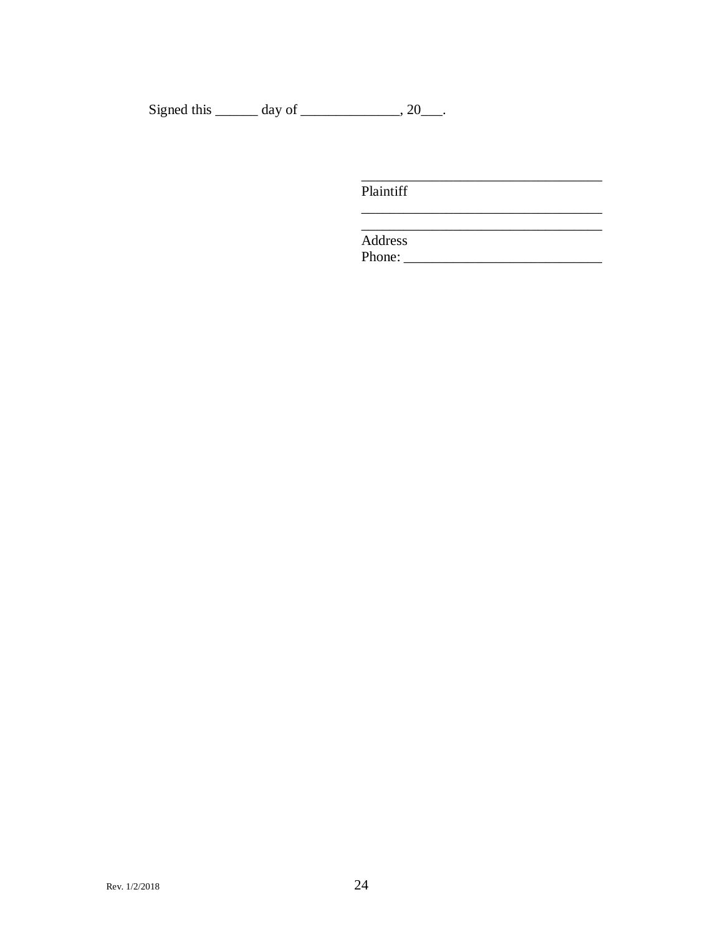Signed this  $\_\_\_\_$  day of  $\_\_\_\_\_$ , 20 $\_\_\_\_\$ .

Plaintiff

Address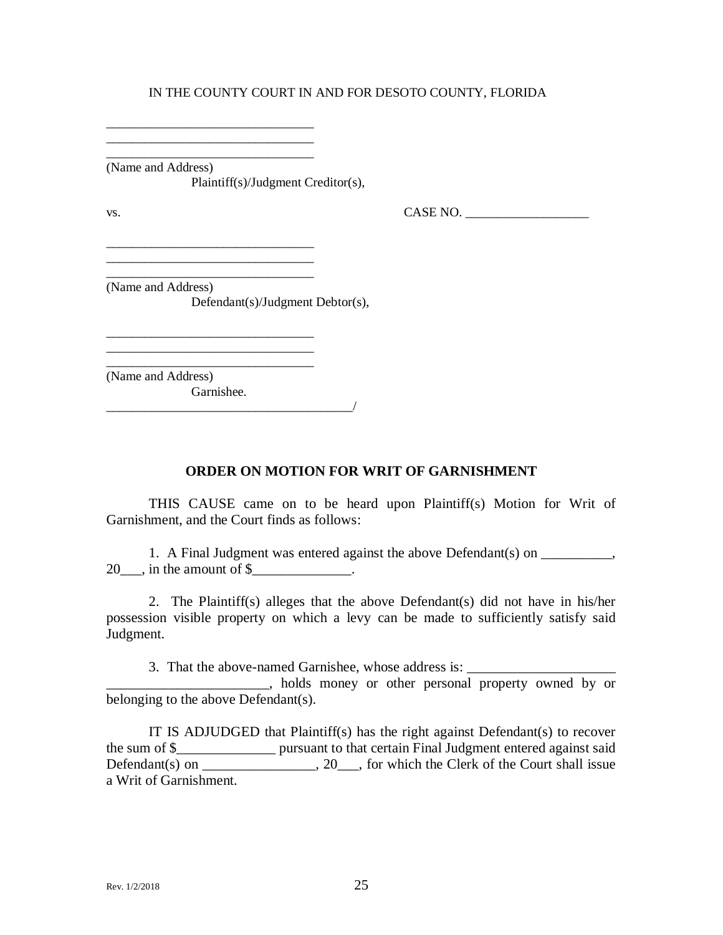\_\_\_\_\_\_\_\_\_\_\_\_\_\_\_\_\_\_\_\_\_\_\_\_\_\_\_\_\_\_\_\_ (Name and Address) Plaintiff(s)/Judgment Creditor(s),

\_\_\_\_\_\_\_\_\_\_\_\_\_\_\_\_\_\_\_\_\_\_\_\_\_\_\_\_\_\_\_\_ \_\_\_\_\_\_\_\_\_\_\_\_\_\_\_\_\_\_\_\_\_\_\_\_\_\_\_\_\_\_\_\_

\_\_\_\_\_\_\_\_\_\_\_\_\_\_\_\_\_\_\_\_\_\_\_\_\_\_\_\_\_\_\_\_ \_\_\_\_\_\_\_\_\_\_\_\_\_\_\_\_\_\_\_\_\_\_\_\_\_\_\_\_\_\_\_\_ \_\_\_\_\_\_\_\_\_\_\_\_\_\_\_\_\_\_\_\_\_\_\_\_\_\_\_\_\_\_\_\_

\_\_\_\_\_\_\_\_\_\_\_\_\_\_\_\_\_\_\_\_\_\_\_\_\_\_\_\_\_\_\_\_

 $\text{Vs.}}$  CASE NO.  $\overline{\phantom{0}}$ 

(Name and Address) Defendant(s)/Judgment Debtor(s),

\_\_\_\_\_\_\_\_\_\_\_\_\_\_\_\_\_\_\_\_\_\_\_\_\_\_\_\_\_\_\_\_\_\_\_\_\_\_/

\_\_\_\_\_\_\_\_\_\_\_\_\_\_\_\_\_\_\_\_\_\_\_\_\_\_\_\_\_\_\_\_ (Name and Address) Garnishee.

## **ORDER ON MOTION FOR WRIT OF GARNISHMENT**

THIS CAUSE came on to be heard upon Plaintiff(s) Motion for Writ of Garnishment, and the Court finds as follows:

1. A Final Judgment was entered against the above Defendant(s) on \_\_\_\_\_\_\_\_,  $20$ , in the amount of  $\frac{1}{2}$ .

2. The Plaintiff(s) alleges that the above Defendant(s) did not have in his/her possession visible property on which a levy can be made to sufficiently satisfy said Judgment.

3. That the above-named Garnishee, whose address is: \_\_\_\_\_\_\_\_\_\_\_\_\_\_\_\_\_\_\_\_\_\_\_\_\_\_\_

\_\_\_\_\_\_\_\_\_\_\_\_\_\_\_\_\_\_\_\_\_\_\_, holds money or other personal property owned by or belonging to the above Defendant(s).

IT IS ADJUDGED that Plaintiff(s) has the right against Defendant(s) to recover the sum of \$\_\_\_\_\_\_\_\_\_\_\_\_\_\_ pursuant to that certain Final Judgment entered against said Defendant(s) on \_\_\_\_\_\_\_\_\_\_\_\_\_, 20\_\_\_, for which the Clerk of the Court shall issue a Writ of Garnishment.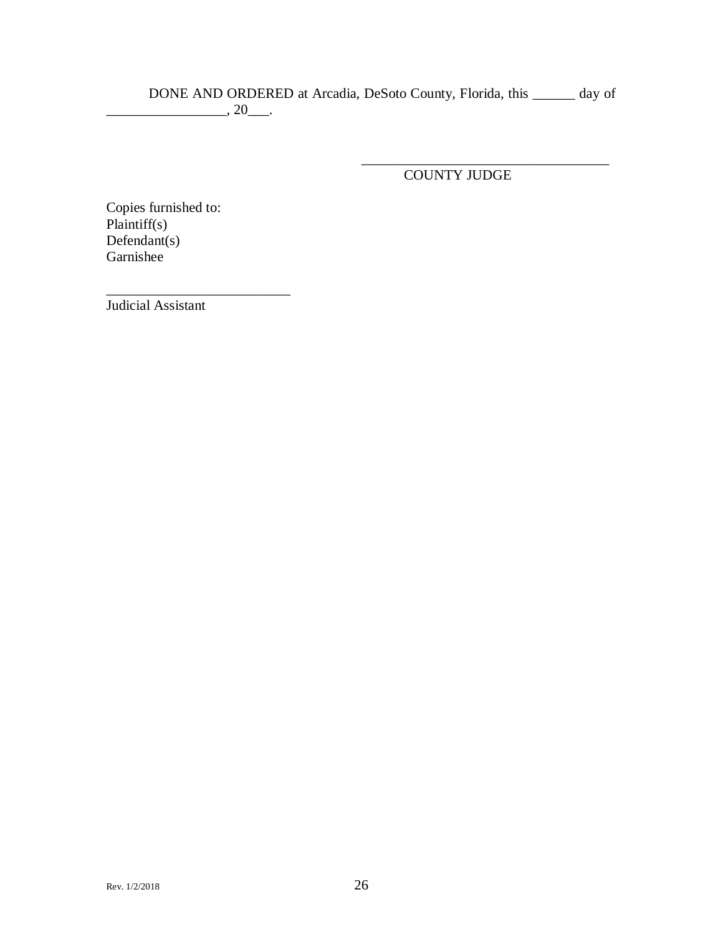DONE AND ORDERED at Arcadia, DeSoto County, Florida, this \_\_\_\_\_\_ day of  $\overline{\phantom{a}}$ , 20 $\overline{\phantom{a}}$ .

COUNTY JUDGE

\_\_\_\_\_\_\_\_\_\_\_\_\_\_\_\_\_\_\_\_\_\_\_\_\_\_\_\_\_\_\_\_\_\_\_

Copies furnished to: Plaintiff(s) Defendant(s) Garnishee

\_\_\_\_\_\_\_\_\_\_\_\_\_\_\_\_\_\_\_\_\_\_\_\_\_\_

Judicial Assistant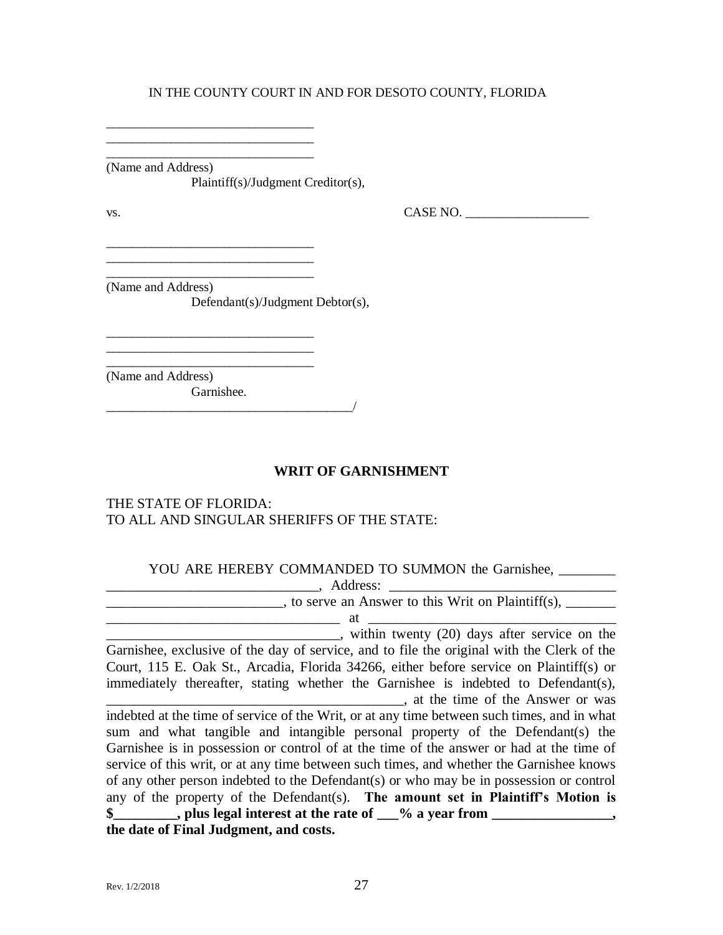\_\_\_\_\_\_\_\_\_\_\_\_\_\_\_\_\_\_\_\_\_\_\_\_\_\_\_\_\_\_\_\_ (Name and Address) Plaintiff(s)/Judgment Creditor(s),

\_\_\_\_\_\_\_\_\_\_\_\_\_\_\_\_\_\_\_\_\_\_\_\_\_\_\_\_\_\_\_\_ \_\_\_\_\_\_\_\_\_\_\_\_\_\_\_\_\_\_\_\_\_\_\_\_\_\_\_\_\_\_\_\_

\_\_\_\_\_\_\_\_\_\_\_\_\_\_\_\_\_\_\_\_\_\_\_\_\_\_\_\_\_\_\_\_ \_\_\_\_\_\_\_\_\_\_\_\_\_\_\_\_\_\_\_\_\_\_\_\_\_\_\_\_\_\_\_\_ \_\_\_\_\_\_\_\_\_\_\_\_\_\_\_\_\_\_\_\_\_\_\_\_\_\_\_\_\_\_\_\_

\_\_\_\_\_\_\_\_\_\_\_\_\_\_\_\_\_\_\_\_\_\_\_\_\_\_\_\_\_\_\_\_

 $\text{Vs.}}$  CASE NO.  $\overline{\phantom{0}}$ 

(Name and Address) Defendant(s)/Judgment Debtor(s),

\_\_\_\_\_\_\_\_\_\_\_\_\_\_\_\_\_\_\_\_\_\_\_\_\_\_\_\_\_\_\_\_ (Name and Address) Garnishee.

\_\_\_\_\_\_\_\_\_\_\_\_\_\_\_\_\_\_\_\_\_\_\_\_\_\_\_\_\_\_\_\_\_\_\_\_\_\_/

#### **WRIT OF GARNISHMENT**

## THE STATE OF FLORIDA: TO ALL AND SINGULAR SHERIFFS OF THE STATE:

#### YOU ARE HEREBY COMMANDED TO SUMMON the Garnishee,

\_\_\_\_\_\_\_\_\_\_\_\_\_\_\_\_\_\_\_\_\_\_\_\_\_\_\_\_\_\_, Address: \_\_\_\_\_\_\_\_\_\_\_\_\_\_\_\_\_\_\_\_\_\_\_\_\_\_\_\_\_\_\_\_  $\frac{1}{\sqrt{1-\frac{1}{\sqrt{1-\frac{1}{\sqrt{1-\frac{1}{\sqrt{1-\frac{1}{\sqrt{1-\frac{1}{\sqrt{1-\frac{1}{\sqrt{1-\frac{1}{\sqrt{1-\frac{1}{\sqrt{1-\frac{1}{\sqrt{1-\frac{1}{\sqrt{1-\frac{1}{\sqrt{1-\frac{1}{\sqrt{1-\frac{1}{\sqrt{1-\frac{1}{\sqrt{1-\frac{1}{\sqrt{1-\frac{1}{\sqrt{1-\frac{1}{\sqrt{1-\frac{1}{\sqrt{1-\frac{1}{\sqrt{1-\frac{1}{\sqrt{1-\frac{1}{\sqrt{1-\frac{1}{\sqrt{1-\frac{1}{\sqrt{1-\frac{1$  $\longrightarrow$  at  $\longrightarrow$  . The contract of  $\longrightarrow$  at  $\longrightarrow$  at  $\longrightarrow$ 

 $\blacksquare$ , within twenty (20) days after service on the Garnishee, exclusive of the day of service, and to file the original with the Clerk of the Court, 115 E. Oak St., Arcadia, Florida 34266, either before service on Plaintiff(s) or immediately thereafter, stating whether the Garnishee is indebted to Defendant(s), \_\_\_\_\_\_\_\_\_\_\_\_\_\_\_\_\_\_\_\_\_\_\_\_\_\_\_\_\_\_\_\_\_\_\_\_\_\_\_\_\_\_, at the time of the Answer or was

indebted at the time of service of the Writ, or at any time between such times, and in what sum and what tangible and intangible personal property of the Defendant(s) the Garnishee is in possession or control of at the time of the answer or had at the time of service of this writ, or at any time between such times, and whether the Garnishee knows of any other person indebted to the Defendant(s) or who may be in possession or control any of the property of the Defendant(s). **The amount set in Plaintiff's Motion is \$\_\_\_\_\_\_\_\_\_, plus legal interest at the rate of \_\_\_% a year from \_\_\_\_\_\_\_\_\_\_\_\_\_\_\_\_\_, the date of Final Judgment, and costs.**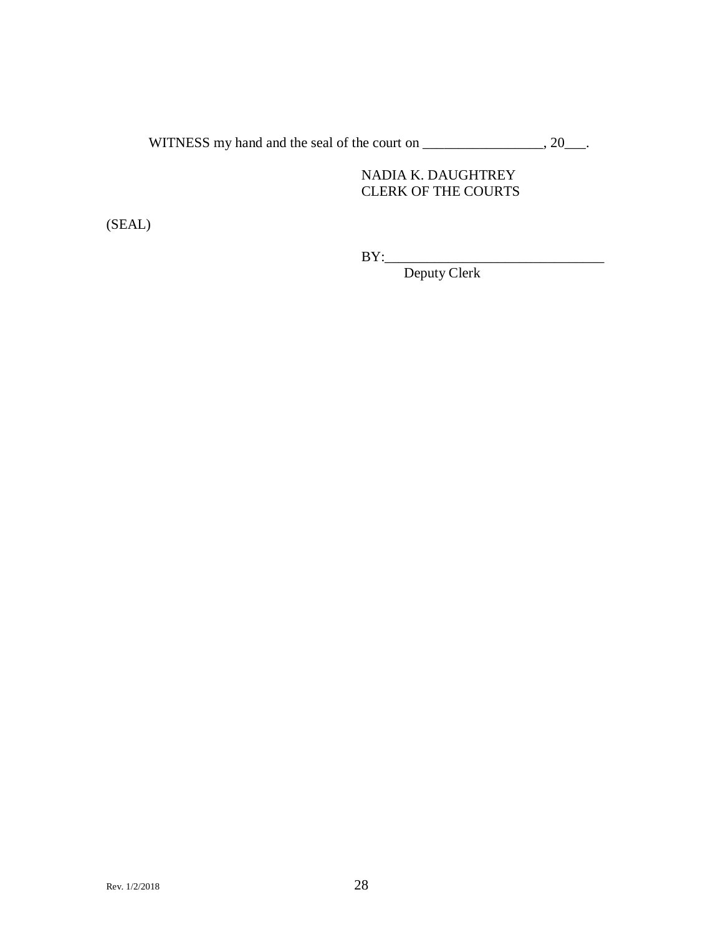WITNESS my hand and the seal of the court on \_\_\_\_\_\_\_\_\_\_\_\_\_\_\_, 20\_\_\_.

## NADIA K. DAUGHTREY CLERK OF THE COURTS

(SEAL)

BY:\_\_\_\_\_\_\_\_\_\_\_\_\_\_\_\_\_\_\_\_\_\_\_\_\_\_\_\_\_\_\_

Deputy Clerk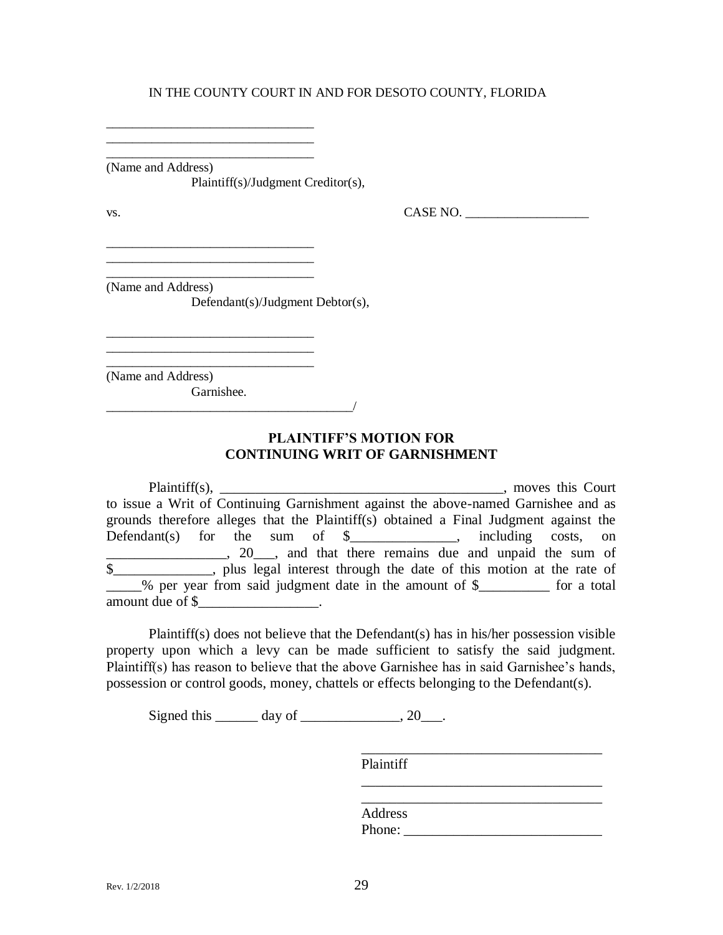\_\_\_\_\_\_\_\_\_\_\_\_\_\_\_\_\_\_\_\_\_\_\_\_\_\_\_\_\_\_\_\_ (Name and Address) Plaintiff(s)/Judgment Creditor(s),

\_\_\_\_\_\_\_\_\_\_\_\_\_\_\_\_\_\_\_\_\_\_\_\_\_\_\_\_\_\_\_\_ \_\_\_\_\_\_\_\_\_\_\_\_\_\_\_\_\_\_\_\_\_\_\_\_\_\_\_\_\_\_\_\_

\_\_\_\_\_\_\_\_\_\_\_\_\_\_\_\_\_\_\_\_\_\_\_\_\_\_\_\_\_\_\_\_ \_\_\_\_\_\_\_\_\_\_\_\_\_\_\_\_\_\_\_\_\_\_\_\_\_\_\_\_\_\_\_\_ \_\_\_\_\_\_\_\_\_\_\_\_\_\_\_\_\_\_\_\_\_\_\_\_\_\_\_\_\_\_\_\_

\_\_\_\_\_\_\_\_\_\_\_\_\_\_\_\_\_\_\_\_\_\_\_\_\_\_\_\_\_\_\_\_

\_\_\_\_\_\_\_\_\_\_\_\_\_\_\_\_\_\_\_\_\_\_\_\_\_\_\_\_\_\_\_\_\_\_\_\_\_\_/

 $\text{Vs.}}$  CASE NO.  $\overline{\phantom{0}}$ 

(Name and Address)

Defendant(s)/Judgment Debtor(s),

\_\_\_\_\_\_\_\_\_\_\_\_\_\_\_\_\_\_\_\_\_\_\_\_\_\_\_\_\_\_\_\_ (Name and Address) Garnishee.

## **PLAINTIFF'S MOTION FOR CONTINUING WRIT OF GARNISHMENT**

Plaintiff(s), \_\_\_\_\_\_\_\_\_\_\_\_\_\_\_\_\_\_\_\_\_\_\_\_\_\_\_\_\_\_\_\_\_\_\_\_\_\_\_\_, moves this Court to issue a Writ of Continuing Garnishment against the above-named Garnishee and as grounds therefore alleges that the Plaintiff(s) obtained a Final Judgment against the Defendant(s) for the sum of  $\frac{1}{2}$  methoding costs, on  $\Box$ , 20, and that there remains due and unpaid the sum of \$\_\_\_\_\_\_\_\_\_\_\_\_\_\_, plus legal interest through the date of this motion at the rate of  $%$  per year from said judgment date in the amount of  $$$  for a total amount due of \$\_\_\_\_\_\_\_\_\_\_\_\_\_\_\_\_\_\_.

Plaintiff(s) does not believe that the Defendant(s) has in his/her possession visible property upon which a levy can be made sufficient to satisfy the said judgment. Plaintiff(s) has reason to believe that the above Garnishee has in said Garnishee's hands, possession or control goods, money, chattels or effects belonging to the Defendant(s).

Signed this  $\_\_\_\_\_\$  day of  $\_\_\_\_\_\_\$ , 20 $\_\_\_\_\$ .

Plaintiff

| Address |  |  |
|---------|--|--|
| Phone:  |  |  |
|         |  |  |

\_\_\_\_\_\_\_\_\_\_\_\_\_\_\_\_\_\_\_\_\_\_\_\_\_\_\_\_\_\_\_\_\_\_

\_\_\_\_\_\_\_\_\_\_\_\_\_\_\_\_\_\_\_\_\_\_\_\_\_\_\_\_\_\_\_\_\_\_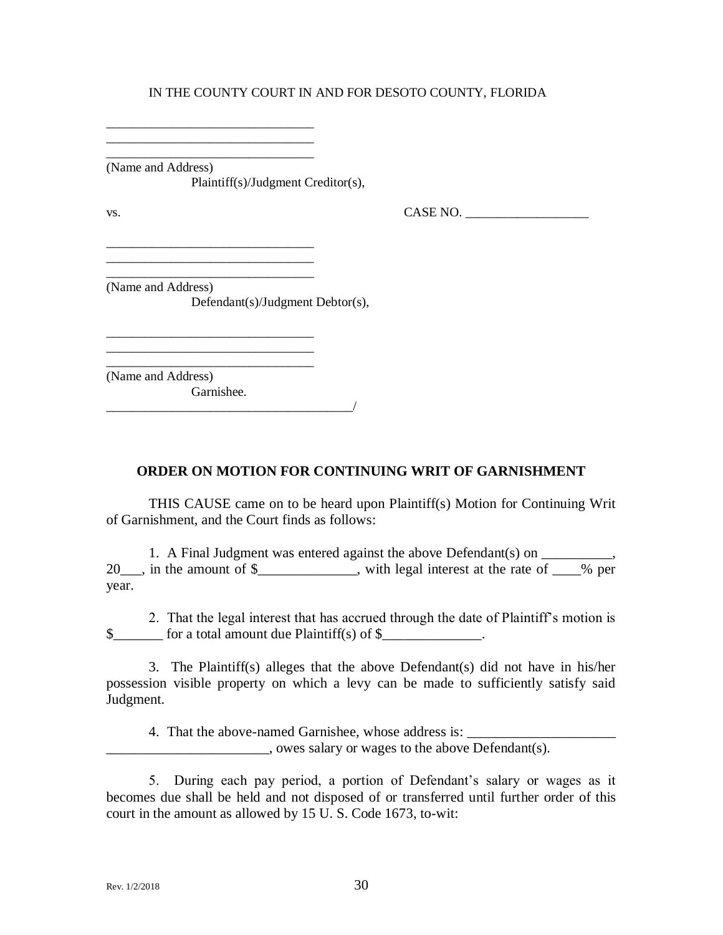\_\_\_\_\_\_\_\_\_\_\_\_\_\_\_\_\_\_\_\_\_\_\_\_\_\_\_\_\_\_\_\_ (Name and Address) Plaintiff(s)/Judgment Creditor(s),

\_\_\_\_\_\_\_\_\_\_\_\_\_\_\_\_\_\_\_\_\_\_\_\_\_\_\_\_\_\_\_\_ \_\_\_\_\_\_\_\_\_\_\_\_\_\_\_\_\_\_\_\_\_\_\_\_\_\_\_\_\_\_\_\_

\_\_\_\_\_\_\_\_\_\_\_\_\_\_\_\_\_\_\_\_\_\_\_\_\_\_\_\_\_\_\_\_ \_\_\_\_\_\_\_\_\_\_\_\_\_\_\_\_\_\_\_\_\_\_\_\_\_\_\_\_\_\_\_\_ \_\_\_\_\_\_\_\_\_\_\_\_\_\_\_\_\_\_\_\_\_\_\_\_\_\_\_\_\_\_\_\_

\_\_\_\_\_\_\_\_\_\_\_\_\_\_\_\_\_\_\_\_\_\_\_\_\_\_\_\_\_\_\_\_

 $\text{Vs.}}$  CASE NO.  $\overline{\phantom{0}}$ 

(Name and Address) Defendant(s)/Judgment Debtor(s),

\_\_\_\_\_\_\_\_\_\_\_\_\_\_\_\_\_\_\_\_\_\_\_\_\_\_\_\_\_\_\_\_ (Name and Address) Garnishee.  $\frac{1}{2}$ 

**ORDER ON MOTION FOR CONTINUING WRIT OF GARNISHMENT**

THIS CAUSE came on to be heard upon Plaintiff(s) Motion for Continuing Writ of Garnishment, and the Court finds as follows:

1. A Final Judgment was entered against the above Defendant(s) on 20\_\_\_, in the amount of \$\_\_\_\_\_\_\_\_\_\_\_, with legal interest at the rate of \_\_\_% per year.

2. That the legal interest that has accrued through the date of Plaintiff's motion is  $\frac{\gamma}{\gamma}$  for a total amount due Plaintiff(s) of  $\gamma$ 

3. The Plaintiff(s) alleges that the above Defendant(s) did not have in his/her possession visible property on which a levy can be made to sufficiently satisfy said Judgment.

4. That the above-named Garnishee, whose address is:  $\Box$ , owes salary or wages to the above Defendant(s).

5. During each pay period, a portion of Defendant's salary or wages as it becomes due shall be held and not disposed of or transferred until further order of this court in the amount as allowed by 15 U. S. Code 1673, to-wit: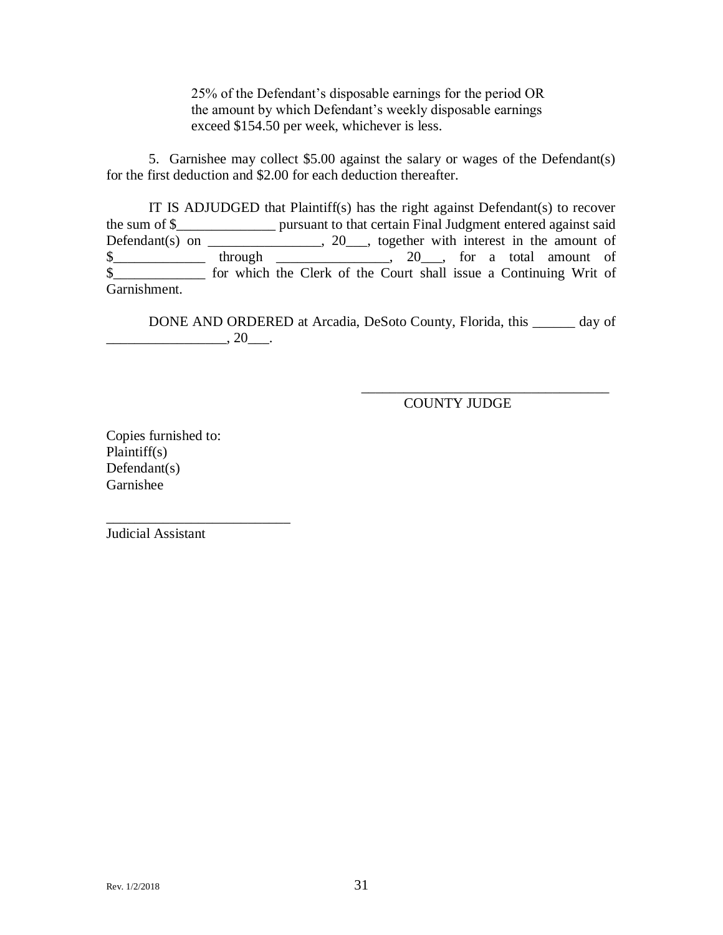25% of the Defendant's disposable earnings for the period OR the amount by which Defendant's weekly disposable earnings exceed \$154.50 per week, whichever is less.

5. Garnishee may collect \$5.00 against the salary or wages of the Defendant(s) for the first deduction and \$2.00 for each deduction thereafter.

IT IS ADJUDGED that Plaintiff(s) has the right against Defendant(s) to recover the sum of \$\_\_\_\_\_\_\_\_\_\_\_\_\_\_ pursuant to that certain Final Judgment entered against said Defendant(s) on \_\_\_\_\_\_\_\_\_\_\_\_\_\_,  $20$ \_\_\_, together with interest in the amount of  $\frac{1}{2}$  through \_\_\_\_\_\_\_\_\_\_\_, 20\_\_, for a total amount of \$\_\_\_\_\_\_\_\_\_\_\_\_\_ for which the Clerk of the Court shall issue a Continuing Writ of Garnishment.

DONE AND ORDERED at Arcadia, DeSoto County, Florida, this \_\_\_\_\_\_ day of  $\frac{1}{20}$ .

COUNTY JUDGE

\_\_\_\_\_\_\_\_\_\_\_\_\_\_\_\_\_\_\_\_\_\_\_\_\_\_\_\_\_\_\_\_\_\_\_

Copies furnished to: Plaintiff(s) Defendant(s) Garnishee

\_\_\_\_\_\_\_\_\_\_\_\_\_\_\_\_\_\_\_\_\_\_\_\_\_\_

Judicial Assistant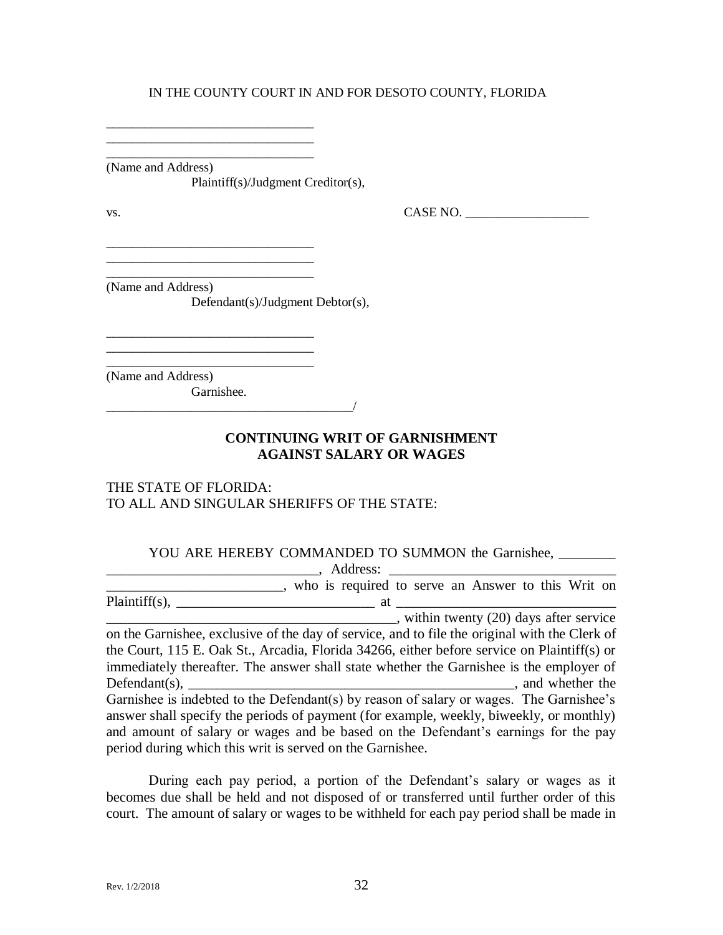\_\_\_\_\_\_\_\_\_\_\_\_\_\_\_\_\_\_\_\_\_\_\_\_\_\_\_\_\_\_\_\_ (Name and Address) Plaintiff(s)/Judgment Creditor(s),

\_\_\_\_\_\_\_\_\_\_\_\_\_\_\_\_\_\_\_\_\_\_\_\_\_\_\_\_\_\_\_\_ \_\_\_\_\_\_\_\_\_\_\_\_\_\_\_\_\_\_\_\_\_\_\_\_\_\_\_\_\_\_\_\_

\_\_\_\_\_\_\_\_\_\_\_\_\_\_\_\_\_\_\_\_\_\_\_\_\_\_\_\_\_\_\_\_

\_\_\_\_\_\_\_\_\_\_\_\_\_\_\_\_\_\_\_\_\_\_\_\_\_\_\_\_\_\_\_\_

 $VSS.$  CASE NO.  $\_\_\_\_\_\_\_\_\_\_$ 

(Name and Address)

Defendant(s)/Judgment Debtor(s),

\_\_\_\_\_\_\_\_\_\_\_\_\_\_\_\_\_\_\_\_\_\_\_\_\_\_\_\_\_\_\_\_ (Name and Address) Garnishee.

 $\overline{\phantom{a}}$ 

## **CONTINUING WRIT OF GARNISHMENT AGAINST SALARY OR WAGES**

#### THE STATE OF FLORIDA: TO ALL AND SINGULAR SHERIFFS OF THE STATE:

#### YOU ARE HEREBY COMMANDED TO SUMMON the Garnishee, \_\_\_\_\_\_\_\_

| Address:                                                                                                                                                                                                                                                             |
|----------------------------------------------------------------------------------------------------------------------------------------------------------------------------------------------------------------------------------------------------------------------|
| , who is required to serve an Answer to this Writ on                                                                                                                                                                                                                 |
| Plaintiff(s), $\qquad \qquad$<br><u>at</u> the state of the state of the state of the state of the state of the state of the state of the state of the state of the state of the state of the state of the state of the state of the state of the state of the state |
| , within twenty (20) days after service                                                                                                                                                                                                                              |
| on the Garnishee, exclusive of the day of service, and to file the original with the Clerk of                                                                                                                                                                        |
| the Court, 115 E. Oak St., Arcadia, Florida 34266, either before service on Plaintiff(s) or                                                                                                                                                                          |
| immediately thereafter. The answer shall state whether the Garnishee is the employer of                                                                                                                                                                              |
|                                                                                                                                                                                                                                                                      |
| Garnishee is indebted to the Defendant(s) by reason of salary or wages. The Garnishee's                                                                                                                                                                              |
| answer shall specify the periods of payment (for example, weekly, biweekly, or monthly)                                                                                                                                                                              |
| and amount of salary or wages and be based on the Defendant's earnings for the pay                                                                                                                                                                                   |
| period during which this writ is served on the Garnishee.                                                                                                                                                                                                            |

During each pay period, a portion of the Defendant's salary or wages as it becomes due shall be held and not disposed of or transferred until further order of this court. The amount of salary or wages to be withheld for each pay period shall be made in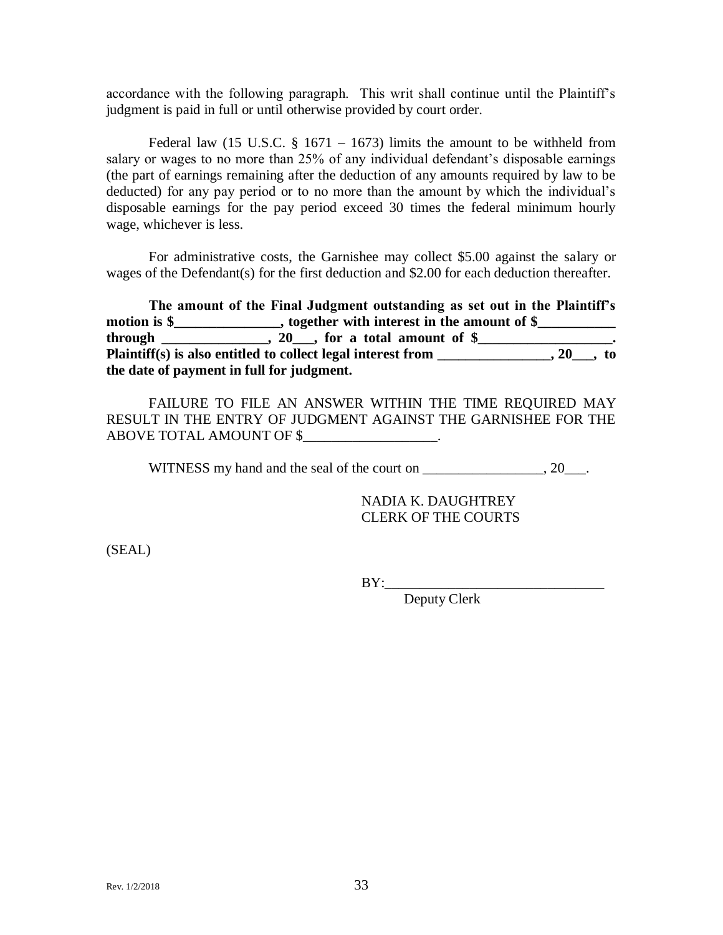accordance with the following paragraph. This writ shall continue until the Plaintiff's judgment is paid in full or until otherwise provided by court order.

Federal law (15 U.S.C.  $\S$  1671 – 1673) limits the amount to be withheld from salary or wages to no more than 25% of any individual defendant's disposable earnings (the part of earnings remaining after the deduction of any amounts required by law to be deducted) for any pay period or to no more than the amount by which the individual's disposable earnings for the pay period exceed 30 times the federal minimum hourly wage, whichever is less.

For administrative costs, the Garnishee may collect \$5.00 against the salary or wages of the Defendant(s) for the first deduction and \$2.00 for each deduction thereafter.

**The amount of the Final Judgment outstanding as set out in the Plaintiff's**  motion is \$\_\_\_\_\_\_\_\_\_\_\_\_\_, together with interest in the amount of \$\_\_\_\_\_\_\_\_\_\_\_\_\_  $through$   $\_\_\_\_\_\_\_\_$ ,  $20\_\_\_\_$  for a total amount of  $\$\_\_\_\_\_\_\_\_$ Plaintiff(s) is also entitled to collect legal interest from \_\_\_\_\_\_\_\_\_\_\_\_\_\_, 20\_\_\_, to **the date of payment in full for judgment.**

FAILURE TO FILE AN ANSWER WITHIN THE TIME REQUIRED MAY RESULT IN THE ENTRY OF JUDGMENT AGAINST THE GARNISHEE FOR THE ABOVE TOTAL AMOUNT OF \$

WITNESS my hand and the seal of the court on  $\qquad \qquad$ , 20.

NADIA K. DAUGHTREY CLERK OF THE COURTS

(SEAL)

BY:\_\_\_\_\_\_\_\_\_\_\_\_\_\_\_\_\_\_\_\_\_\_\_\_\_\_\_\_\_\_\_

Deputy Clerk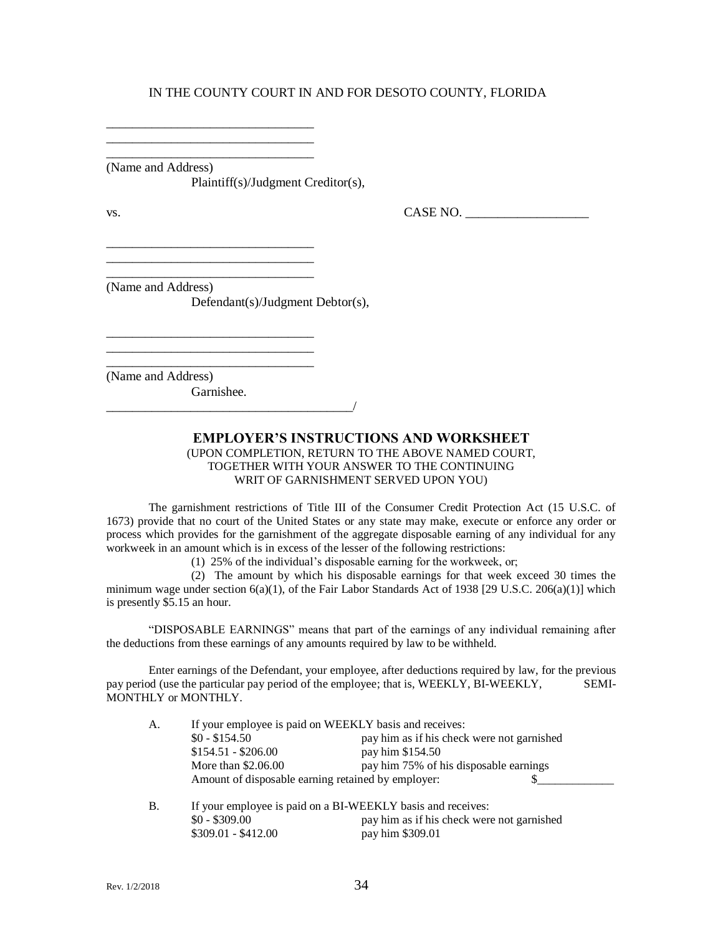\_\_\_\_\_\_\_\_\_\_\_\_\_\_\_\_\_\_\_\_\_\_\_\_\_\_\_\_\_\_\_\_ (Name and Address) Plaintiff(s)/Judgment Creditor(s),

\_\_\_\_\_\_\_\_\_\_\_\_\_\_\_\_\_\_\_\_\_\_\_\_\_\_\_\_\_\_\_\_ \_\_\_\_\_\_\_\_\_\_\_\_\_\_\_\_\_\_\_\_\_\_\_\_\_\_\_\_\_\_\_\_

\_\_\_\_\_\_\_\_\_\_\_\_\_\_\_\_\_\_\_\_\_\_\_\_\_\_\_\_\_\_\_\_ \_\_\_\_\_\_\_\_\_\_\_\_\_\_\_\_\_\_\_\_\_\_\_\_\_\_\_\_\_\_\_\_ \_\_\_\_\_\_\_\_\_\_\_\_\_\_\_\_\_\_\_\_\_\_\_\_\_\_\_\_\_\_\_\_

\_\_\_\_\_\_\_\_\_\_\_\_\_\_\_\_\_\_\_\_\_\_\_\_\_\_\_\_\_\_\_\_

\_\_\_\_\_\_\_\_\_\_\_\_\_\_\_\_\_\_\_\_\_\_\_\_\_\_\_\_\_\_\_\_\_\_\_\_\_\_/

 $\text{Vs.}}$  CASE NO.  $\overline{\phantom{0}}$ 

(Name and Address)

Defendant(s)/Judgment Debtor(s),

\_\_\_\_\_\_\_\_\_\_\_\_\_\_\_\_\_\_\_\_\_\_\_\_\_\_\_\_\_\_\_\_ (Name and Address) Garnishee.

#### **EMPLOYER'S INSTRUCTIONS AND WORKSHEET** (UPON COMPLETION, RETURN TO THE ABOVE NAMED COURT, TOGETHER WITH YOUR ANSWER TO THE CONTINUING WRIT OF GARNISHMENT SERVED UPON YOU)

The garnishment restrictions of Title III of the Consumer Credit Protection Act (15 U.S.C. of 1673) provide that no court of the United States or any state may make, execute or enforce any order or process which provides for the garnishment of the aggregate disposable earning of any individual for any workweek in an amount which is in excess of the lesser of the following restrictions:

(1) 25% of the individual's disposable earning for the workweek, or;

(2) The amount by which his disposable earnings for that week exceed 30 times the minimum wage under section  $6(a)(1)$ , of the Fair Labor Standards Act of 1938 [29 U.S.C. 206 $(a)(1)$ ] which is presently \$5.15 an hour.

"DISPOSABLE EARNINGS" means that part of the earnings of any individual remaining after the deductions from these earnings of any amounts required by law to be withheld.

Enter earnings of the Defendant, your employee, after deductions required by law, for the previous pay period (use the particular pay period of the employee; that is, WEEKLY, BI-WEEKLY, SEMI-MONTHLY or MONTHLY.

| A.        |                                                                     | If your employee is paid on WEEKLY basis and receives:      |  |
|-----------|---------------------------------------------------------------------|-------------------------------------------------------------|--|
|           | $$0 - $154.50$                                                      | pay him as if his check were not garnished                  |  |
|           | $$154.51 - $206.00$                                                 | pay him \$154.50                                            |  |
|           | More than $$2.06.00$                                                | pay him 75% of his disposable earnings                      |  |
|           | Amount of disposable earning retained by employer:                  |                                                             |  |
| <b>B.</b> |                                                                     | If your employee is paid on a BI-WEEKLY basis and receives: |  |
|           | $\mathfrak{e}_0$ $\mathfrak{e}_2$ $\mathfrak{e}_0$ $\mathfrak{e}_1$ | pay him as if his chook were not gemished                   |  |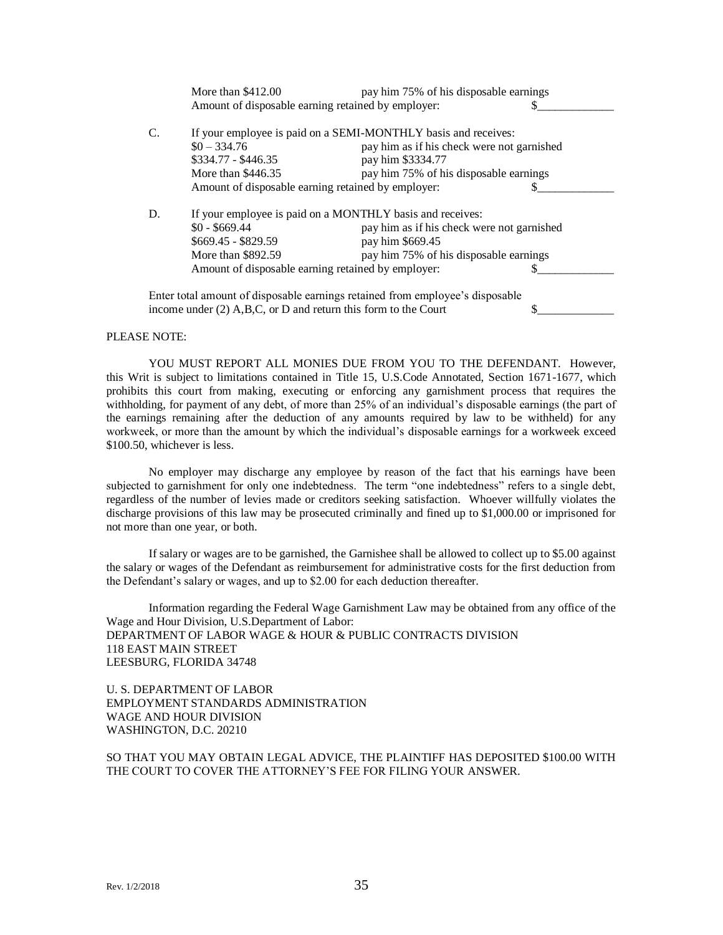|                                                               | More than $$412.00$                                                           | pay him 75% of his disposable earnings     |  |
|---------------------------------------------------------------|-------------------------------------------------------------------------------|--------------------------------------------|--|
|                                                               | Amount of disposable earning retained by employer:                            |                                            |  |
|                                                               | If your employee is paid on a SEMI-MONTHLY basis and receives:                |                                            |  |
|                                                               | $$0 - 334.76$                                                                 | pay him as if his check were not garnished |  |
|                                                               | \$334.77 - \$446.35                                                           | pay him \$3334.77                          |  |
| More than $$446.35$<br>pay him 75% of his disposable earnings |                                                                               |                                            |  |
|                                                               | Amount of disposable earning retained by employer:                            |                                            |  |
| D.                                                            | If your employee is paid on a MONTHLY basis and receives:                     |                                            |  |
| $$0 - $669.44$<br>pay him as if his check were not garnished  |                                                                               |                                            |  |
|                                                               | \$669.45 - \$829.59                                                           | pay him \$669.45                           |  |
|                                                               | More than \$892.59                                                            | pay him 75% of his disposable earnings     |  |
|                                                               | Amount of disposable earning retained by employer:                            |                                            |  |
|                                                               | Enter total amount of disposable earnings retained from employee's disposable |                                            |  |
|                                                               | income under $(2)$ A,B,C, or D and return this form to the Court              |                                            |  |

#### PLEASE NOTE:

YOU MUST REPORT ALL MONIES DUE FROM YOU TO THE DEFENDANT. However, this Writ is subject to limitations contained in Title 15, U.S.Code Annotated, Section 1671-1677, which prohibits this court from making, executing or enforcing any garnishment process that requires the withholding, for payment of any debt, of more than 25% of an individual's disposable earnings (the part of the earnings remaining after the deduction of any amounts required by law to be withheld) for any workweek, or more than the amount by which the individual's disposable earnings for a workweek exceed \$100.50, whichever is less.

No employer may discharge any employee by reason of the fact that his earnings have been subjected to garnishment for only one indebtedness. The term "one indebtedness" refers to a single debt, regardless of the number of levies made or creditors seeking satisfaction. Whoever willfully violates the discharge provisions of this law may be prosecuted criminally and fined up to \$1,000.00 or imprisoned for not more than one year, or both.

If salary or wages are to be garnished, the Garnishee shall be allowed to collect up to \$5.00 against the salary or wages of the Defendant as reimbursement for administrative costs for the first deduction from the Defendant's salary or wages, and up to \$2.00 for each deduction thereafter.

Information regarding the Federal Wage Garnishment Law may be obtained from any office of the Wage and Hour Division, U.S.Department of Labor: DEPARTMENT OF LABOR WAGE & HOUR & PUBLIC CONTRACTS DIVISION 118 EAST MAIN STREET LEESBURG, FLORIDA 34748

U. S. DEPARTMENT OF LABOR EMPLOYMENT STANDARDS ADMINISTRATION WAGE AND HOUR DIVISION WASHINGTON, D.C. 20210

SO THAT YOU MAY OBTAIN LEGAL ADVICE, THE PLAINTIFF HAS DEPOSITED \$100.00 WITH THE COURT TO COVER THE ATTORNEY'S FEE FOR FILING YOUR ANSWER.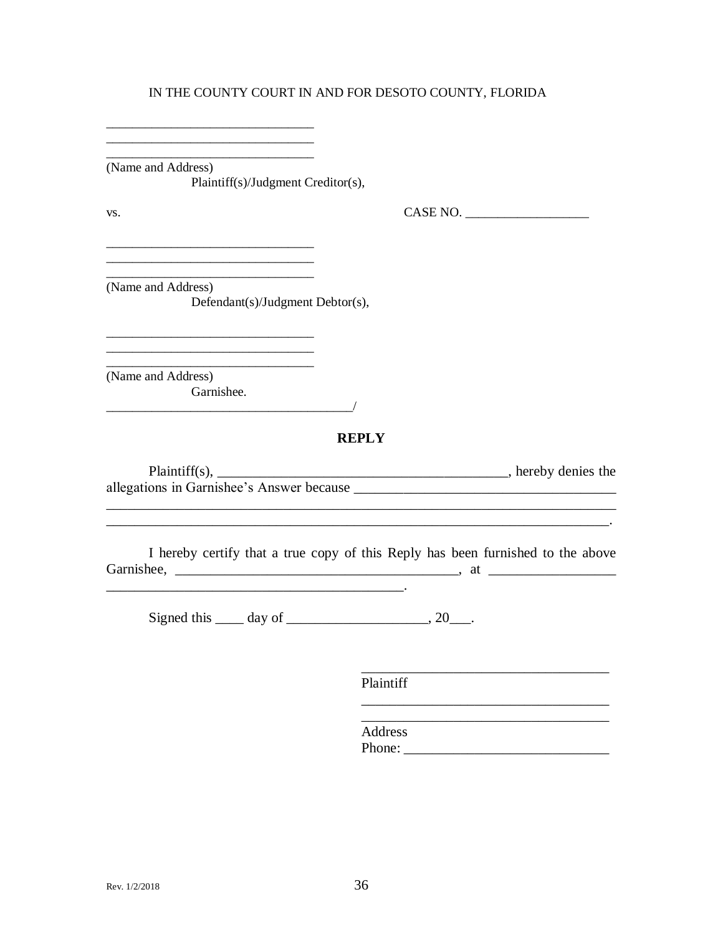(Name and Address) Plaintiff(s)/Judgment Creditor(s),

<u> 2008 - Johann Harry Hermann, market foar de Frysk kalender († 1952)</u>

VS.

 $CASE NO.$ 

(Name and Address) Defendant(s)/Judgment Debtor(s),

(Name and Address) Garnishee.

## **REPLY**

| $Plaintiff(s)$ ,                          | , hereby denies the |  |
|-------------------------------------------|---------------------|--|
| allegations in Garnishee's Answer because |                     |  |

I hereby certify that a true copy of this Reply has been furnished to the above the contract of the contract of the contract of

Signed this  $\_\_\_$  day of  $\_\_\_\_\_\_$ , 20 $\_\_\_\_\$ .

Plaintiff

Address Phone: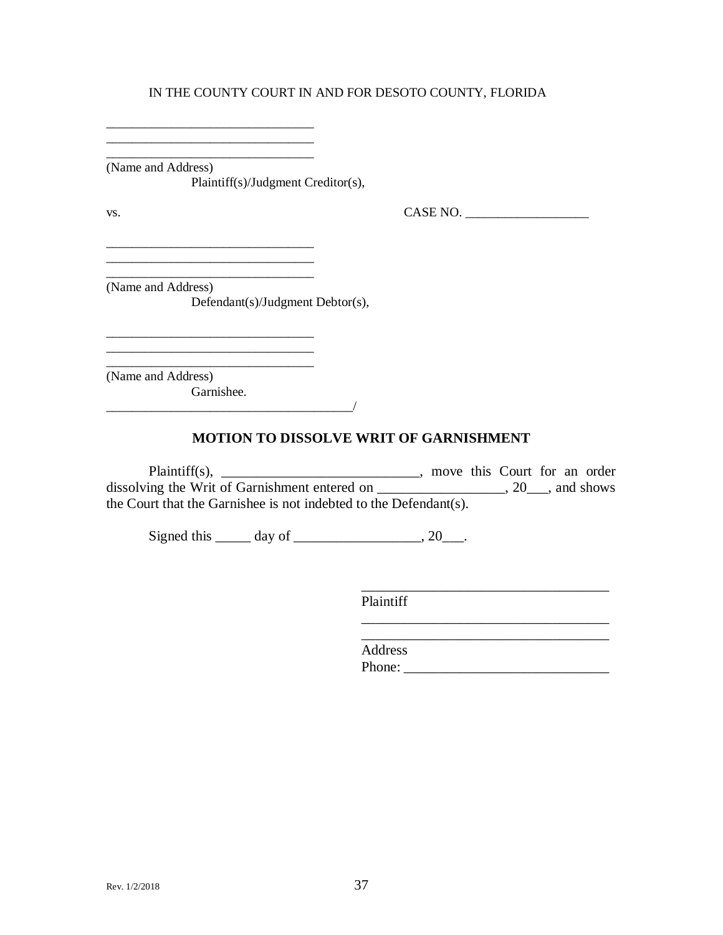\_\_\_\_\_\_\_\_\_\_\_\_\_\_\_\_\_\_\_\_\_\_\_\_\_\_\_\_\_\_\_\_ (Name and Address) Plaintiff(s)/Judgment Creditor(s),

\_\_\_\_\_\_\_\_\_\_\_\_\_\_\_\_\_\_\_\_\_\_\_\_\_\_\_\_\_\_\_\_ \_\_\_\_\_\_\_\_\_\_\_\_\_\_\_\_\_\_\_\_\_\_\_\_\_\_\_\_\_\_\_\_

vs. 2008. CASE NO. 2008. CASE NO. 2008. CASE NO. 2008. 2009. CASE NO. 2008. 2009. CASE NO. 2008. 2014. 2015. CASE NO. 2016. 2017. 2018. 2019. 2017. 2018. 2017. 2018. 2019. 2017. 2018. 2019. 2017. 2018. 2019. 2019. 2019. 20

(Name and Address) Defendant(s)/Judgment Debtor(s),

\_\_\_\_\_\_\_\_\_\_\_\_\_\_\_\_\_\_\_\_\_\_\_\_\_\_\_\_\_\_\_\_

\_\_\_\_\_\_\_\_\_\_\_\_\_\_\_\_\_\_\_\_\_\_\_\_\_\_\_\_\_\_\_\_ (Name and Address)

Garnishee.

 $\overline{\phantom{a}}$ 

\_\_\_\_\_\_\_\_\_\_\_\_\_\_\_\_\_\_\_\_\_\_\_\_\_\_\_\_\_\_\_\_

## **MOTION TO DISSOLVE WRIT OF GARNISHMENT**

Plaintiff(s), \_\_\_\_\_\_\_\_\_\_\_\_\_\_\_\_\_\_\_\_\_\_\_\_, move this Court for an order dissolving the Writ of Garnishment entered on \_\_\_\_\_\_\_\_\_\_\_\_\_\_\_\_\_\_, 20\_\_\_, and shows the Court that the Garnishee is not indebted to the Defendant(s).

Signed this  $\_\_\_\_\$  day of  $\_\_\_\_\_\_\_\_\_\_\_$ . 20\_\_\_.

Plaintiff

Address Phone: \_\_\_\_\_\_\_\_\_\_\_\_\_\_\_\_\_\_\_\_\_\_\_\_\_\_\_\_\_

\_\_\_\_\_\_\_\_\_\_\_\_\_\_\_\_\_\_\_\_\_\_\_\_\_\_\_\_\_\_\_\_\_\_\_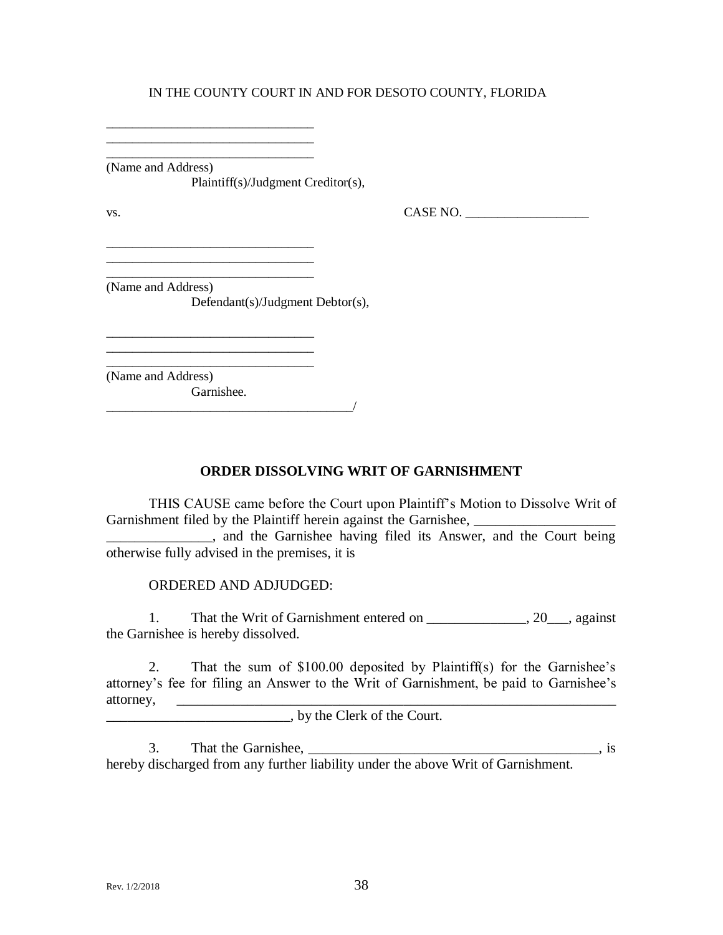\_\_\_\_\_\_\_\_\_\_\_\_\_\_\_\_\_\_\_\_\_\_\_\_\_\_\_\_\_\_\_\_ (Name and Address) Plaintiff(s)/Judgment Creditor(s),

\_\_\_\_\_\_\_\_\_\_\_\_\_\_\_\_\_\_\_\_\_\_\_\_\_\_\_\_\_\_\_\_ \_\_\_\_\_\_\_\_\_\_\_\_\_\_\_\_\_\_\_\_\_\_\_\_\_\_\_\_\_\_\_\_

 $\text{Vs.}}$  CASE NO.  $\overline{\phantom{0}}$ 

\_\_\_\_\_\_\_\_\_\_\_\_\_\_\_\_\_\_\_\_\_\_\_\_\_\_\_\_\_\_\_\_ (Name and Address) Defendant(s)/Judgment Debtor(s),

\_\_\_\_\_\_\_\_\_\_\_\_\_\_\_\_\_\_\_\_\_\_\_\_\_\_\_\_\_\_\_\_\_\_\_\_\_\_/

\_\_\_\_\_\_\_\_\_\_\_\_\_\_\_\_\_\_\_\_\_\_\_\_\_\_\_\_\_\_\_\_

\_\_\_\_\_\_\_\_\_\_\_\_\_\_\_\_\_\_\_\_\_\_\_\_\_\_\_\_\_\_\_\_

\_\_\_\_\_\_\_\_\_\_\_\_\_\_\_\_\_\_\_\_\_\_\_\_\_\_\_\_\_\_\_\_ (Name and Address) Garnishee.

**ORDER DISSOLVING WRIT OF GARNISHMENT**

THIS CAUSE came before the Court upon Plaintiff's Motion to Dissolve Writ of Garnishment filed by the Plaintiff herein against the Garnishee,

**Example 2.5** and the Garnishee having filed its Answer, and the Court being otherwise fully advised in the premises, it is

ORDERED AND ADJUDGED:

1. That the Writ of Garnishment entered on 20 , against the Garnishee is hereby dissolved.

2. That the sum of \$100.00 deposited by Plaintiff(s) for the Garnishee's attorney's fee for filing an Answer to the Writ of Garnishment, be paid to Garnishee's attorney, \_\_\_\_\_\_\_\_\_\_\_\_\_\_\_\_\_\_\_\_\_\_\_\_\_\_\_\_\_\_\_\_\_\_\_\_\_\_\_\_\_\_\_\_\_\_\_\_\_\_\_\_\_\_\_\_\_\_\_\_\_\_

\_\_\_\_\_\_\_\_\_\_\_\_\_\_\_\_\_\_\_\_\_\_\_\_\_\_, by the Clerk of the Court.

3. That the Garnishee,  $\overline{\phantom{a}}$ , is hereby discharged from any further liability under the above Writ of Garnishment.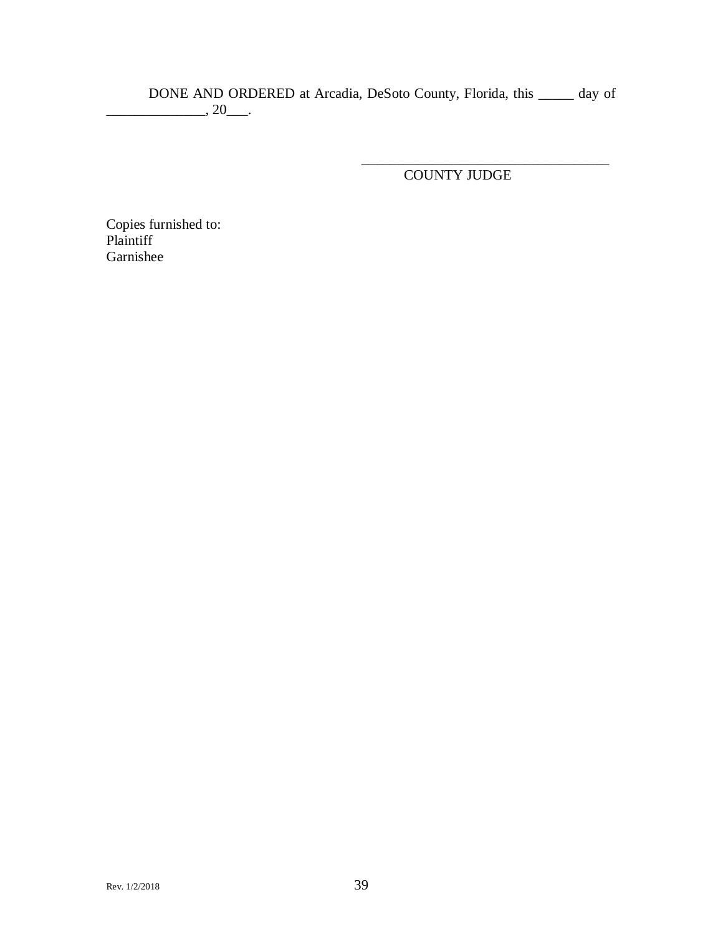DONE AND ORDERED at Arcadia, DeSoto County, Florida, this \_\_\_\_\_ day of  $\frac{1}{20}$ , 20 $\frac{1}{20}$ .

COUNTY JUDGE

\_\_\_\_\_\_\_\_\_\_\_\_\_\_\_\_\_\_\_\_\_\_\_\_\_\_\_\_\_\_\_\_\_\_\_

Copies furnished to: Plaintiff Garnishee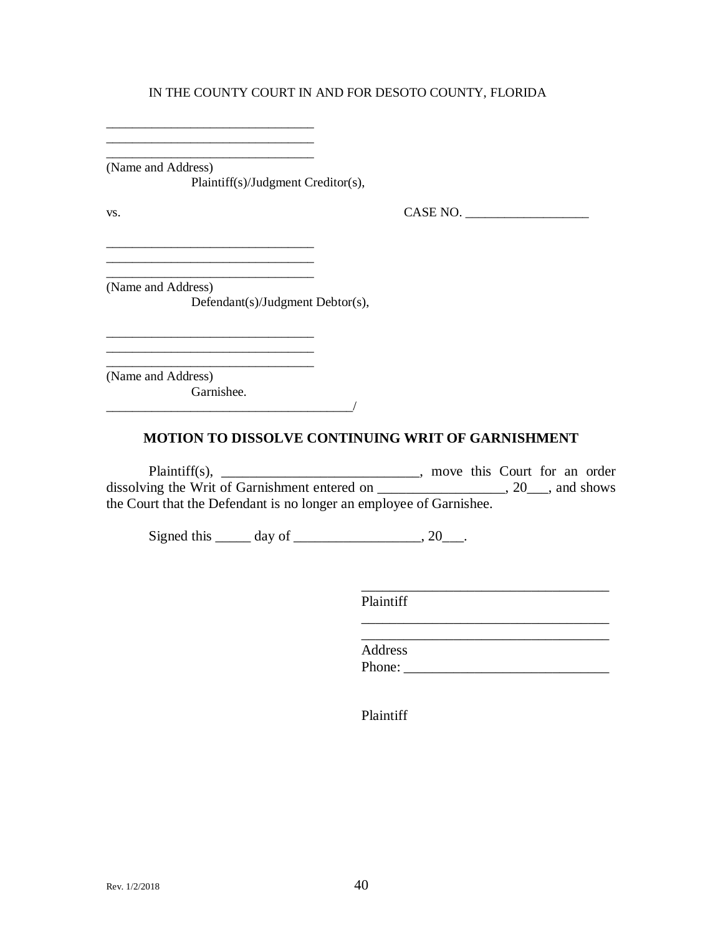\_\_\_\_\_\_\_\_\_\_\_\_\_\_\_\_\_\_\_\_\_\_\_\_\_\_\_\_\_\_\_\_ (Name and Address) Plaintiff(s)/Judgment Creditor(s),

\_\_\_\_\_\_\_\_\_\_\_\_\_\_\_\_\_\_\_\_\_\_\_\_\_\_\_\_\_\_\_\_ \_\_\_\_\_\_\_\_\_\_\_\_\_\_\_\_\_\_\_\_\_\_\_\_\_\_\_\_\_\_\_\_

vs. 2008. CASE NO. 2008. CASE NO. 2008. CASE NO. 2008. 2009. CASE NO. 2008. 2009. CASE NO. 2008. 2014. 2015. CASE NO. 2016. 2017. 2018. 2019. 2017. 2018. 2017. 2018. 2019. 2017. 2018. 2019. 2017. 2018. 2019. 2019. 2019. 20

\_\_\_\_\_\_\_\_\_\_\_\_\_\_\_\_\_\_\_\_\_\_\_\_\_\_\_\_\_\_\_\_ (Name and Address) Defendant(s)/Judgment Debtor(s),

\_\_\_\_\_\_\_\_\_\_\_\_\_\_\_\_\_\_\_\_\_\_\_\_\_\_\_\_\_\_\_\_

\_\_\_\_\_\_\_\_\_\_\_\_\_\_\_\_\_\_\_\_\_\_\_\_\_\_\_\_\_\_\_\_

\_\_\_\_\_\_\_\_\_\_\_\_\_\_\_\_\_\_\_\_\_\_\_\_\_\_\_\_\_\_\_\_ (Name and Address) Garnishee.

## **MOTION TO DISSOLVE CONTINUING WRIT OF GARNISHMENT**

Plaintiff(s), \_\_\_\_\_\_\_\_\_\_\_\_\_\_\_\_\_\_\_\_\_\_\_\_, move this Court for an order dissolving the Writ of Garnishment entered on \_\_\_\_\_\_\_\_\_\_\_\_\_\_\_\_\_, 20\_\_\_, and shows the Court that the Defendant is no longer an employee of Garnishee.

Signed this  $\_\_\_\_\$  day of  $\_\_\_\_\_\_\_\_\_\_$ . 20 $\_\_\_\_\.\$ 

 $\overline{\phantom{a}}$ 

Plaintiff  $\frac{1}{\sqrt{2}}$ 

Address Phone: \_\_\_\_\_\_\_\_\_\_\_\_\_\_\_\_\_\_\_\_\_\_\_\_\_\_\_\_\_

\_\_\_\_\_\_\_\_\_\_\_\_\_\_\_\_\_\_\_\_\_\_\_\_\_\_\_\_\_\_\_\_\_\_\_

Plaintiff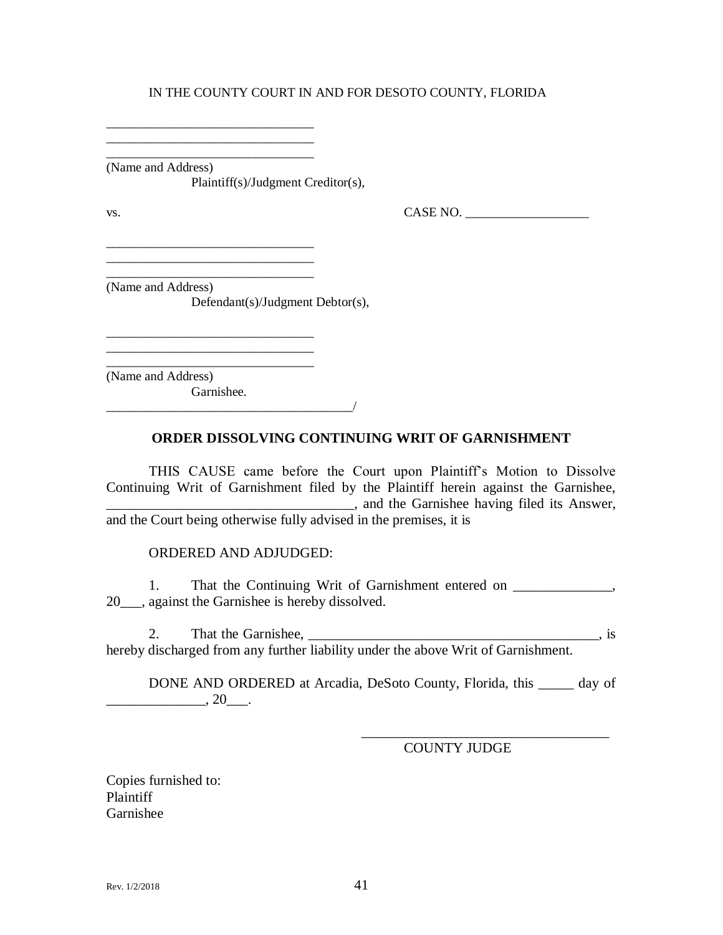\_\_\_\_\_\_\_\_\_\_\_\_\_\_\_\_\_\_\_\_\_\_\_\_\_\_\_\_\_\_\_\_ (Name and Address) Plaintiff(s)/Judgment Creditor(s),

\_\_\_\_\_\_\_\_\_\_\_\_\_\_\_\_\_\_\_\_\_\_\_\_\_\_\_\_\_\_\_\_ \_\_\_\_\_\_\_\_\_\_\_\_\_\_\_\_\_\_\_\_\_\_\_\_\_\_\_\_\_\_\_\_

\_\_\_\_\_\_\_\_\_\_\_\_\_\_\_\_\_\_\_\_\_\_\_\_\_\_\_\_\_\_\_\_ \_\_\_\_\_\_\_\_\_\_\_\_\_\_\_\_\_\_\_\_\_\_\_\_\_\_\_\_\_\_\_\_ \_\_\_\_\_\_\_\_\_\_\_\_\_\_\_\_\_\_\_\_\_\_\_\_\_\_\_\_\_\_\_\_

\_\_\_\_\_\_\_\_\_\_\_\_\_\_\_\_\_\_\_\_\_\_\_\_\_\_\_\_\_\_\_\_

\_\_\_\_\_\_\_\_\_\_\_\_\_\_\_\_\_\_\_\_\_\_\_\_\_\_\_\_\_\_\_\_\_\_\_\_\_\_/

 $\text{Vs.}}$  CASE NO.  $\overline{\phantom{0}}$ 

(Name and Address)

Defendant(s)/Judgment Debtor(s),

\_\_\_\_\_\_\_\_\_\_\_\_\_\_\_\_\_\_\_\_\_\_\_\_\_\_\_\_\_\_\_\_ (Name and Address) Garnishee.

## **ORDER DISSOLVING CONTINUING WRIT OF GARNISHMENT**

THIS CAUSE came before the Court upon Plaintiff's Motion to Dissolve Continuing Writ of Garnishment filed by the Plaintiff herein against the Garnishee, **EXECUTE:** All the Garnishee having filed its Answer, and the Court being otherwise fully advised in the premises, it is

ORDERED AND ADJUDGED:

1. That the Continuing Writ of Garnishment entered on  $\blacksquare$ , 20\_\_\_, against the Garnishee is hereby dissolved.

2. That the Garnishee, \_\_\_\_\_\_\_\_\_\_\_\_\_\_\_\_\_\_\_\_\_\_\_\_\_\_\_\_\_\_\_\_\_\_\_\_\_\_\_\_\_, is hereby discharged from any further liability under the above Writ of Garnishment.

DONE AND ORDERED at Arcadia, DeSoto County, Florida, this \_\_\_\_\_ day of  $\frac{1}{20}$ .

COUNTY JUDGE

\_\_\_\_\_\_\_\_\_\_\_\_\_\_\_\_\_\_\_\_\_\_\_\_\_\_\_\_\_\_\_\_\_\_\_

Copies furnished to: Plaintiff Garnishee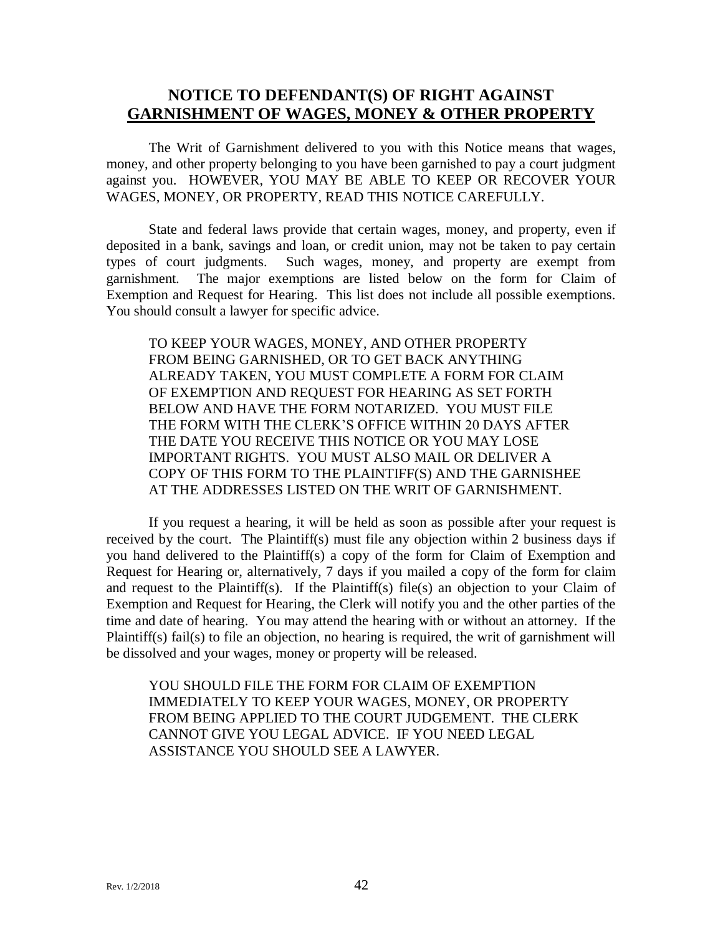## **NOTICE TO DEFENDANT(S) OF RIGHT AGAINST GARNISHMENT OF WAGES, MONEY & OTHER PROPERTY**

The Writ of Garnishment delivered to you with this Notice means that wages, money, and other property belonging to you have been garnished to pay a court judgment against you. HOWEVER, YOU MAY BE ABLE TO KEEP OR RECOVER YOUR WAGES, MONEY, OR PROPERTY, READ THIS NOTICE CAREFULLY.

State and federal laws provide that certain wages, money, and property, even if deposited in a bank, savings and loan, or credit union, may not be taken to pay certain types of court judgments. Such wages, money, and property are exempt from garnishment. The major exemptions are listed below on the form for Claim of Exemption and Request for Hearing. This list does not include all possible exemptions. You should consult a lawyer for specific advice.

TO KEEP YOUR WAGES, MONEY, AND OTHER PROPERTY FROM BEING GARNISHED, OR TO GET BACK ANYTHING ALREADY TAKEN, YOU MUST COMPLETE A FORM FOR CLAIM OF EXEMPTION AND REQUEST FOR HEARING AS SET FORTH BELOW AND HAVE THE FORM NOTARIZED. YOU MUST FILE THE FORM WITH THE CLERK'S OFFICE WITHIN 20 DAYS AFTER THE DATE YOU RECEIVE THIS NOTICE OR YOU MAY LOSE IMPORTANT RIGHTS. YOU MUST ALSO MAIL OR DELIVER A COPY OF THIS FORM TO THE PLAINTIFF(S) AND THE GARNISHEE AT THE ADDRESSES LISTED ON THE WRIT OF GARNISHMENT.

If you request a hearing, it will be held as soon as possible after your request is received by the court. The Plaintiff(s) must file any objection within 2 business days if you hand delivered to the Plaintiff(s) a copy of the form for Claim of Exemption and Request for Hearing or, alternatively, 7 days if you mailed a copy of the form for claim and request to the Plaintiff(s). If the Plaintiff(s) file(s) an objection to your Claim of Exemption and Request for Hearing, the Clerk will notify you and the other parties of the time and date of hearing. You may attend the hearing with or without an attorney. If the Plaintiff(s) fail(s) to file an objection, no hearing is required, the writ of garnishment will be dissolved and your wages, money or property will be released.

YOU SHOULD FILE THE FORM FOR CLAIM OF EXEMPTION IMMEDIATELY TO KEEP YOUR WAGES, MONEY, OR PROPERTY FROM BEING APPLIED TO THE COURT JUDGEMENT. THE CLERK CANNOT GIVE YOU LEGAL ADVICE. IF YOU NEED LEGAL ASSISTANCE YOU SHOULD SEE A LAWYER.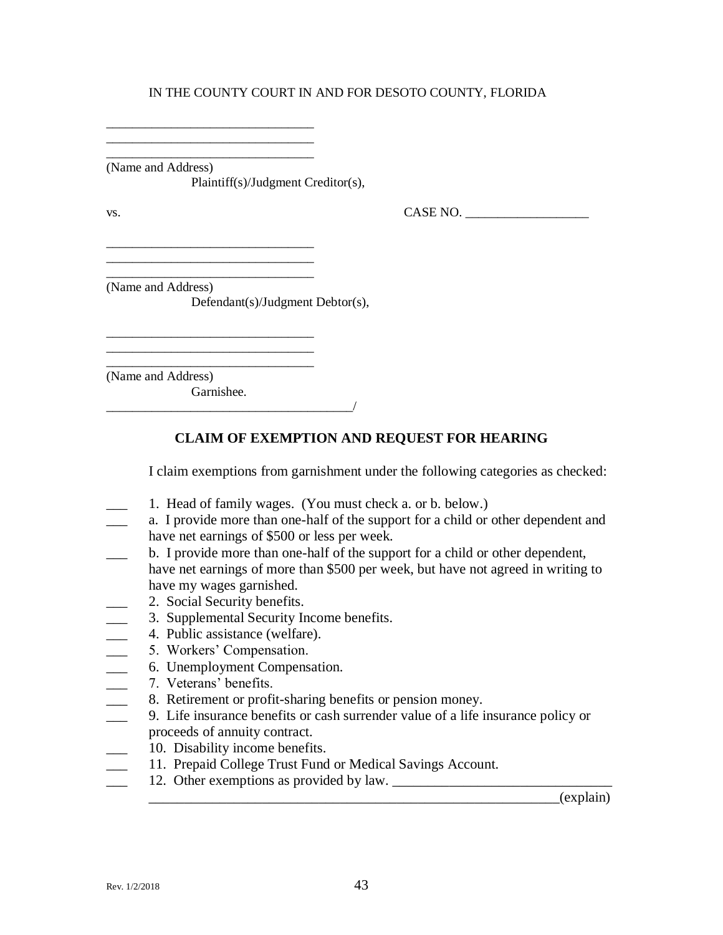\_\_\_\_\_\_\_\_\_\_\_\_\_\_\_\_\_\_\_\_\_\_\_\_\_\_\_\_\_\_\_\_ (Name and Address) Plaintiff(s)/Judgment Creditor(s),

\_\_\_\_\_\_\_\_\_\_\_\_\_\_\_\_\_\_\_\_\_\_\_\_\_\_\_\_\_\_\_\_ \_\_\_\_\_\_\_\_\_\_\_\_\_\_\_\_\_\_\_\_\_\_\_\_\_\_\_\_\_\_\_\_

\_\_\_\_\_\_\_\_\_\_\_\_\_\_\_\_\_\_\_\_\_\_\_\_\_\_\_\_\_\_\_\_ \_\_\_\_\_\_\_\_\_\_\_\_\_\_\_\_\_\_\_\_\_\_\_\_\_\_\_\_\_\_\_\_

\_\_\_\_\_\_\_\_\_\_\_\_\_\_\_\_\_\_\_\_\_\_\_\_\_\_\_\_\_\_\_\_

\_\_\_\_\_\_\_\_\_\_\_\_\_\_\_\_\_\_\_\_\_\_\_\_\_\_\_\_\_\_\_\_\_\_\_\_\_\_/

vs. CASE NO. \_\_\_\_\_\_\_\_\_\_\_\_\_\_\_\_\_\_\_

\_\_\_\_\_\_\_\_\_\_\_\_\_\_\_\_\_\_\_\_\_\_\_\_\_\_\_\_\_\_\_\_ (Name and Address)

Defendant(s)/Judgment Debtor(s),

\_\_\_\_\_\_\_\_\_\_\_\_\_\_\_\_\_\_\_\_\_\_\_\_\_\_\_\_\_\_\_\_ (Name and Address) Garnishee.

## **CLAIM OF EXEMPTION AND REQUEST FOR HEARING**

I claim exemptions from garnishment under the following categories as checked:

- 1. Head of family wages. (You must check a. or b. below.)
- \_\_\_ a. I provide more than one-half of the support for a child or other dependent and have net earnings of \$500 or less per week.
- b. I provide more than one-half of the support for a child or other dependent, have net earnings of more than \$500 per week, but have not agreed in writing to have my wages garnished.
- 2. Social Security benefits.
	- \_\_\_ 3. Supplemental Security Income benefits.
	- 4. Public assistance (welfare).
	- \_\_\_ 5. Workers' Compensation.
	- \_\_\_ 6. Unemployment Compensation.
	- \_\_\_ 7. Veterans' benefits.
	- 8. Retirement or profit-sharing benefits or pension money.
- \_\_\_ 9. Life insurance benefits or cash surrender value of a life insurance policy or proceeds of annuity contract.
- 10. Disability income benefits.
- 11. Prepaid College Trust Fund or Medical Savings Account.
- \_\_\_ 12. Other exemptions as provided by law. \_\_\_\_\_\_\_\_\_\_\_\_\_\_\_\_\_\_\_\_\_\_\_\_\_\_\_\_\_\_\_

\_\_\_\_\_\_\_\_\_\_\_\_\_\_\_\_\_\_\_\_\_\_\_\_\_\_\_\_\_\_\_\_\_\_\_\_\_\_\_\_\_\_\_\_\_\_\_\_\_\_\_\_\_\_\_\_\_\_(explain)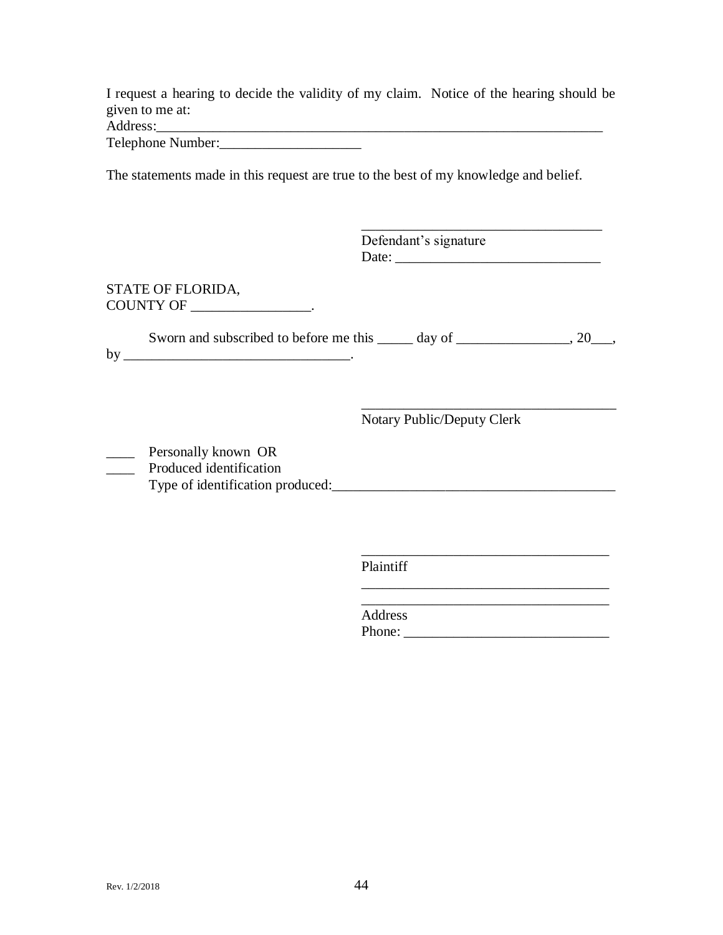I request a hearing to decide the validity of my claim. Notice of the hearing should be given to me at: Address:

Telephone Number:

The statements made in this request are true to the best of my knowledge and belief.

|                                                     | Defendant's signature                                                          |  |
|-----------------------------------------------------|--------------------------------------------------------------------------------|--|
| STATE OF FLORIDA,<br>COUNTY OF ____________________ |                                                                                |  |
|                                                     | Sworn and subscribed to before me this ______ day of _________________, 20___, |  |
|                                                     | Notary Public/Deputy Clerk                                                     |  |
| Personally known OR<br>Produced identification      |                                                                                |  |
|                                                     |                                                                                |  |
|                                                     | Plaintiff                                                                      |  |

Address Phone: \_\_\_\_\_\_\_\_\_\_\_\_\_\_\_\_\_\_\_\_\_\_\_\_\_\_\_\_\_

\_\_\_\_\_\_\_\_\_\_\_\_\_\_\_\_\_\_\_\_\_\_\_\_\_\_\_\_\_\_\_\_\_\_\_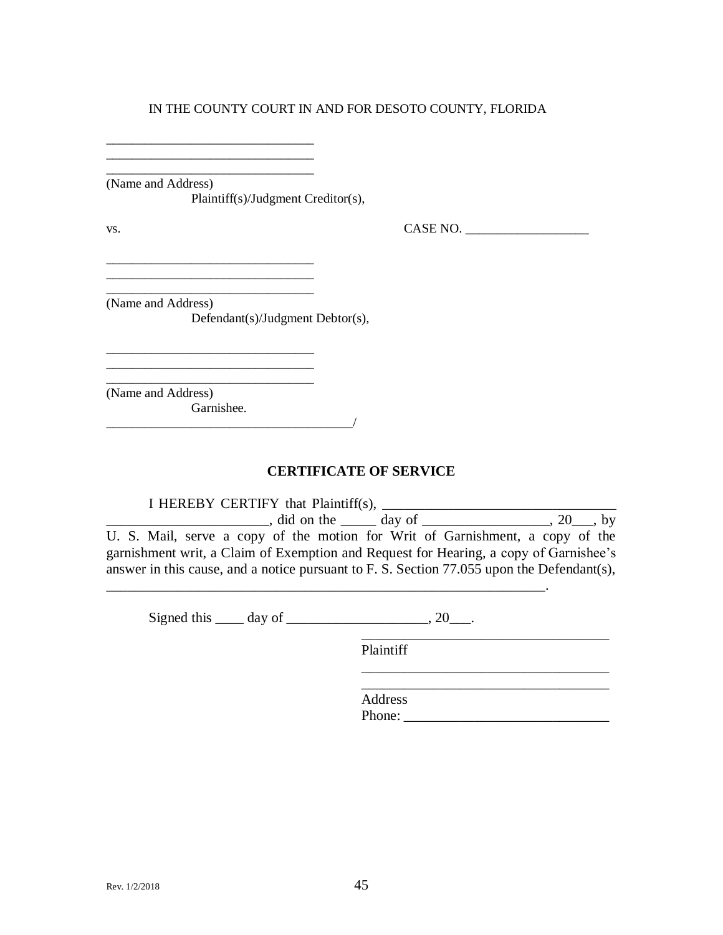\_\_\_\_\_\_\_\_\_\_\_\_\_\_\_\_\_\_\_\_\_\_\_\_\_\_\_\_\_\_\_\_

\_\_\_\_\_\_\_\_\_\_\_\_\_\_\_\_\_\_\_\_\_\_\_\_\_\_\_\_\_\_\_\_

(Name and Address) Plaintiff(s)/Judgment Creditor(s),

 $\text{v}_\text{s}$ .  $\text{CASE NO.}$ 

 $\_$ 

 $\_$ (Name and Address) Defendant(s)/Judgment Debtor(s),

\_\_\_\_\_\_\_\_\_\_\_\_\_\_\_\_\_\_\_\_\_\_\_\_\_\_\_\_\_\_\_\_

\_\_\_\_\_\_\_\_\_\_\_\_\_\_\_\_\_\_\_\_\_\_\_\_\_\_\_\_\_\_\_\_ \_\_\_\_\_\_\_\_\_\_\_\_\_\_\_\_\_\_\_\_\_\_\_\_\_\_\_\_\_\_\_\_

\_\_\_\_\_\_\_\_\_\_\_\_\_\_\_\_\_\_\_\_\_\_\_\_\_\_\_\_\_\_\_\_ (Name and Address)

Garnishee.  $\frac{1}{2}$  ,  $\frac{1}{2}$  ,  $\frac{1}{2}$  ,  $\frac{1}{2}$  ,  $\frac{1}{2}$  ,  $\frac{1}{2}$  ,  $\frac{1}{2}$  ,  $\frac{1}{2}$  ,  $\frac{1}{2}$  ,  $\frac{1}{2}$  ,  $\frac{1}{2}$  ,  $\frac{1}{2}$  ,  $\frac{1}{2}$  ,  $\frac{1}{2}$  ,  $\frac{1}{2}$  ,  $\frac{1}{2}$  ,  $\frac{1}{2}$  ,  $\frac{1}{2}$  ,  $\frac{1$ 

## **CERTIFICATE OF SERVICE**

I HEREBY CERTIFY that Plaintiff(s), \_\_\_\_\_\_\_\_\_\_\_\_\_\_\_\_\_\_\_\_\_\_\_\_\_\_\_\_\_\_\_\_\_ \_\_\_\_\_\_\_\_\_\_\_\_\_\_\_\_\_\_\_\_\_\_\_, did on the \_\_\_\_\_ day of \_\_\_\_\_\_\_\_\_\_\_\_\_\_\_\_\_\_, 20\_\_\_, by U. S. Mail, serve a copy of the motion for Writ of Garnishment, a copy of the garnishment writ, a Claim of Exemption and Request for Hearing, a copy of Garnishee's answer in this cause, and a notice pursuant to F. S. Section 77.055 upon the Defendant(s),

Signed this  $\_\_\_$  day of  $\_\_\_\_\_\_\_\_\$ , 20 $\_\_\_\_\.\$ 

\_\_\_\_\_\_\_\_\_\_\_\_\_\_\_\_\_\_\_\_\_\_\_\_\_\_\_\_\_\_\_\_\_\_\_\_\_\_\_\_\_\_\_\_\_\_\_\_\_\_\_\_\_\_\_\_\_\_\_\_\_\_.

Plaintiff

\_\_\_\_\_\_\_\_\_\_\_\_\_\_\_\_\_\_\_\_\_\_\_\_\_\_\_\_\_\_\_\_\_\_\_ Address Phone: \_\_\_\_\_\_\_\_\_\_\_\_\_\_\_\_\_\_\_\_\_\_\_\_\_\_\_\_\_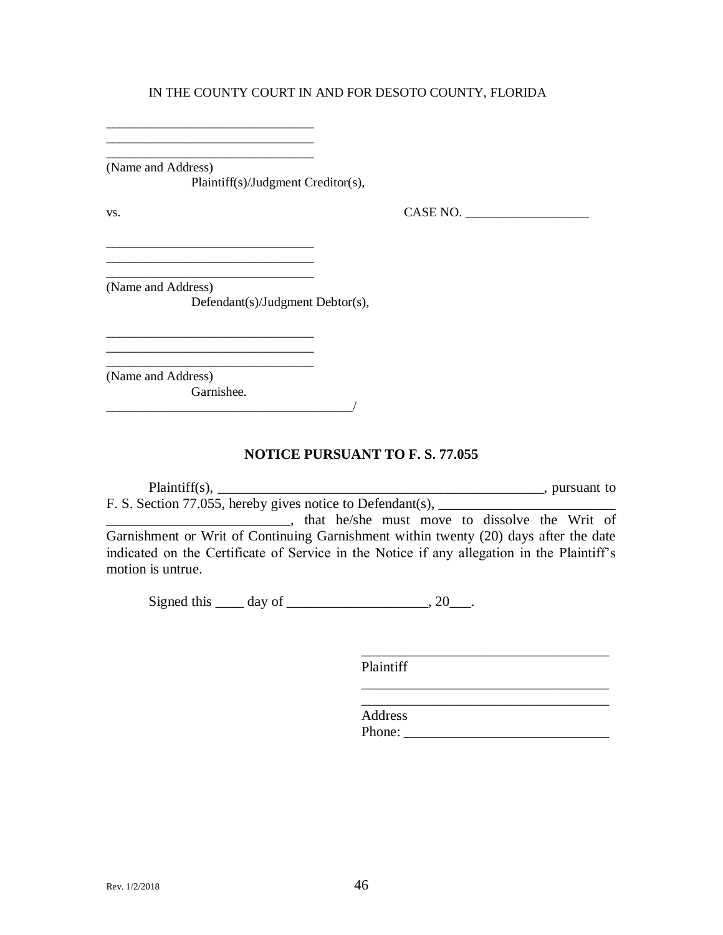\_\_\_\_\_\_\_\_\_\_\_\_\_\_\_\_\_\_\_\_\_\_\_\_\_\_\_\_\_\_\_\_ (Name and Address) Plaintiff(s)/Judgment Creditor(s),

vs. CASE NO. \_\_\_\_\_\_\_\_\_\_\_\_\_\_\_\_\_\_\_

\_\_\_\_\_\_\_\_\_\_\_\_\_\_\_\_\_\_\_\_\_\_\_\_\_\_\_\_\_\_\_\_ (Name and Address) Defendant(s)/Judgment Debtor(s),

\_\_\_\_\_\_\_\_\_\_\_\_\_\_\_\_\_\_\_\_\_\_\_\_\_\_\_\_\_\_\_\_

\_\_\_\_\_\_\_\_\_\_\_\_\_\_\_\_\_\_\_\_\_\_\_\_\_\_\_\_\_\_\_\_\_\_\_\_\_\_/

\_\_\_\_\_\_\_\_\_\_\_\_\_\_\_\_\_\_\_\_\_\_\_\_\_\_\_\_\_\_\_\_ \_\_\_\_\_\_\_\_\_\_\_\_\_\_\_\_\_\_\_\_\_\_\_\_\_\_\_\_\_\_\_\_

\_\_\_\_\_\_\_\_\_\_\_\_\_\_\_\_\_\_\_\_\_\_\_\_\_\_\_\_\_\_\_\_ (Name and Address) Garnishee.

**NOTICE PURSUANT TO F. S. 77.055**

Plaintiff(s), \_\_\_\_\_\_\_\_\_\_\_\_\_\_\_\_\_\_\_\_\_\_\_\_\_\_\_\_\_\_\_\_\_\_\_\_\_\_\_\_\_\_\_\_\_\_, pursuant to F. S. Section 77.055, hereby gives notice to Defendant(s),  $\overline{\phantom{a}}$ 

**Example 2018**, that he/she must move to dissolve the Writ of Garnishment or Writ of Continuing Garnishment within twenty (20) days after the date indicated on the Certificate of Service in the Notice if any allegation in the Plaintiff's motion is untrue.

Signed this  $\rule{1em}{0.15mm}$  day of  $\rule{1em}{0.15mm}$   $\qquad \qquad$   $\qquad \qquad$   $\qquad \qquad$   $\qquad \qquad$   $\qquad \qquad$   $\qquad \qquad$   $\qquad \qquad$   $\qquad \qquad$   $\qquad \qquad$   $\qquad \qquad$   $\qquad \qquad$   $\qquad \qquad$   $\qquad \qquad$   $\qquad \qquad$   $\qquad \qquad$   $\qquad \qquad$   $\qquad \qquad$   $\qquad \qquad$   $\qquad \qquad$ 

Plaintiff

Address Phone: \_\_\_\_\_\_\_\_\_\_\_\_\_\_\_\_\_\_\_\_\_\_\_\_\_\_\_\_\_

\_\_\_\_\_\_\_\_\_\_\_\_\_\_\_\_\_\_\_\_\_\_\_\_\_\_\_\_\_\_\_\_\_\_\_

\_\_\_\_\_\_\_\_\_\_\_\_\_\_\_\_\_\_\_\_\_\_\_\_\_\_\_\_\_\_\_\_\_\_\_ \_\_\_\_\_\_\_\_\_\_\_\_\_\_\_\_\_\_\_\_\_\_\_\_\_\_\_\_\_\_\_\_\_\_\_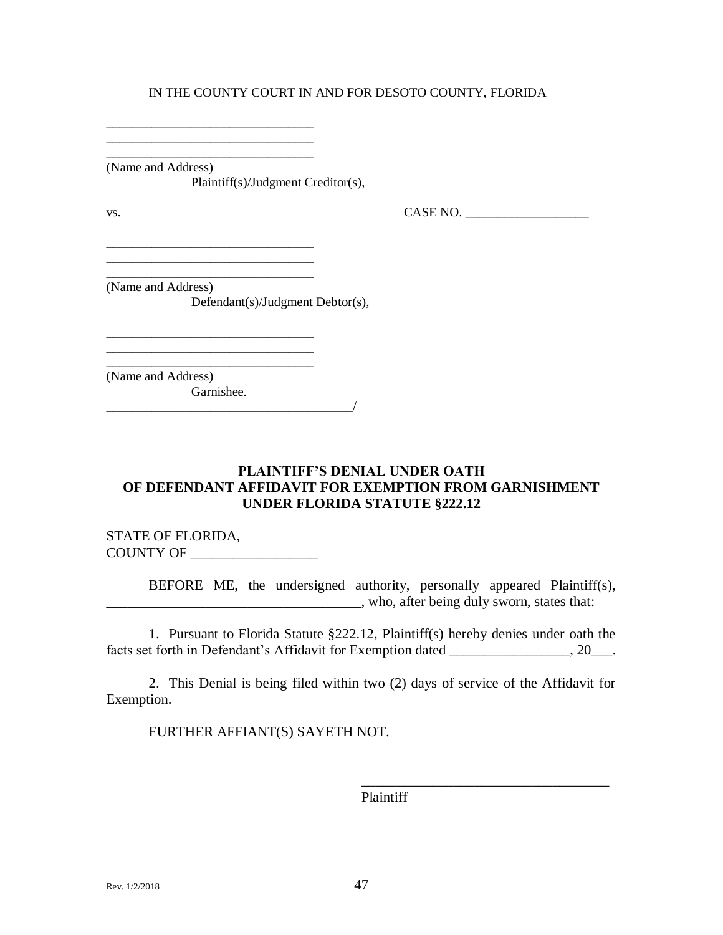\_\_\_\_\_\_\_\_\_\_\_\_\_\_\_\_\_\_\_\_\_\_\_\_\_\_\_\_\_\_\_\_ (Name and Address) Plaintiff(s)/Judgment Creditor(s),

 $\text{Vs.}}$  CASE NO.  $\overline{\phantom{0}}$ 

\_\_\_\_\_\_\_\_\_\_\_\_\_\_\_\_\_\_\_\_\_\_\_\_\_\_\_\_\_\_\_\_ (Name and Address) Defendant(s)/Judgment Debtor(s),

\_\_\_\_\_\_\_\_\_\_\_\_\_\_\_\_\_\_\_\_\_\_\_\_\_\_\_\_\_\_\_\_

\_\_\_\_\_\_\_\_\_\_\_\_\_\_\_\_\_\_\_\_\_\_\_\_\_\_\_\_\_\_\_\_ \_\_\_\_\_\_\_\_\_\_\_\_\_\_\_\_\_\_\_\_\_\_\_\_\_\_\_\_\_\_\_\_

\_\_\_\_\_\_\_\_\_\_\_\_\_\_\_\_\_\_\_\_\_\_\_\_\_\_\_\_\_\_\_\_ \_\_\_\_\_\_\_\_\_\_\_\_\_\_\_\_\_\_\_\_\_\_\_\_\_\_\_\_\_\_\_\_

\_\_\_\_\_\_\_\_\_\_\_\_\_\_\_\_\_\_\_\_\_\_\_\_\_\_\_\_\_\_\_\_ (Name and Address) Garnishee.

 $\blacksquare$   $\blacksquare$   $\blacksquare$   $\blacksquare$   $\blacksquare$   $\blacksquare$   $\blacksquare$   $\blacksquare$   $\blacksquare$   $\blacksquare$   $\blacksquare$   $\blacksquare$   $\blacksquare$   $\blacksquare$   $\blacksquare$   $\blacksquare$   $\blacksquare$   $\blacksquare$   $\blacksquare$   $\blacksquare$   $\blacksquare$   $\blacksquare$   $\blacksquare$   $\blacksquare$   $\blacksquare$   $\blacksquare$   $\blacksquare$   $\blacksquare$   $\blacksquare$   $\blacksquare$   $\blacksquare$   $\blacks$ 

## **PLAINTIFF'S DENIAL UNDER OATH OF DEFENDANT AFFIDAVIT FOR EXEMPTION FROM GARNISHMENT UNDER FLORIDA STATUTE §222.12**

STATE OF FLORIDA, COUNTY OF \_\_\_\_\_\_\_\_\_\_\_\_\_\_\_\_\_\_

BEFORE ME, the undersigned authority, personally appeared Plaintiff(s), \_\_\_\_\_\_\_\_\_\_\_\_\_\_\_\_\_\_\_\_\_\_\_\_\_\_\_\_\_\_\_\_\_\_\_\_, who, after being duly sworn, states that:

1. Pursuant to Florida Statute §222.12, Plaintiff(s) hereby denies under oath the facts set forth in Defendant's Affidavit for Exemption dated \_\_\_\_\_\_\_\_\_\_\_\_\_\_, 20\_\_\_.

2. This Denial is being filed within two (2) days of service of the Affidavit for Exemption.

FURTHER AFFIANT(S) SAYETH NOT.

Plaintiff

\_\_\_\_\_\_\_\_\_\_\_\_\_\_\_\_\_\_\_\_\_\_\_\_\_\_\_\_\_\_\_\_\_\_\_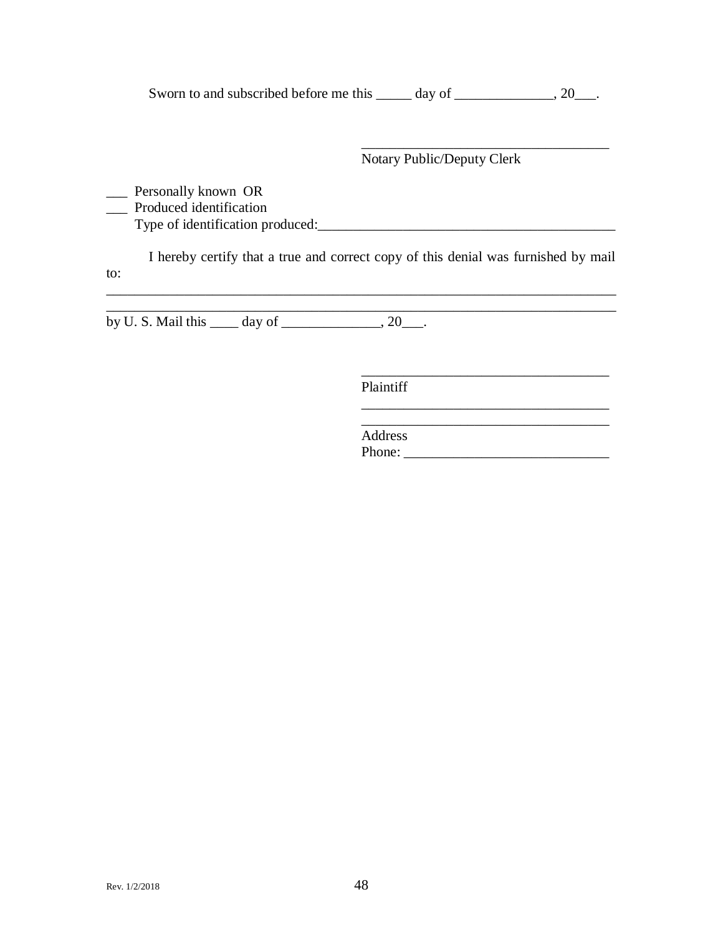Sworn to and subscribed before me this \_\_\_\_\_ day of \_\_\_\_\_\_\_\_\_\_\_, 20\_\_\_.

Notary Public/Deputy Clerk

\_\_\_\_\_\_\_\_\_\_\_\_\_\_\_\_\_\_\_\_\_\_\_\_\_\_\_\_\_\_\_\_\_\_\_

\_\_\_\_\_\_\_\_\_\_\_\_\_\_\_\_\_\_\_\_\_\_\_\_\_\_\_\_\_\_\_\_\_\_\_

 $\frac{1}{\sqrt{2}}$  ,  $\frac{1}{\sqrt{2}}$  ,  $\frac{1}{\sqrt{2}}$  ,  $\frac{1}{\sqrt{2}}$  ,  $\frac{1}{\sqrt{2}}$  ,  $\frac{1}{\sqrt{2}}$  ,  $\frac{1}{\sqrt{2}}$  ,  $\frac{1}{\sqrt{2}}$  ,  $\frac{1}{\sqrt{2}}$  ,  $\frac{1}{\sqrt{2}}$  ,  $\frac{1}{\sqrt{2}}$  ,  $\frac{1}{\sqrt{2}}$  ,  $\frac{1}{\sqrt{2}}$  ,  $\frac{1}{\sqrt{2}}$  ,  $\frac{1}{\sqrt{2}}$ 

\_\_\_ Personally known OR

\_\_\_ Produced identification

Type of identification produced:\_\_\_\_\_\_\_\_\_\_\_\_\_\_\_\_\_\_\_\_\_\_\_\_\_\_\_\_\_\_\_\_\_\_\_\_\_\_\_\_\_\_

I hereby certify that a true and correct copy of this denial was furnished by mail to:

\_\_\_\_\_\_\_\_\_\_\_\_\_\_\_\_\_\_\_\_\_\_\_\_\_\_\_\_\_\_\_\_\_\_\_\_\_\_\_\_\_\_\_\_\_\_\_\_\_\_\_\_\_\_\_\_\_\_\_\_\_\_\_\_\_\_\_\_\_\_\_\_

by U. S. Mail this  $\_\_\_\$  day of  $\_\_\_\_\_\_$ , 20 $\_\_\_\_\$ .

Plaintiff

 $\mathcal{L}_\mathcal{L} = \mathcal{L}_\mathcal{L} = \mathcal{L}_\mathcal{L} = \mathcal{L}_\mathcal{L} = \mathcal{L}_\mathcal{L} = \mathcal{L}_\mathcal{L} = \mathcal{L}_\mathcal{L} = \mathcal{L}_\mathcal{L} = \mathcal{L}_\mathcal{L} = \mathcal{L}_\mathcal{L} = \mathcal{L}_\mathcal{L} = \mathcal{L}_\mathcal{L} = \mathcal{L}_\mathcal{L} = \mathcal{L}_\mathcal{L} = \mathcal{L}_\mathcal{L} = \mathcal{L}_\mathcal{L} = \mathcal{L}_\mathcal{L}$ 

\_\_\_\_\_\_\_\_\_\_\_\_\_\_\_\_\_\_\_\_\_\_\_\_\_\_\_\_\_\_\_\_\_\_\_ Address Phone: \_\_\_\_\_\_\_\_\_\_\_\_\_\_\_\_\_\_\_\_\_\_\_\_\_\_\_\_\_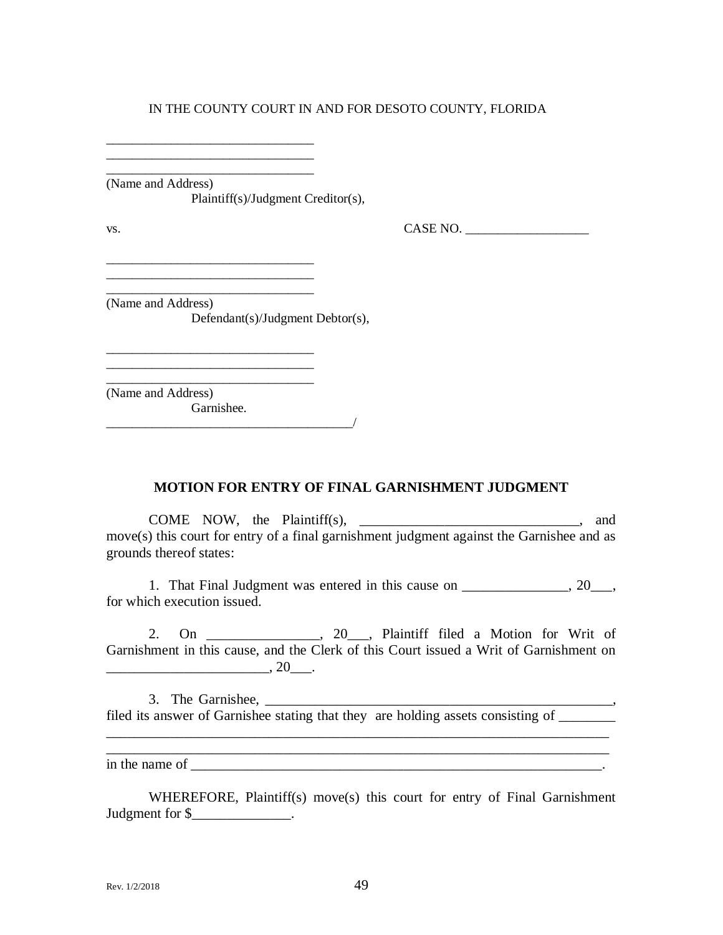\_\_\_\_\_\_\_\_\_\_\_\_\_\_\_\_\_\_\_\_\_\_\_\_\_\_\_\_\_\_\_\_ (Name and Address)

\_\_\_\_\_\_\_\_\_\_\_\_\_\_\_\_\_\_\_\_\_\_\_\_\_\_\_\_\_\_\_\_

\_\_\_\_\_\_\_\_\_\_\_\_\_\_\_\_\_\_\_\_\_\_\_\_\_\_\_\_\_\_\_\_ \_\_\_\_\_\_\_\_\_\_\_\_\_\_\_\_\_\_\_\_\_\_\_\_\_\_\_\_\_\_\_\_

\_\_\_\_\_\_\_\_\_\_\_\_\_\_\_\_\_\_\_\_\_\_\_\_\_\_\_\_\_\_\_\_ \_\_\_\_\_\_\_\_\_\_\_\_\_\_\_\_\_\_\_\_\_\_\_\_\_\_\_\_\_\_\_\_

Plaintiff(s)/Judgment Creditor(s),

 $\text{v}_\text{s}$ . CASE NO.

(Name and Address) Defendant(s)/Judgment Debtor(s),

\_\_\_\_\_\_\_\_\_\_\_\_\_\_\_\_\_\_\_\_\_\_\_\_\_\_\_\_\_\_\_\_ (Name and Address)

Garnishee.

\_\_\_\_\_\_\_\_\_\_\_\_\_\_\_\_\_\_\_\_\_\_\_\_\_\_\_\_\_\_\_\_\_\_\_\_\_\_/

## **MOTION FOR ENTRY OF FINAL GARNISHMENT JUDGMENT**

COME NOW, the Plaintiff(s), \_\_\_\_\_\_\_\_\_\_\_\_\_\_\_\_\_\_\_\_\_\_\_\_\_\_\_\_\_\_\_, and move(s) this court for entry of a final garnishment judgment against the Garnishee and as grounds thereof states:

1. That Final Judgment was entered in this cause on \_\_\_\_\_\_\_\_\_\_\_\_\_\_, 20\_\_\_, for which execution issued.

2. On \_\_\_\_\_\_\_\_\_\_\_\_\_\_\_\_, 20\_\_\_, Plaintiff filed a Motion for Writ of Garnishment in this cause, and the Clerk of this Court issued a Writ of Garnishment on  $\frac{1}{20}$ , 20\_\_\_.

3. The Garnishee, filed its answer of Garnishee stating that they are holding assets consisting of \_\_\_\_\_\_\_

in the name of  $\overline{\phantom{a}}$ 

WHEREFORE, Plaintiff(s) move(s) this court for entry of Final Garnishment Judgment for \$\_\_\_\_\_\_\_\_\_\_\_\_\_\_\_.

\_\_\_\_\_\_\_\_\_\_\_\_\_\_\_\_\_\_\_\_\_\_\_\_\_\_\_\_\_\_\_\_\_\_\_\_\_\_\_\_\_\_\_\_\_\_\_\_\_\_\_\_\_\_\_\_\_\_\_\_\_\_\_\_\_\_\_\_\_\_\_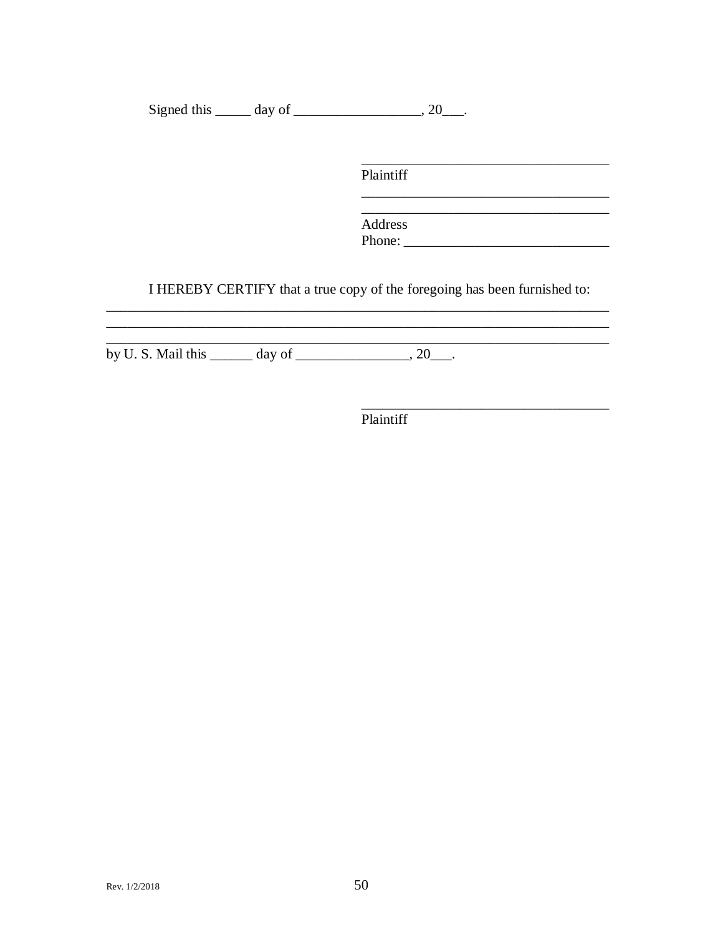Signed this  $\_\_\_\_$  day of  $\_\_\_\_\_\_$ , 20 $\_\_\_\_\$ .

Plaintiff

Address 

I HEREBY CERTIFY that a true copy of the foregoing has been furnished to:

by U.S. Mail this  $\_\_\_\_\$  day of  $\_\_\_\_\_\_$  20 $\_\_\_\_\_\$ .

<u> 1989 - Johann Barbara, martin amerikan basal da</u>

Plaintiff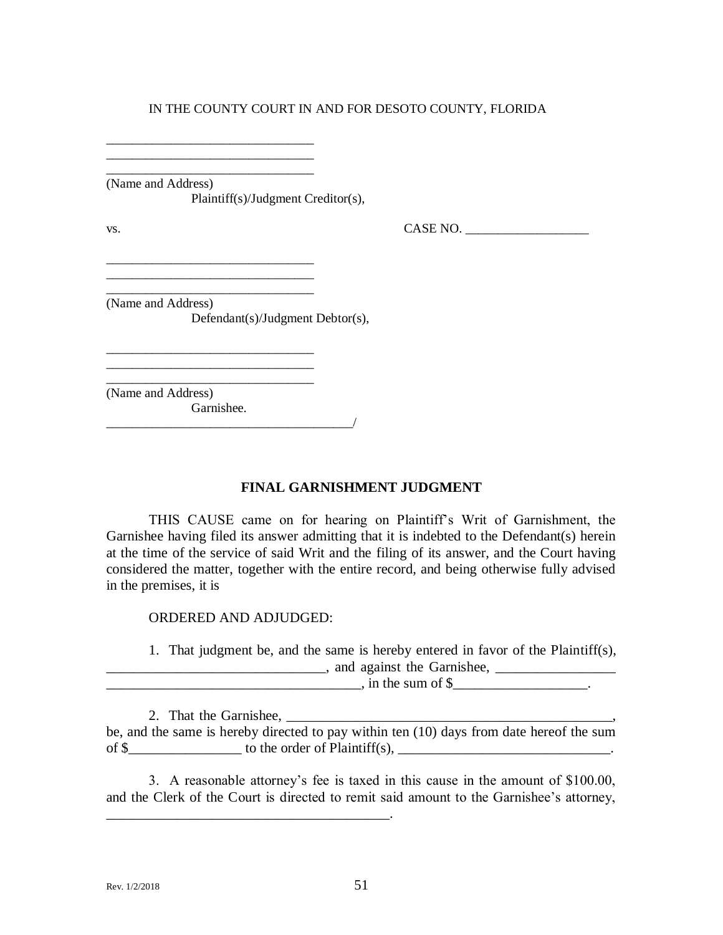\_\_\_\_\_\_\_\_\_\_\_\_\_\_\_\_\_\_\_\_\_\_\_\_\_\_\_\_\_\_\_\_ (Name and Address)

\_\_\_\_\_\_\_\_\_\_\_\_\_\_\_\_\_\_\_\_\_\_\_\_\_\_\_\_\_\_\_\_ \_\_\_\_\_\_\_\_\_\_\_\_\_\_\_\_\_\_\_\_\_\_\_\_\_\_\_\_\_\_\_\_

\_\_\_\_\_\_\_\_\_\_\_\_\_\_\_\_\_\_\_\_\_\_\_\_\_\_\_\_\_\_\_\_ \_\_\_\_\_\_\_\_\_\_\_\_\_\_\_\_\_\_\_\_\_\_\_\_\_\_\_\_\_\_\_\_

\_\_\_\_\_\_\_\_\_\_\_\_\_\_\_\_\_\_\_\_\_\_\_\_\_\_\_\_\_\_\_\_

Plaintiff(s)/Judgment Creditor(s),

 $\text{v}_\text{s}$ . CASE NO.

(Name and Address) Defendant(s)/Judgment Debtor(s),

\_\_\_\_\_\_\_\_\_\_\_\_\_\_\_\_\_\_\_\_\_\_\_\_\_\_\_\_\_\_\_\_ (Name and Address)

Garnishee. \_\_\_\_\_\_\_\_\_\_\_\_\_\_\_\_\_\_\_\_\_\_\_\_\_\_\_\_\_\_\_\_\_\_\_\_\_\_/

## **FINAL GARNISHMENT JUDGMENT**

THIS CAUSE came on for hearing on Plaintiff's Writ of Garnishment, the Garnishee having filed its answer admitting that it is indebted to the Defendant(s) herein at the time of the service of said Writ and the filing of its answer, and the Court having considered the matter, together with the entire record, and being otherwise fully advised in the premises, it is

ORDERED AND ADJUDGED:

\_\_\_\_\_\_\_\_\_\_\_\_\_\_\_\_\_\_\_\_\_\_\_\_\_\_\_\_\_\_\_\_\_\_\_\_\_\_\_\_.

1. That judgment be, and the same is hereby entered in favor of the Plaintiff(s), \_\_\_\_\_\_\_\_\_\_\_\_\_\_\_\_\_\_\_\_\_\_\_\_\_\_\_\_\_\_\_, and against the Garnishee, \_\_\_\_\_\_\_\_\_\_\_\_\_\_\_\_\_

 $\therefore$  in the sum of \$\_\_\_\_\_\_\_\_\_\_\_\_\_\_.

2. That the Garnishee, \_\_\_\_\_\_\_\_\_\_\_\_\_\_\_\_\_\_\_\_\_\_\_\_\_\_\_\_\_\_\_\_\_\_\_\_\_\_\_\_\_\_\_\_\_\_,

be, and the same is hereby directed to pay within ten (10) days from date hereof the sum of  $\$$  to the order of Plaintiff(s),  $\[$ 

3. A reasonable attorney's fee is taxed in this cause in the amount of \$100.00, and the Clerk of the Court is directed to remit said amount to the Garnishee's attorney,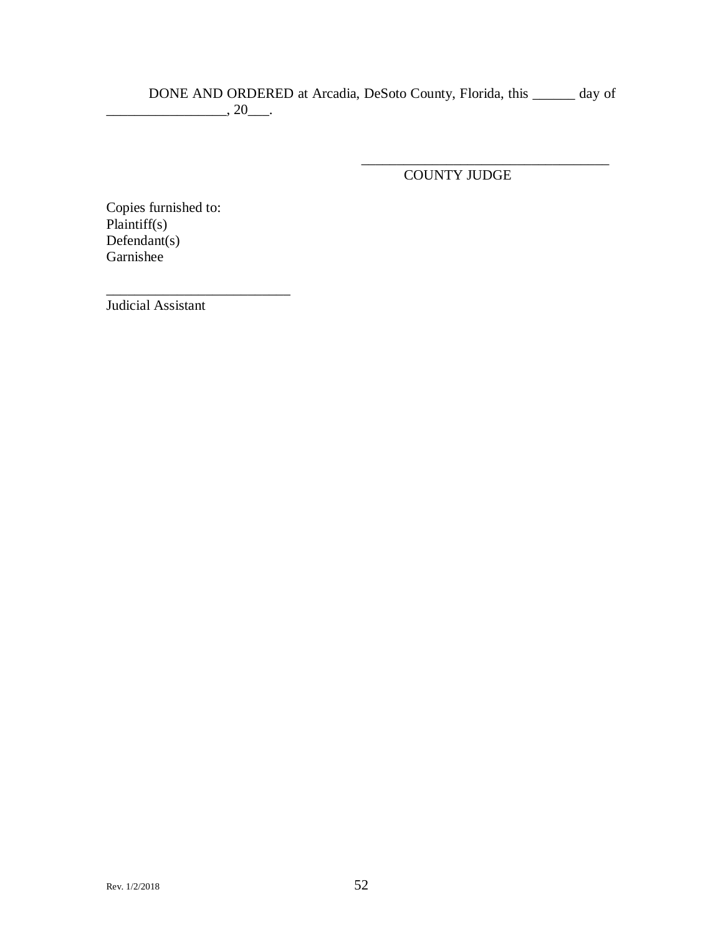DONE AND ORDERED at Arcadia, DeSoto County, Florida, this \_\_\_\_\_\_ day of  $\overline{\phantom{a}}$ , 20 $\overline{\phantom{a}}$ .

COUNTY JUDGE

\_\_\_\_\_\_\_\_\_\_\_\_\_\_\_\_\_\_\_\_\_\_\_\_\_\_\_\_\_\_\_\_\_\_\_

Copies furnished to: Plaintiff(s) Defendant(s) Garnishee

\_\_\_\_\_\_\_\_\_\_\_\_\_\_\_\_\_\_\_\_\_\_\_\_\_\_

Judicial Assistant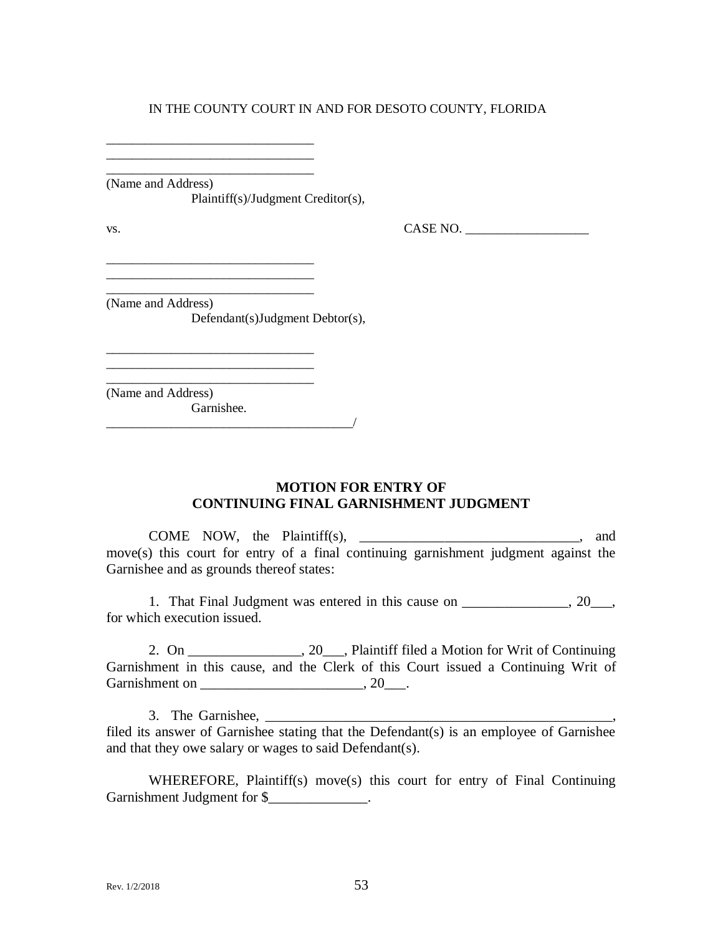\_\_\_\_\_\_\_\_\_\_\_\_\_\_\_\_\_\_\_\_\_\_\_\_\_\_\_\_\_\_\_\_

\_\_\_\_\_\_\_\_\_\_\_\_\_\_\_\_\_\_\_\_\_\_\_\_\_\_\_\_\_\_\_\_

(Name and Address)

Plaintiff(s)/Judgment Creditor(s),

 $\overline{\phantom{a}}$ 

 $\text{v}_\text{s}$ . CASE NO.

(Name and Address) Defendant(s)Judgment Debtor(s),

\_\_\_\_\_\_\_\_\_\_\_\_\_\_\_\_\_\_\_\_\_\_\_\_\_\_\_\_\_\_\_\_ \_\_\_\_\_\_\_\_\_\_\_\_\_\_\_\_\_\_\_\_\_\_\_\_\_\_\_\_\_\_\_\_

\_\_\_\_\_\_\_\_\_\_\_\_\_\_\_\_\_\_\_\_\_\_\_\_\_\_\_\_\_\_\_\_ \_\_\_\_\_\_\_\_\_\_\_\_\_\_\_\_\_\_\_\_\_\_\_\_\_\_\_\_\_\_\_\_

\_\_\_\_\_\_\_\_\_\_\_\_\_\_\_\_\_\_\_\_\_\_\_\_\_\_\_\_\_\_\_\_ (Name and Address) Garnishee.

> **MOTION FOR ENTRY OF CONTINUING FINAL GARNISHMENT JUDGMENT**

COME NOW, the Plaintiff(s), \_\_\_\_\_\_\_\_\_\_\_\_\_\_\_\_\_\_\_\_\_\_\_\_\_\_\_\_\_\_\_, and move(s) this court for entry of a final continuing garnishment judgment against the Garnishee and as grounds thereof states:

1. That Final Judgment was entered in this cause on \_\_\_\_\_\_\_\_\_\_\_\_\_, 20\_\_\_, for which execution issued.

2. On \_\_\_\_\_\_\_\_\_\_\_\_\_\_\_\_, 20\_\_\_, Plaintiff filed a Motion for Writ of Continuing Garnishment in this cause, and the Clerk of this Court issued a Continuing Writ of Garnishment on \_\_\_\_\_\_\_\_\_\_\_\_\_\_\_\_\_\_\_\_\_\_\_\_\_\_\_\_\_\_, 20\_\_\_\_.

3. The Garnishee, \_\_\_\_\_\_\_\_\_\_\_\_\_\_\_\_\_\_\_\_\_\_\_\_\_\_\_\_\_\_\_\_\_\_\_\_\_\_\_\_\_\_\_\_\_\_\_\_\_,

filed its answer of Garnishee stating that the Defendant(s) is an employee of Garnishee and that they owe salary or wages to said Defendant(s).

WHEREFORE, Plaintiff(s) move(s) this court for entry of Final Continuing Garnishment Judgment for \$\_\_\_\_\_\_\_\_\_\_\_\_\_\_\_.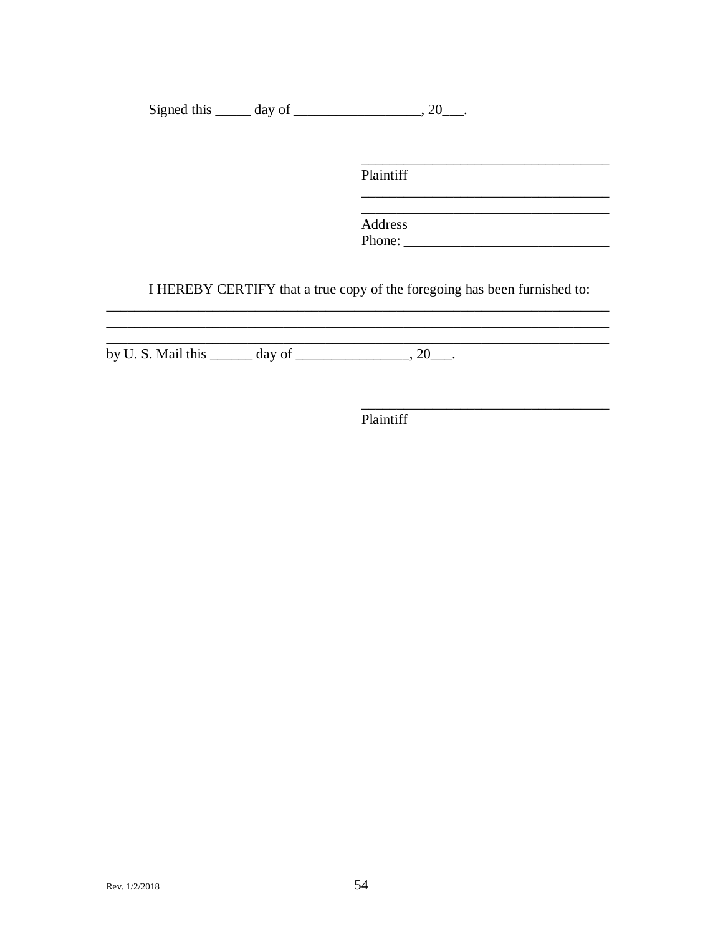Signed this  $\_\_\_\_$  day of  $\_\_\_\_\_\_$ , 20 $\_\_\_\_\.$ 

Plaintiff

Address 

I HEREBY CERTIFY that a true copy of the foregoing has been furnished to:

by U.S. Mail this  $\frac{day \text{ of } 20}{x}$ .

<u> 2000 - Jan James James Jan James James James James James James James James James James James James James James Ja</u>

Plaintiff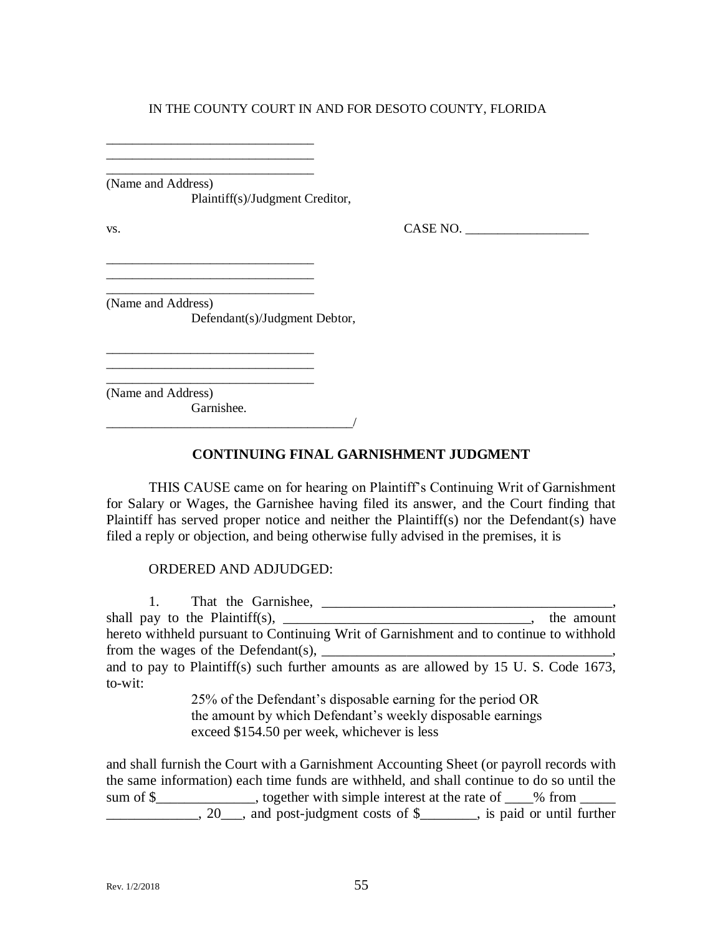\_\_\_\_\_\_\_\_\_\_\_\_\_\_\_\_\_\_\_\_\_\_\_\_\_\_\_\_\_\_\_\_ \_\_\_\_\_\_\_\_\_\_\_\_\_\_\_\_\_\_\_\_\_\_\_\_\_\_\_\_\_\_\_\_ (Name and Address)

\_\_\_\_\_\_\_\_\_\_\_\_\_\_\_\_\_\_\_\_\_\_\_\_\_\_\_\_\_\_\_\_ \_\_\_\_\_\_\_\_\_\_\_\_\_\_\_\_\_\_\_\_\_\_\_\_\_\_\_\_\_\_\_\_

\_\_\_\_\_\_\_\_\_\_\_\_\_\_\_\_\_\_\_\_\_\_\_\_\_\_\_\_\_\_\_\_ \_\_\_\_\_\_\_\_\_\_\_\_\_\_\_\_\_\_\_\_\_\_\_\_\_\_\_\_\_\_\_\_

\_\_\_\_\_\_\_\_\_\_\_\_\_\_\_\_\_\_\_\_\_\_\_\_\_\_\_\_\_\_\_\_

Plaintiff(s)/Judgment Creditor,

 $\text{v}_\text{s}$ . CASE NO.

(Name and Address) Defendant(s)/Judgment Debtor,

\_\_\_\_\_\_\_\_\_\_\_\_\_\_\_\_\_\_\_\_\_\_\_\_\_\_\_\_\_\_\_\_ (Name and Address)

Garnishee.

\_\_\_\_\_\_\_\_\_\_\_\_\_\_\_\_\_\_\_\_\_\_\_\_\_\_\_\_\_\_\_\_\_\_\_\_\_\_/

## **CONTINUING FINAL GARNISHMENT JUDGMENT**

THIS CAUSE came on for hearing on Plaintiff's Continuing Writ of Garnishment for Salary or Wages, the Garnishee having filed its answer, and the Court finding that Plaintiff has served proper notice and neither the Plaintiff(s) nor the Defendant(s) have filed a reply or objection, and being otherwise fully advised in the premises, it is

## ORDERED AND ADJUDGED:

1. That the Garnishee, \_\_\_\_\_\_\_\_\_\_\_\_\_\_\_\_\_\_\_\_\_\_\_\_\_\_\_\_\_\_\_\_\_\_\_\_\_\_\_\_\_,  $shall pay to the Plaintiff(s),$  the amount hereto withheld pursuant to Continuing Writ of Garnishment and to continue to withhold from the wages of the Defendant(s), \_\_\_\_\_\_\_\_\_\_\_\_\_\_\_\_\_\_\_\_\_\_\_\_\_\_\_\_\_\_\_\_\_\_\_\_\_\_\_\_\_, and to pay to Plaintiff(s) such further amounts as are allowed by 15 U. S. Code 1673, to-wit: 25% of the Defendant's disposable earning for the period OR the amount by which Defendant's weekly disposable earnings

exceed \$154.50 per week, whichever is less

and shall furnish the Court with a Garnishment Accounting Sheet (or payroll records with the same information) each time funds are withheld, and shall continue to do so until the sum of \$\_\_\_\_\_\_\_\_\_\_\_\_, together with simple interest at the rate of \_\_\_% from \_\_\_\_ <sup>1</sup>, 20<sub>, and</sub> post-judgment costs of \$<sub>\_\_\_\_\_</sub>, is paid or until further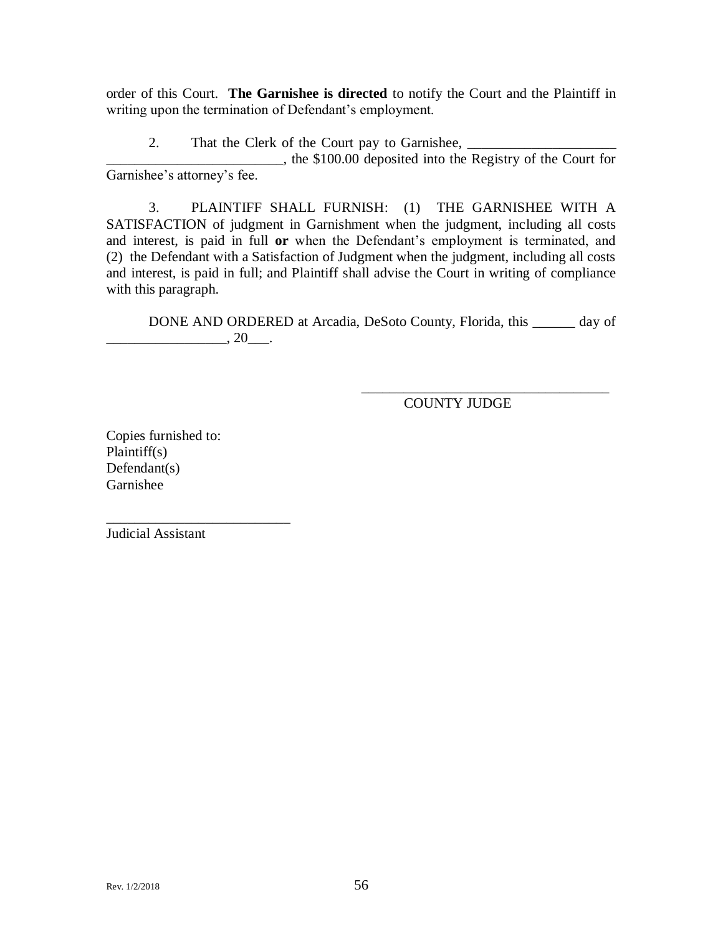order of this Court. **The Garnishee is directed** to notify the Court and the Plaintiff in writing upon the termination of Defendant's employment.

2. That the Clerk of the Court pay to Garnishee,

\_\_\_\_\_\_\_\_\_\_\_\_\_\_\_\_\_\_\_\_\_\_\_\_\_, the \$100.00 deposited into the Registry of the Court for Garnishee's attorney's fee.

3. PLAINTIFF SHALL FURNISH: (1) THE GARNISHEE WITH A SATISFACTION of judgment in Garnishment when the judgment, including all costs and interest, is paid in full **or** when the Defendant's employment is terminated, and (2) the Defendant with a Satisfaction of Judgment when the judgment, including all costs and interest, is paid in full; and Plaintiff shall advise the Court in writing of compliance with this paragraph.

DONE AND ORDERED at Arcadia, DeSoto County, Florida, this \_\_\_\_\_\_ day of  $\ldots$  20  $\ldots$ 

COUNTY JUDGE

\_\_\_\_\_\_\_\_\_\_\_\_\_\_\_\_\_\_\_\_\_\_\_\_\_\_\_\_\_\_\_\_\_\_\_

Copies furnished to: Plaintiff(s) Defendant(s) Garnishee

\_\_\_\_\_\_\_\_\_\_\_\_\_\_\_\_\_\_\_\_\_\_\_\_\_\_

Judicial Assistant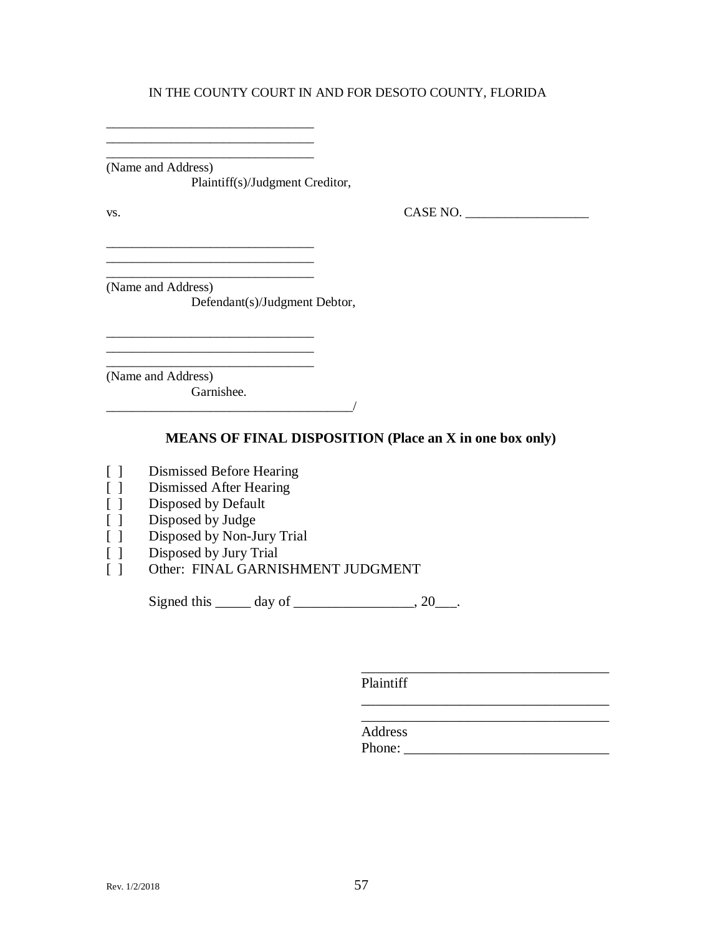\_\_\_\_\_\_\_\_\_\_\_\_\_\_\_\_\_\_\_\_\_\_\_\_\_\_\_\_\_\_\_\_ (Name and Address) Plaintiff(s)/Judgment Creditor,

\_\_\_\_\_\_\_\_\_\_\_\_\_\_\_\_\_\_\_\_\_\_\_\_\_\_\_\_\_\_\_\_

 $\overline{\phantom{a}}$  , where  $\overline{\phantom{a}}$  , where  $\overline{\phantom{a}}$  ,  $\overline{\phantom{a}}$  ,  $\overline{\phantom{a}}$  ,  $\overline{\phantom{a}}$  ,  $\overline{\phantom{a}}$  ,  $\overline{\phantom{a}}$  ,  $\overline{\phantom{a}}$  ,  $\overline{\phantom{a}}$  ,  $\overline{\phantom{a}}$  ,  $\overline{\phantom{a}}$  ,  $\overline{\phantom{a}}$  ,  $\overline{\phantom{a}}$  ,  $\overline{\phantom{a}}$  ,

\_\_\_\_\_\_\_\_\_\_\_\_\_\_\_\_\_\_\_\_\_\_\_\_\_\_\_\_\_\_\_\_ \_\_\_\_\_\_\_\_\_\_\_\_\_\_\_\_\_\_\_\_\_\_\_\_\_\_\_\_\_\_\_\_

vs. 2008. CASE NO. 2008. CASE NO. 2008. CASE NO. 2008. 2009. CASE NO. 2008. 2009. CASE NO. 2008. 2014. 2015. CASE NO. 2016. 2017. 2018. 2019. 2017. 2018. 2017. 2018. 2019. 2017. 2018. 2019. 2019. 2017. 2018. 2019. 2019. 20

(Name and Address) Defendant(s)/Judgment Debtor,

\_\_\_\_\_\_\_\_\_\_\_\_\_\_\_\_\_\_\_\_\_\_\_\_\_\_\_\_\_\_\_\_

\_\_\_\_\_\_\_\_\_\_\_\_\_\_\_\_\_\_\_\_\_\_\_\_\_\_\_\_\_\_\_\_ (Name and Address) Garnishee.  $\frac{1}{2}$ 

**MEANS OF FINAL DISPOSITION (Place an X in one box only)**

- [ ] Dismissed Before Hearing
- [ ] Dismissed After Hearing
- [ ] Disposed by Default
- [ ] Disposed by Judge
- [ ] Disposed by Non-Jury Trial
- [ ] Disposed by Jury Trial
- [ ] Other: FINAL GARNISHMENT JUDGMENT

Signed this  $\_\_\_\_\$  day of  $\_\_\_\_\_\_\$ , 20 $\_\_\_\_\$ .

Plaintiff

Address Phone:

\_\_\_\_\_\_\_\_\_\_\_\_\_\_\_\_\_\_\_\_\_\_\_\_\_\_\_\_\_\_\_\_\_\_\_

\_\_\_\_\_\_\_\_\_\_\_\_\_\_\_\_\_\_\_\_\_\_\_\_\_\_\_\_\_\_\_\_\_\_\_ \_\_\_\_\_\_\_\_\_\_\_\_\_\_\_\_\_\_\_\_\_\_\_\_\_\_\_\_\_\_\_\_\_\_\_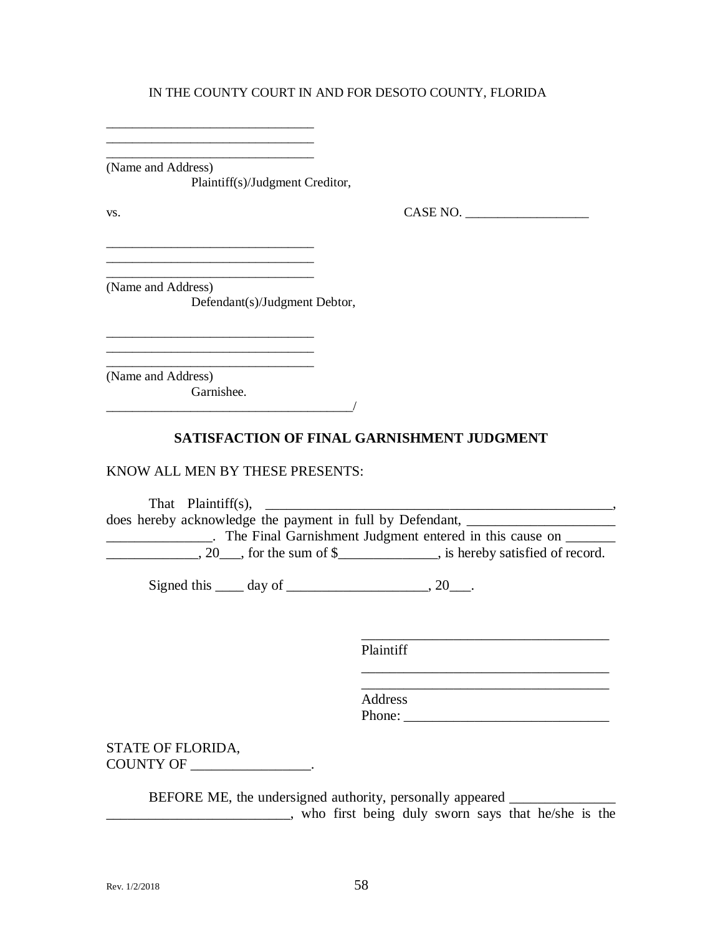\_\_\_\_\_\_\_\_\_\_\_\_\_\_\_\_\_\_\_\_\_\_\_\_\_\_\_\_\_\_\_\_ (Name and Address) Plaintiff(s)/Judgment Creditor,

\_\_\_\_\_\_\_\_\_\_\_\_\_\_\_\_\_\_\_\_\_\_\_\_\_\_\_\_\_\_\_\_ \_\_\_\_\_\_\_\_\_\_\_\_\_\_\_\_\_\_\_\_\_\_\_\_\_\_\_\_\_\_\_\_

\_\_\_\_\_\_\_\_\_\_\_\_\_\_\_\_\_\_\_\_\_\_\_\_\_\_\_\_\_\_\_\_ \_\_\_\_\_\_\_\_\_\_\_\_\_\_\_\_\_\_\_\_\_\_\_\_\_\_\_\_\_\_\_\_

\_\_\_\_\_\_\_\_\_\_\_\_\_\_\_\_\_\_\_\_\_\_\_\_\_\_\_\_\_\_\_\_

 $\text{Vs.}}$  CASE NO.  $\overline{\phantom{0}}$ 

\_\_\_\_\_\_\_\_\_\_\_\_\_\_\_\_\_\_\_\_\_\_\_\_\_\_\_\_\_\_\_\_\_\_\_

\_\_\_\_\_\_\_\_\_\_\_\_\_\_\_\_\_\_\_\_\_\_\_\_\_\_\_\_\_\_\_\_\_\_\_

\_\_\_\_\_\_\_\_\_\_\_\_\_\_\_\_\_\_\_\_\_\_\_\_\_\_\_\_\_\_\_\_ (Name and Address) Defendant(s)/Judgment Debtor,

\_\_\_\_\_\_\_\_\_\_\_\_\_\_\_\_\_\_\_\_\_\_\_\_\_\_\_\_\_\_\_\_ (Name and Address) Garnishee.

## **SATISFACTION OF FINAL GARNISHMENT JUDGMENT**

#### KNOW ALL MEN BY THESE PRESENTS:

\_\_\_\_\_\_\_\_\_\_\_\_\_\_\_\_\_\_\_\_\_\_\_\_\_\_\_\_\_\_\_\_\_\_\_\_\_\_/

That Plaintiff(s), \_\_\_\_\_\_\_\_\_\_\_\_\_\_\_\_\_\_\_\_\_\_\_\_\_\_\_\_\_\_\_\_\_\_\_\_\_\_\_\_\_\_\_\_\_\_\_\_\_, does hereby acknowledge the payment in full by Defendant, \_\_\_\_\_\_\_\_\_\_\_\_\_\_\_\_\_\_\_\_\_\_\_ **EXECUTE:** The Final Garnishment Judgment entered in this cause on \_\_\_\_\_\_\_\_\_\_\_\_\_\_  $\frac{1}{20}$ , for the sum of \$\_\_\_\_\_\_\_\_\_\_, is hereby satisfied of record.

Signed this  $\_\_\_$  day of  $\_\_\_\_\_\_\_\_\$ . 20 $\_\_\_\_\$ .

Plaintiff

\_\_\_\_\_\_\_\_\_\_\_\_\_\_\_\_\_\_\_\_\_\_\_\_\_\_\_\_\_\_\_\_\_\_\_ Address Phone: \_\_\_\_\_\_\_\_\_\_\_\_\_\_\_\_\_\_\_\_\_\_\_\_\_\_\_\_\_

STATE OF FLORIDA, COUNTY OF \_\_\_\_\_\_\_\_\_\_\_\_\_\_\_\_\_.

BEFORE ME, the undersigned authority, personally appeared \_\_\_\_\_\_\_\_\_\_\_\_\_\_\_\_\_\_\_\_\_\_ \_\_\_\_\_\_\_\_\_\_\_\_\_\_\_\_\_\_\_\_\_\_\_\_\_\_, who first being duly sworn says that he/she is the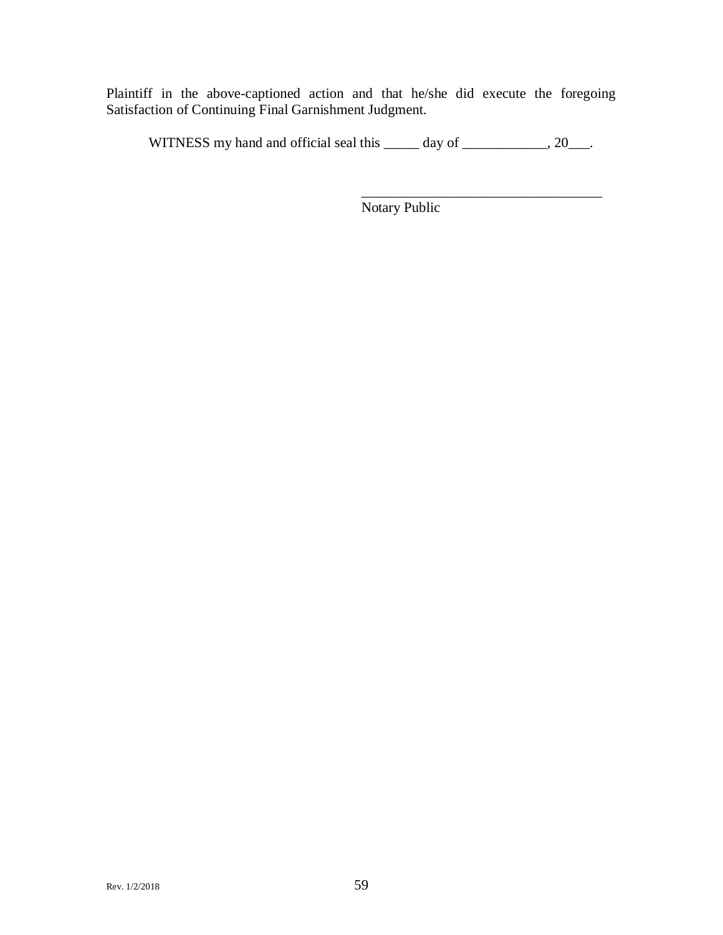Plaintiff in the above-captioned action and that he/she did execute the foregoing Satisfaction of Continuing Final Garnishment Judgment.

WITNESS my hand and official seal this \_\_\_\_\_ day of \_\_\_\_\_\_\_\_\_\_, 20\_\_\_.

Notary Public

\_\_\_\_\_\_\_\_\_\_\_\_\_\_\_\_\_\_\_\_\_\_\_\_\_\_\_\_\_\_\_\_\_\_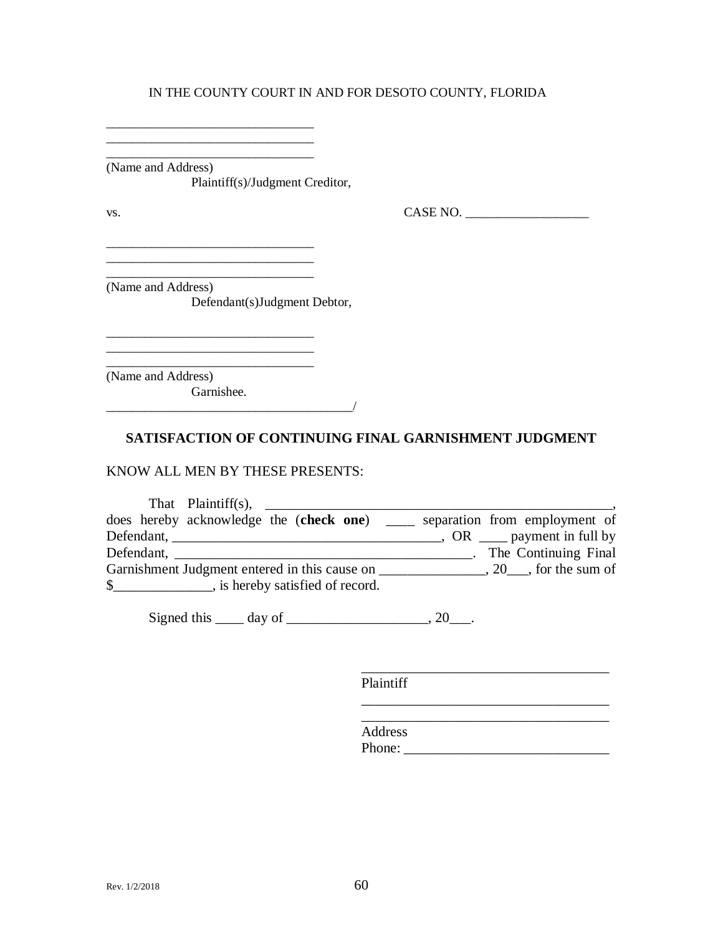$\overline{\phantom{a}}$  ,  $\overline{\phantom{a}}$  ,  $\overline{\phantom{a}}$  ,  $\overline{\phantom{a}}$  ,  $\overline{\phantom{a}}$  ,  $\overline{\phantom{a}}$  ,  $\overline{\phantom{a}}$  ,  $\overline{\phantom{a}}$  ,  $\overline{\phantom{a}}$  ,  $\overline{\phantom{a}}$  ,  $\overline{\phantom{a}}$  ,  $\overline{\phantom{a}}$  ,  $\overline{\phantom{a}}$  ,  $\overline{\phantom{a}}$  ,  $\overline{\phantom{a}}$  ,  $\overline{\phantom{a}}$ (Name and Address) Plaintiff(s)/Judgment Creditor,

\_\_\_\_\_\_\_\_\_\_\_\_\_\_\_\_\_\_\_\_\_\_\_\_\_\_\_\_\_\_\_\_

vs. 2008. CASE NO. 2008. CASE NO. 2008. CASE NO. 2008. 2009. CASE NO. 2008. 2009. CASE NO. 2008. 2014. 2015. CASE NO. 2016. 2017. 2018. 2019. 2017. 2018. 2017. 2018. 2019. 2017. 2018. 2019. 2017. 2018. 2019. 2019. 2019. 20

(Name and Address) Defendant(s)Judgment Debtor,

\_\_\_\_\_\_\_\_\_\_\_\_\_\_\_\_\_\_\_\_\_\_\_\_\_\_\_\_\_\_\_\_

\_\_\_\_\_\_\_\_\_\_\_\_\_\_\_\_\_\_\_\_\_\_\_\_\_\_\_\_\_\_\_\_

\_\_\_\_\_\_\_\_\_\_\_\_\_\_\_\_\_\_\_\_\_\_\_\_\_\_\_\_\_\_\_\_ (Name and Address) Garnishee.

\_\_\_\_\_\_\_\_\_\_\_\_\_\_\_\_\_\_\_\_\_\_\_\_\_\_\_\_\_\_\_\_\_\_\_\_\_\_/

## **SATISFACTION OF CONTINUING FINAL GARNISHMENT JUDGMENT**

#### KNOW ALL MEN BY THESE PRESENTS:

| That Plaintiff(s),                            |  |                                                                                           |
|-----------------------------------------------|--|-------------------------------------------------------------------------------------------|
| does hereby acknowledge the (check one)       |  | separation from employment of                                                             |
|                                               |  | $\frac{1}{\sqrt{1-\frac{1}{2}}}$ , OR $\frac{1}{\sqrt{1-\frac{1}{2}}}$ payment in full by |
| Defendant,                                    |  | The Continuing Final                                                                      |
| Garnishment Judgment entered in this cause on |  | $, 20$ , for the sum of                                                                   |
|                                               |  |                                                                                           |

Signed this  $\_\_\_$  day of  $\_\_\_\_\_\_\_\$ , 20 $\_\_\_\_\$ .

Plaintiff

\_\_\_\_\_\_\_\_\_\_\_\_\_\_\_\_\_\_\_\_\_\_\_\_\_\_\_\_\_\_\_\_\_\_\_ Address Phone:

\_\_\_\_\_\_\_\_\_\_\_\_\_\_\_\_\_\_\_\_\_\_\_\_\_\_\_\_\_\_\_\_\_\_\_

\_\_\_\_\_\_\_\_\_\_\_\_\_\_\_\_\_\_\_\_\_\_\_\_\_\_\_\_\_\_\_\_\_\_\_